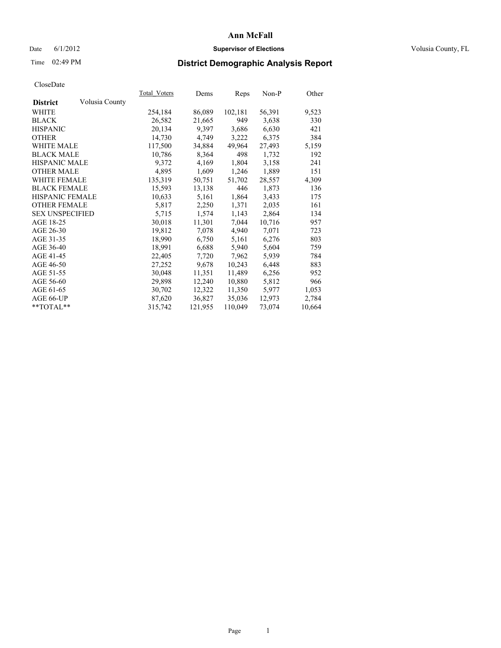### Date 6/1/2012 **Supervisor of Elections Supervisor of Elections** Volusia County, FL

## Time 02:49 PM **District Demographic Analysis Report**

|                        |                | Total Voters | Dems    | <b>Reps</b> | Non-P  | Other  |
|------------------------|----------------|--------------|---------|-------------|--------|--------|
| <b>District</b>        | Volusia County |              |         |             |        |        |
| WHITE                  |                | 254,184      | 86,089  | 102,181     | 56,391 | 9,523  |
| <b>BLACK</b>           |                | 26,582       | 21,665  | 949         | 3,638  | 330    |
| <b>HISPANIC</b>        |                | 20,134       | 9,397   | 3,686       | 6,630  | 421    |
| <b>OTHER</b>           |                | 14,730       | 4,749   | 3,222       | 6,375  | 384    |
| <b>WHITE MALE</b>      |                | 117,500      | 34,884  | 49,964      | 27,493 | 5,159  |
| <b>BLACK MALE</b>      |                | 10,786       | 8,364   | 498         | 1,732  | 192    |
| <b>HISPANIC MALE</b>   |                | 9,372        | 4,169   | 1,804       | 3,158  | 241    |
| <b>OTHER MALE</b>      |                | 4,895        | 1,609   | 1,246       | 1,889  | 151    |
| <b>WHITE FEMALE</b>    |                | 135,319      | 50,751  | 51,702      | 28,557 | 4,309  |
| <b>BLACK FEMALE</b>    |                | 15,593       | 13,138  | 446         | 1,873  | 136    |
| HISPANIC FEMALE        |                | 10,633       | 5,161   | 1,864       | 3,433  | 175    |
| <b>OTHER FEMALE</b>    |                | 5,817        | 2,250   | 1,371       | 2,035  | 161    |
| <b>SEX UNSPECIFIED</b> |                | 5,715        | 1,574   | 1,143       | 2,864  | 134    |
| AGE 18-25              |                | 30,018       | 11,301  | 7,044       | 10,716 | 957    |
| AGE 26-30              |                | 19,812       | 7,078   | 4,940       | 7,071  | 723    |
| AGE 31-35              |                | 18,990       | 6,750   | 5,161       | 6,276  | 803    |
| AGE 36-40              |                | 18,991       | 6,688   | 5,940       | 5,604  | 759    |
| AGE 41-45              |                | 22,405       | 7,720   | 7,962       | 5,939  | 784    |
| AGE 46-50              |                | 27,252       | 9,678   | 10,243      | 6,448  | 883    |
| AGE 51-55              |                | 30,048       | 11,351  | 11,489      | 6,256  | 952    |
| AGE 56-60              |                | 29,898       | 12,240  | 10,880      | 5,812  | 966    |
| AGE 61-65              |                | 30,702       | 12,322  | 11,350      | 5,977  | 1,053  |
| AGE 66-UP              |                | 87,620       | 36,827  | 35,036      | 12,973 | 2,784  |
| $*$ TOTAL $*$          |                | 315,742      | 121,955 | 110,049     | 73,074 | 10,664 |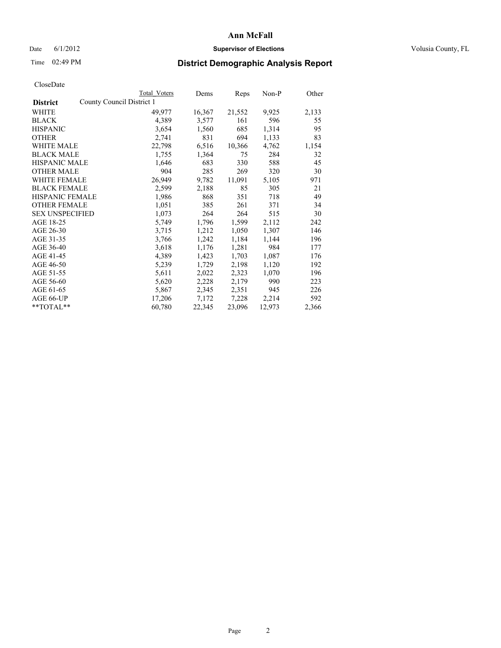### Date 6/1/2012 **Supervisor of Elections Supervisor of Elections** Volusia County, FL

# Time 02:49 PM **District Demographic Analysis Report**

|                                              | <b>Total Voters</b> | Dems   | Reps   | Non-P  | Other |
|----------------------------------------------|---------------------|--------|--------|--------|-------|
| County Council District 1<br><b>District</b> |                     |        |        |        |       |
| WHITE                                        | 49,977              | 16,367 | 21,552 | 9,925  | 2,133 |
| <b>BLACK</b>                                 | 4,389               | 3,577  | 161    | 596    | 55    |
| <b>HISPANIC</b>                              | 3,654               | 1,560  | 685    | 1,314  | 95    |
| <b>OTHER</b>                                 | 2,741               | 831    | 694    | 1,133  | 83    |
| WHITE MALE                                   | 22,798              | 6,516  | 10,366 | 4,762  | 1,154 |
| <b>BLACK MALE</b>                            | 1,755               | 1,364  | 75     | 284    | 32    |
| <b>HISPANIC MALE</b>                         | 1,646               | 683    | 330    | 588    | 45    |
| <b>OTHER MALE</b>                            | 904                 | 285    | 269    | 320    | 30    |
| <b>WHITE FEMALE</b>                          | 26,949              | 9,782  | 11,091 | 5,105  | 971   |
| <b>BLACK FEMALE</b>                          | 2,599               | 2,188  | 85     | 305    | 21    |
| <b>HISPANIC FEMALE</b>                       | 1,986               | 868    | 351    | 718    | 49    |
| <b>OTHER FEMALE</b>                          | 1,051               | 385    | 261    | 371    | 34    |
| <b>SEX UNSPECIFIED</b>                       | 1,073               | 264    | 264    | 515    | 30    |
| AGE 18-25                                    | 5,749               | 1,796  | 1,599  | 2,112  | 242   |
| AGE 26-30                                    | 3,715               | 1,212  | 1,050  | 1,307  | 146   |
| AGE 31-35                                    | 3,766               | 1,242  | 1,184  | 1,144  | 196   |
| AGE 36-40                                    | 3,618               | 1,176  | 1,281  | 984    | 177   |
| AGE 41-45                                    | 4,389               | 1,423  | 1,703  | 1,087  | 176   |
| AGE 46-50                                    | 5,239               | 1,729  | 2,198  | 1,120  | 192   |
| AGE 51-55                                    | 5,611               | 2,022  | 2,323  | 1,070  | 196   |
| AGE 56-60                                    | 5,620               | 2,228  | 2,179  | 990    | 223   |
| AGE 61-65                                    | 5,867               | 2,345  | 2,351  | 945    | 226   |
| AGE 66-UP                                    | 17,206              | 7,172  | 7,228  | 2,214  | 592   |
| $*$ TOTAL $*$                                | 60,780              | 22,345 | 23,096 | 12,973 | 2,366 |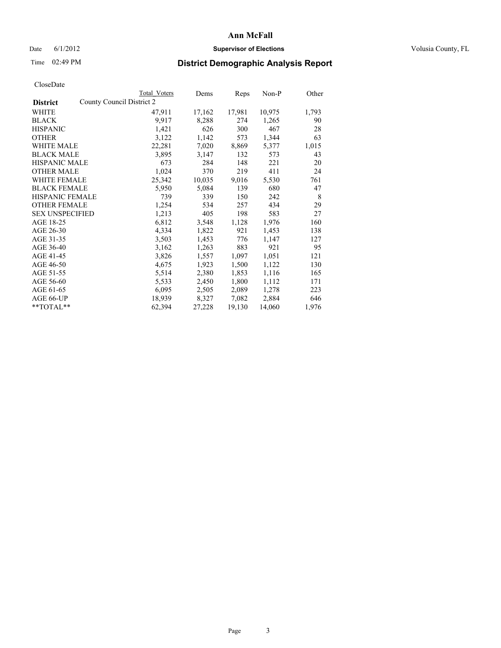### Date 6/1/2012 **Supervisor of Elections Supervisor of Elections** Volusia County, FL

# Time 02:49 PM **District Demographic Analysis Report**

|                                              | Total Voters | Dems   | <b>Reps</b> | Non-P  | Other |
|----------------------------------------------|--------------|--------|-------------|--------|-------|
| County Council District 2<br><b>District</b> |              |        |             |        |       |
| <b>WHITE</b>                                 | 47,911       | 17,162 | 17,981      | 10,975 | 1,793 |
| <b>BLACK</b>                                 | 9.917        | 8,288  | 274         | 1,265  | 90    |
| <b>HISPANIC</b>                              | 1,421        | 626    | 300         | 467    | 28    |
| <b>OTHER</b>                                 | 3,122        | 1,142  | 573         | 1,344  | 63    |
| <b>WHITE MALE</b>                            | 22,281       | 7,020  | 8,869       | 5,377  | 1,015 |
| <b>BLACK MALE</b>                            | 3,895        | 3,147  | 132         | 573    | 43    |
| <b>HISPANIC MALE</b>                         | 673          | 284    | 148         | 221    | 20    |
| <b>OTHER MALE</b>                            | 1,024        | 370    | 219         | 411    | 24    |
| <b>WHITE FEMALE</b>                          | 25,342       | 10,035 | 9,016       | 5,530  | 761   |
| <b>BLACK FEMALE</b>                          | 5,950        | 5,084  | 139         | 680    | 47    |
| <b>HISPANIC FEMALE</b>                       | 739          | 339    | 150         | 242    | 8     |
| <b>OTHER FEMALE</b>                          | 1,254        | 534    | 257         | 434    | 29    |
| <b>SEX UNSPECIFIED</b>                       | 1,213        | 405    | 198         | 583    | 27    |
| AGE 18-25                                    | 6,812        | 3,548  | 1,128       | 1,976  | 160   |
| AGE 26-30                                    | 4,334        | 1,822  | 921         | 1,453  | 138   |
| AGE 31-35                                    | 3,503        | 1,453  | 776         | 1,147  | 127   |
| AGE 36-40                                    | 3,162        | 1,263  | 883         | 921    | 95    |
| AGE 41-45                                    | 3,826        | 1,557  | 1,097       | 1,051  | 121   |
| AGE 46-50                                    | 4,675        | 1,923  | 1,500       | 1,122  | 130   |
| AGE 51-55                                    | 5,514        | 2,380  | 1,853       | 1,116  | 165   |
| AGE 56-60                                    | 5,533        | 2,450  | 1,800       | 1,112  | 171   |
| AGE 61-65                                    | 6,095        | 2,505  | 2,089       | 1,278  | 223   |
| AGE 66-UP                                    | 18,939       | 8,327  | 7,082       | 2,884  | 646   |
| $*$ $TOTAL**$                                | 62,394       | 27,228 | 19,130      | 14,060 | 1,976 |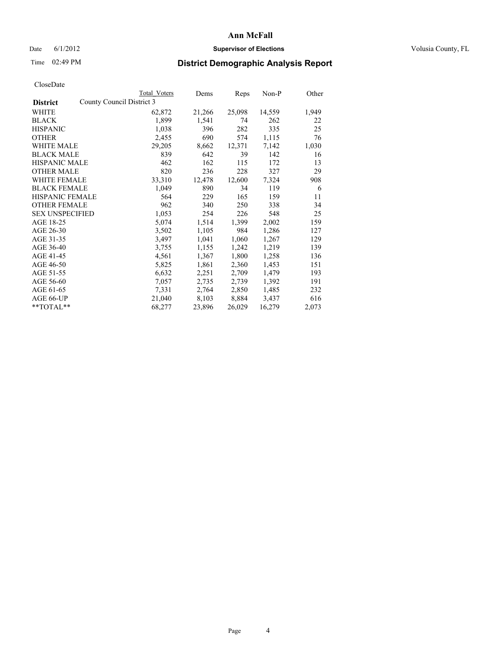### Date 6/1/2012 **Supervisor of Elections Supervisor of Elections** Volusia County, FL

## Time 02:49 PM **District Demographic Analysis Report**

|                                              | Total Voters | Dems   | <b>Reps</b> | Non-P  | Other |
|----------------------------------------------|--------------|--------|-------------|--------|-------|
| County Council District 3<br><b>District</b> |              |        |             |        |       |
| WHITE                                        | 62,872       | 21,266 | 25,098      | 14,559 | 1,949 |
| <b>BLACK</b>                                 | 1,899        | 1,541  | 74          | 262    | 22    |
| <b>HISPANIC</b>                              | 1,038        | 396    | 282         | 335    | 25    |
| <b>OTHER</b>                                 | 2,455        | 690    | 574         | 1,115  | 76    |
| <b>WHITE MALE</b>                            | 29,205       | 8,662  | 12,371      | 7,142  | 1,030 |
| <b>BLACK MALE</b>                            | 839          | 642    | 39          | 142    | 16    |
| <b>HISPANIC MALE</b>                         | 462          | 162    | 115         | 172    | 13    |
| <b>OTHER MALE</b>                            | 820          | 236    | 228         | 327    | 29    |
| <b>WHITE FEMALE</b>                          | 33,310       | 12,478 | 12,600      | 7,324  | 908   |
| <b>BLACK FEMALE</b>                          | 1,049        | 890    | 34          | 119    | 6     |
| <b>HISPANIC FEMALE</b>                       | 564          | 229    | 165         | 159    | 11    |
| <b>OTHER FEMALE</b>                          | 962          | 340    | 250         | 338    | 34    |
| <b>SEX UNSPECIFIED</b>                       | 1,053        | 254    | 226         | 548    | 25    |
| AGE 18-25                                    | 5,074        | 1,514  | 1,399       | 2,002  | 159   |
| AGE 26-30                                    | 3,502        | 1,105  | 984         | 1,286  | 127   |
| AGE 31-35                                    | 3,497        | 1,041  | 1,060       | 1,267  | 129   |
| AGE 36-40                                    | 3,755        | 1,155  | 1,242       | 1,219  | 139   |
| AGE 41-45                                    | 4,561        | 1,367  | 1,800       | 1,258  | 136   |
| AGE 46-50                                    | 5,825        | 1,861  | 2,360       | 1,453  | 151   |
| AGE 51-55                                    | 6,632        | 2,251  | 2,709       | 1,479  | 193   |
| AGE 56-60                                    | 7,057        | 2,735  | 2,739       | 1,392  | 191   |
| AGE 61-65                                    | 7.331        | 2,764  | 2,850       | 1,485  | 232   |
| AGE 66-UP                                    | 21,040       | 8,103  | 8,884       | 3,437  | 616   |
| $*$ $TOTAL**$                                | 68,277       | 23,896 | 26,029      | 16,279 | 2,073 |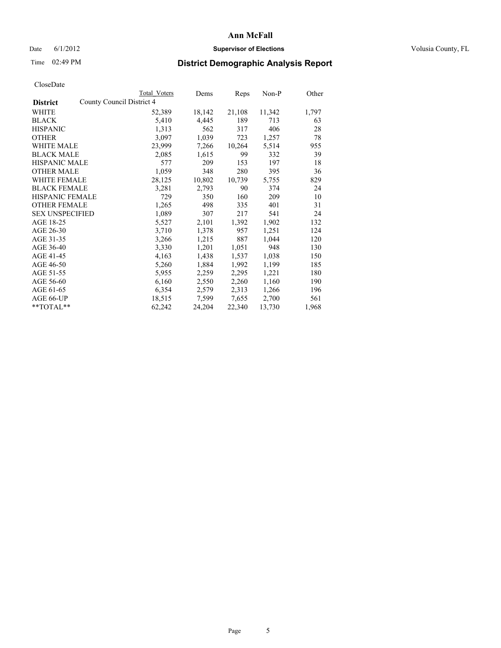### Date 6/1/2012 **Supervisor of Elections Supervisor of Elections** Volusia County, FL

# Time 02:49 PM **District Demographic Analysis Report**

|                                              | <b>Total Voters</b> | Dems   | <b>Reps</b> | $Non-P$ | Other |
|----------------------------------------------|---------------------|--------|-------------|---------|-------|
| County Council District 4<br><b>District</b> |                     |        |             |         |       |
| WHITE                                        | 52,389              | 18,142 | 21,108      | 11,342  | 1,797 |
| <b>BLACK</b>                                 | 5,410               | 4,445  | 189         | 713     | 63    |
| <b>HISPANIC</b>                              | 1,313               | 562    | 317         | 406     | 28    |
| <b>OTHER</b>                                 | 3,097               | 1,039  | 723         | 1,257   | 78    |
| <b>WHITE MALE</b>                            | 23,999              | 7,266  | 10,264      | 5,514   | 955   |
| <b>BLACK MALE</b>                            | 2,085               | 1,615  | 99          | 332     | 39    |
| <b>HISPANIC MALE</b>                         | 577                 | 209    | 153         | 197     | 18    |
| <b>OTHER MALE</b>                            | 1,059               | 348    | 280         | 395     | 36    |
| <b>WHITE FEMALE</b>                          | 28,125              | 10,802 | 10,739      | 5,755   | 829   |
| <b>BLACK FEMALE</b>                          | 3,281               | 2,793  | 90          | 374     | 24    |
| <b>HISPANIC FEMALE</b>                       | 729                 | 350    | 160         | 209     | 10    |
| <b>OTHER FEMALE</b>                          | 1,265               | 498    | 335         | 401     | 31    |
| <b>SEX UNSPECIFIED</b>                       | 1,089               | 307    | 217         | 541     | 24    |
| AGE 18-25                                    | 5,527               | 2,101  | 1,392       | 1,902   | 132   |
| AGE 26-30                                    | 3,710               | 1,378  | 957         | 1,251   | 124   |
| AGE 31-35                                    | 3,266               | 1,215  | 887         | 1,044   | 120   |
| AGE 36-40                                    | 3,330               | 1,201  | 1,051       | 948     | 130   |
| AGE 41-45                                    | 4,163               | 1,438  | 1,537       | 1,038   | 150   |
| AGE 46-50                                    | 5,260               | 1,884  | 1,992       | 1,199   | 185   |
| AGE 51-55                                    | 5,955               | 2,259  | 2,295       | 1,221   | 180   |
| AGE 56-60                                    | 6,160               | 2,550  | 2,260       | 1,160   | 190   |
| AGE 61-65                                    | 6,354               | 2,579  | 2,313       | 1,266   | 196   |
| AGE 66-UP                                    | 18,515              | 7,599  | 7,655       | 2,700   | 561   |
| $*$ $TOTAL**$                                | 62,242              | 24,204 | 22,340      | 13,730  | 1,968 |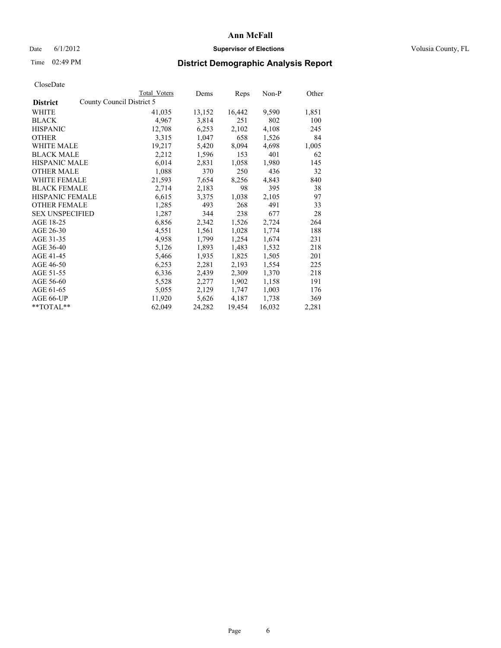### Date 6/1/2012 **Supervisor of Elections Supervisor of Elections** Volusia County, FL

## Time 02:49 PM **District Demographic Analysis Report**

|                        |                           | <b>Total Voters</b> | Dems   | Reps   | Non-P  | Other |
|------------------------|---------------------------|---------------------|--------|--------|--------|-------|
| <b>District</b>        | County Council District 5 |                     |        |        |        |       |
| <b>WHITE</b>           |                           | 41,035              | 13,152 | 16,442 | 9,590  | 1,851 |
| <b>BLACK</b>           |                           | 4,967               | 3,814  | 251    | 802    | 100   |
| <b>HISPANIC</b>        |                           | 12,708              | 6,253  | 2,102  | 4,108  | 245   |
| <b>OTHER</b>           |                           | 3,315               | 1,047  | 658    | 1,526  | 84    |
| <b>WHITE MALE</b>      |                           | 19,217              | 5,420  | 8,094  | 4,698  | 1,005 |
| <b>BLACK MALE</b>      |                           | 2,212               | 1,596  | 153    | 401    | 62    |
| <b>HISPANIC MALE</b>   |                           | 6,014               | 2,831  | 1,058  | 1,980  | 145   |
| <b>OTHER MALE</b>      |                           | 1,088               | 370    | 250    | 436    | 32    |
| <b>WHITE FEMALE</b>    |                           | 21,593              | 7,654  | 8,256  | 4,843  | 840   |
| <b>BLACK FEMALE</b>    |                           | 2,714               | 2,183  | 98     | 395    | 38    |
| <b>HISPANIC FEMALE</b> |                           | 6,615               | 3,375  | 1,038  | 2,105  | 97    |
| <b>OTHER FEMALE</b>    |                           | 1,285               | 493    | 268    | 491    | 33    |
| <b>SEX UNSPECIFIED</b> |                           | 1,287               | 344    | 238    | 677    | 28    |
| AGE 18-25              |                           | 6,856               | 2,342  | 1,526  | 2,724  | 264   |
| AGE 26-30              |                           | 4,551               | 1,561  | 1,028  | 1,774  | 188   |
| AGE 31-35              |                           | 4,958               | 1,799  | 1,254  | 1,674  | 231   |
| AGE 36-40              |                           | 5,126               | 1,893  | 1,483  | 1,532  | 218   |
| AGE 41-45              |                           | 5,466               | 1,935  | 1,825  | 1,505  | 201   |
| AGE 46-50              |                           | 6,253               | 2,281  | 2,193  | 1,554  | 225   |
| AGE 51-55              |                           | 6,336               | 2,439  | 2,309  | 1,370  | 218   |
| AGE 56-60              |                           | 5,528               | 2,277  | 1,902  | 1,158  | 191   |
| AGE 61-65              |                           | 5,055               | 2,129  | 1,747  | 1,003  | 176   |
| AGE 66-UP              |                           | 11,920              | 5,626  | 4,187  | 1,738  | 369   |
| $*$ $TOTAL**$          |                           | 62,049              | 24,282 | 19,454 | 16,032 | 2,281 |
|                        |                           |                     |        |        |        |       |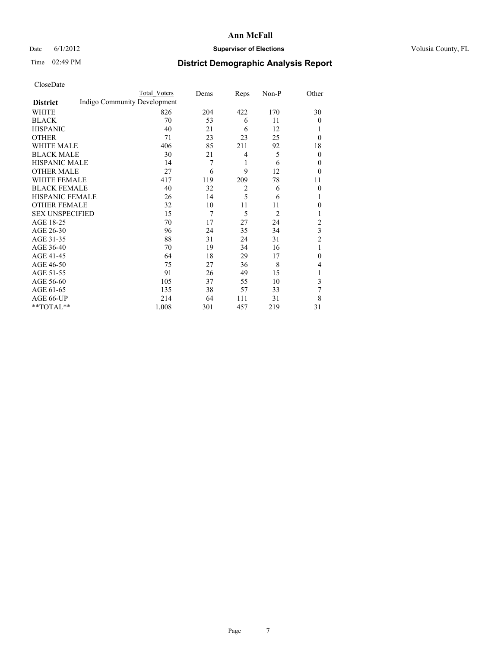### Date 6/1/2012 **Supervisor of Elections Supervisor of Elections** Volusia County, FL

# Time 02:49 PM **District Demographic Analysis Report**

|                        |                              | <b>Total Voters</b> | Dems | Reps           | Non-P          | Other          |
|------------------------|------------------------------|---------------------|------|----------------|----------------|----------------|
| <b>District</b>        | Indigo Community Development |                     |      |                |                |                |
| WHITE                  |                              | 826                 | 204  | 422            | 170            | 30             |
| <b>BLACK</b>           |                              | 70                  | 53   | 6              | 11             | $\overline{0}$ |
| <b>HISPANIC</b>        |                              | 40                  | 21   | 6              | 12             | 1              |
| <b>OTHER</b>           |                              | 71                  | 23   | 23             | 25             | $\theta$       |
| WHITE MALE             |                              | 406                 | 85   | 211            | 92             | 18             |
| <b>BLACK MALE</b>      |                              | 30                  | 21   | 4              | 5              | $\overline{0}$ |
| <b>HISPANIC MALE</b>   |                              | 14                  | 7    | 1              | 6              | $\overline{0}$ |
| <b>OTHER MALE</b>      |                              | 27                  | 6    | 9              | 12             | $\theta$       |
| WHITE FEMALE           |                              | 417                 | 119  | 209            | 78             | 11             |
| <b>BLACK FEMALE</b>    |                              | 40                  | 32   | $\overline{2}$ | 6              | $\overline{0}$ |
| <b>HISPANIC FEMALE</b> |                              | 26                  | 14   | 5              | 6              | 1              |
| <b>OTHER FEMALE</b>    |                              | 32                  | 10   | 11             | 11             | $\theta$       |
| <b>SEX UNSPECIFIED</b> |                              | 15                  | 7    | 5              | $\overline{2}$ | 1              |
| AGE 18-25              |                              | 70                  | 17   | 27             | 24             | $\overline{2}$ |
| AGE 26-30              |                              | 96                  | 24   | 35             | 34             | 3              |
| AGE 31-35              |                              | 88                  | 31   | 24             | 31             | $\overline{2}$ |
| AGE 36-40              |                              | 70                  | 19   | 34             | 16             | 1              |
| AGE 41-45              |                              | 64                  | 18   | 29             | 17             | $\theta$       |
| AGE 46-50              |                              | 75                  | 27   | 36             | 8              | 4              |
| AGE 51-55              |                              | 91                  | 26   | 49             | 15             | 1              |
| AGE 56-60              |                              | 105                 | 37   | 55             | 10             | 3              |
| AGE 61-65              |                              | 135                 | 38   | 57             | 33             | 7              |
| AGE 66-UP              |                              | 214                 | 64   | 111            | 31             | 8              |
| **TOTAL**              |                              | 1,008               | 301  | 457            | 219            | 31             |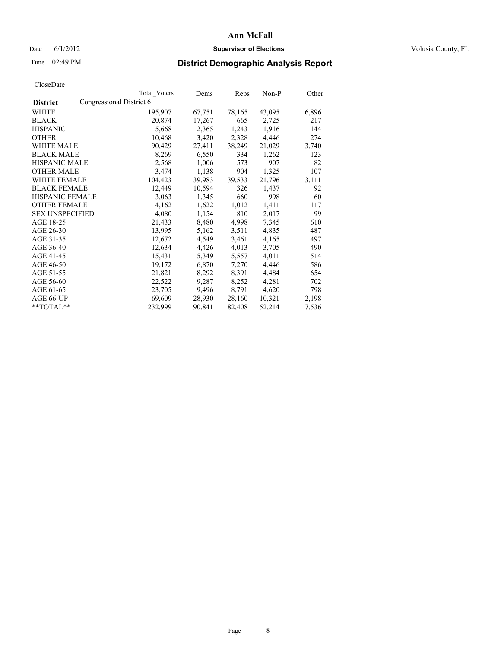### Date 6/1/2012 **Supervisor of Elections Supervisor of Elections** Volusia County, FL

## Time 02:49 PM **District Demographic Analysis Report**

|                                             | <b>Total Voters</b> | Dems   | Reps   | Non-P  | Other |
|---------------------------------------------|---------------------|--------|--------|--------|-------|
| Congressional District 6<br><b>District</b> |                     |        |        |        |       |
| WHITE                                       | 195,907             | 67,751 | 78,165 | 43,095 | 6,896 |
| <b>BLACK</b>                                | 20,874              | 17,267 | 665    | 2,725  | 217   |
| <b>HISPANIC</b>                             | 5,668               | 2,365  | 1,243  | 1,916  | 144   |
| <b>OTHER</b>                                | 10,468              | 3,420  | 2,328  | 4,446  | 274   |
| WHITE MALE                                  | 90,429              | 27,411 | 38,249 | 21,029 | 3,740 |
| <b>BLACK MALE</b>                           | 8,269               | 6,550  | 334    | 1,262  | 123   |
| <b>HISPANIC MALE</b>                        | 2,568               | 1,006  | 573    | 907    | 82    |
| <b>OTHER MALE</b>                           | 3,474               | 1,138  | 904    | 1,325  | 107   |
| <b>WHITE FEMALE</b>                         | 104,423             | 39,983 | 39,533 | 21,796 | 3,111 |
| <b>BLACK FEMALE</b>                         | 12,449              | 10,594 | 326    | 1,437  | 92    |
| HISPANIC FEMALE                             | 3,063               | 1,345  | 660    | 998    | 60    |
| <b>OTHER FEMALE</b>                         | 4,162               | 1,622  | 1,012  | 1,411  | 117   |
| <b>SEX UNSPECIFIED</b>                      | 4,080               | 1,154  | 810    | 2,017  | 99    |
| AGE 18-25                                   | 21,433              | 8,480  | 4,998  | 7.345  | 610   |
| AGE 26-30                                   | 13,995              | 5,162  | 3,511  | 4,835  | 487   |
| AGE 31-35                                   | 12,672              | 4,549  | 3,461  | 4,165  | 497   |
| AGE 36-40                                   | 12,634              | 4,426  | 4,013  | 3,705  | 490   |
| AGE 41-45                                   | 15,431              | 5,349  | 5,557  | 4,011  | 514   |
| AGE 46-50                                   | 19,172              | 6,870  | 7,270  | 4,446  | 586   |
| AGE 51-55                                   | 21,821              | 8,292  | 8,391  | 4,484  | 654   |
| AGE 56-60                                   | 22,522              | 9,287  | 8,252  | 4,281  | 702   |
| AGE 61-65                                   | 23,705              | 9,496  | 8,791  | 4,620  | 798   |
| AGE 66-UP                                   | 69,609              | 28,930 | 28,160 | 10,321 | 2,198 |
| $*$ $TOTAL**$                               | 232,999             | 90,841 | 82,408 | 52,214 | 7,536 |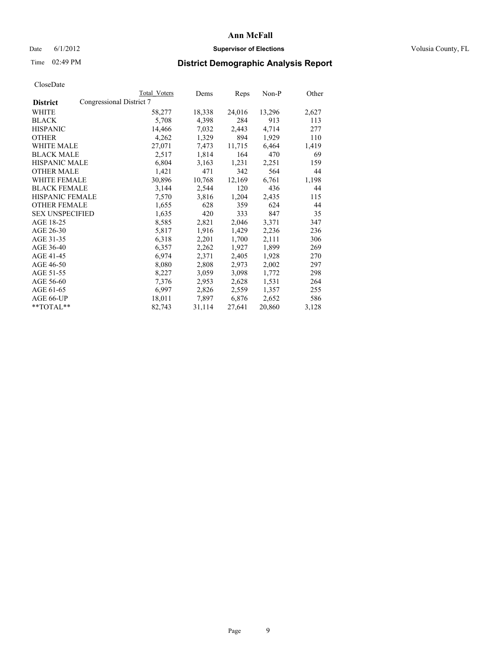### Date 6/1/2012 **Supervisor of Elections Supervisor of Elections** Volusia County, FL

## Time 02:49 PM **District Demographic Analysis Report**

|                                             | Total Voters | Dems   | <b>Reps</b> | Non-P  | Other |
|---------------------------------------------|--------------|--------|-------------|--------|-------|
| Congressional District 7<br><b>District</b> |              |        |             |        |       |
| WHITE                                       | 58,277       | 18,338 | 24,016      | 13,296 | 2,627 |
| <b>BLACK</b>                                | 5,708        | 4,398  | 284         | 913    | 113   |
| <b>HISPANIC</b>                             | 14,466       | 7,032  | 2,443       | 4,714  | 277   |
| <b>OTHER</b>                                | 4,262        | 1,329  | 894         | 1,929  | 110   |
| WHITE MALE                                  | 27,071       | 7,473  | 11,715      | 6,464  | 1,419 |
| <b>BLACK MALE</b>                           | 2,517        | 1,814  | 164         | 470    | 69    |
| <b>HISPANIC MALE</b>                        | 6,804        | 3,163  | 1,231       | 2,251  | 159   |
| <b>OTHER MALE</b>                           | 1,421        | 471    | 342         | 564    | 44    |
| WHITE FEMALE                                | 30,896       | 10,768 | 12,169      | 6,761  | 1,198 |
| <b>BLACK FEMALE</b>                         | 3,144        | 2,544  | 120         | 436    | 44    |
| <b>HISPANIC FEMALE</b>                      | 7,570        | 3,816  | 1,204       | 2,435  | 115   |
| <b>OTHER FEMALE</b>                         | 1,655        | 628    | 359         | 624    | 44    |
| <b>SEX UNSPECIFIED</b>                      | 1,635        | 420    | 333         | 847    | 35    |
| AGE 18-25                                   | 8,585        | 2,821  | 2,046       | 3,371  | 347   |
| AGE 26-30                                   | 5,817        | 1,916  | 1,429       | 2,236  | 236   |
| AGE 31-35                                   | 6,318        | 2,201  | 1,700       | 2,111  | 306   |
| AGE 36-40                                   | 6,357        | 2,262  | 1,927       | 1,899  | 269   |
| AGE 41-45                                   | 6,974        | 2,371  | 2,405       | 1,928  | 270   |
| AGE 46-50                                   | 8,080        | 2,808  | 2,973       | 2,002  | 297   |
| AGE 51-55                                   | 8,227        | 3,059  | 3,098       | 1,772  | 298   |
| AGE 56-60                                   | 7,376        | 2,953  | 2,628       | 1,531  | 264   |
| AGE 61-65                                   | 6,997        | 2,826  | 2,559       | 1,357  | 255   |
| AGE 66-UP                                   | 18,011       | 7,897  | 6,876       | 2,652  | 586   |
| $*$ TOTAL $*$                               | 82,743       | 31,114 | 27,641      | 20,860 | 3,128 |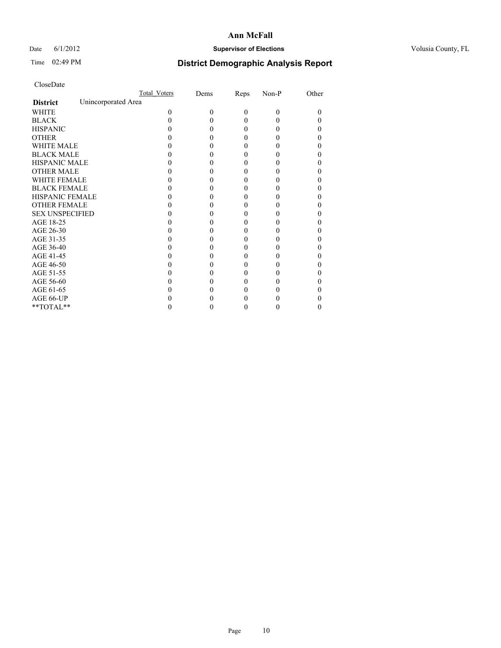### Date 6/1/2012 **Supervisor of Elections Supervisor of Elections** Volusia County, FL

# Time 02:49 PM **District Demographic Analysis Report**

|                        | Total Voters        | Dems     | Reps     | Non-P    | Other |
|------------------------|---------------------|----------|----------|----------|-------|
| <b>District</b>        | Unincorporated Area |          |          |          |       |
| <b>WHITE</b>           | 0                   | $\Omega$ | $\theta$ | $\Omega$ | 0     |
| <b>BLACK</b>           |                     | 0        | 0        |          |       |
| <b>HISPANIC</b>        |                     | 0        | 0        |          | 0     |
| <b>OTHER</b>           |                     |          |          |          |       |
| <b>WHITE MALE</b>      |                     |          | 0        |          |       |
| <b>BLACK MALE</b>      |                     |          | 0        |          |       |
| <b>HISPANIC MALE</b>   |                     |          |          |          |       |
| <b>OTHER MALE</b>      |                     |          |          |          |       |
| <b>WHITE FEMALE</b>    |                     |          | 0        |          |       |
| <b>BLACK FEMALE</b>    |                     | 0        | 0        |          |       |
| HISPANIC FEMALE        |                     |          |          |          |       |
| <b>OTHER FEMALE</b>    |                     |          |          |          |       |
| <b>SEX UNSPECIFIED</b> |                     |          | 0        |          |       |
| AGE 18-25              |                     |          |          |          |       |
| AGE 26-30              |                     |          | 0        |          |       |
| AGE 31-35              |                     |          |          |          |       |
| AGE 36-40              |                     |          | 0        |          |       |
| AGE 41-45              |                     |          |          |          |       |
| AGE 46-50              |                     |          |          |          |       |
| AGE 51-55              |                     |          |          |          |       |
| AGE 56-60              |                     |          | 0        |          |       |
| AGE 61-65              |                     |          |          |          | 0     |
| AGE 66-UP              |                     |          |          |          |       |
| **TOTAL**              |                     |          | 0        |          | 0     |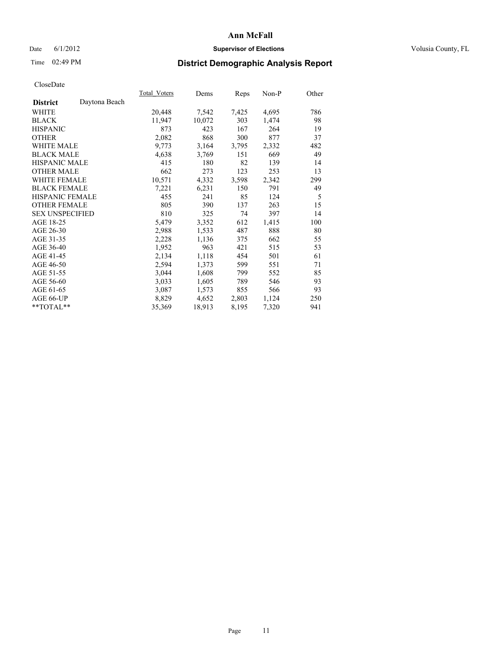### Date 6/1/2012 **Supervisor of Elections Supervisor of Elections** Volusia County, FL

## Time 02:49 PM **District Demographic Analysis Report**

|                        |               | Total Voters | Dems   | Reps  | Non-P | Other |
|------------------------|---------------|--------------|--------|-------|-------|-------|
| <b>District</b>        | Daytona Beach |              |        |       |       |       |
| <b>WHITE</b>           |               | 20,448       | 7,542  | 7,425 | 4,695 | 786   |
| <b>BLACK</b>           |               | 11,947       | 10,072 | 303   | 1,474 | 98    |
| <b>HISPANIC</b>        |               | 873          | 423    | 167   | 264   | 19    |
| <b>OTHER</b>           |               | 2,082        | 868    | 300   | 877   | 37    |
| <b>WHITE MALE</b>      |               | 9,773        | 3,164  | 3,795 | 2,332 | 482   |
| <b>BLACK MALE</b>      |               | 4,638        | 3,769  | 151   | 669   | 49    |
| <b>HISPANIC MALE</b>   |               | 415          | 180    | 82    | 139   | 14    |
| <b>OTHER MALE</b>      |               | 662          | 273    | 123   | 253   | 13    |
| <b>WHITE FEMALE</b>    |               | 10,571       | 4,332  | 3,598 | 2,342 | 299   |
| <b>BLACK FEMALE</b>    |               | 7,221        | 6,231  | 150   | 791   | 49    |
| HISPANIC FEMALE        |               | 455          | 241    | 85    | 124   | 5     |
| <b>OTHER FEMALE</b>    |               | 805          | 390    | 137   | 263   | 15    |
| <b>SEX UNSPECIFIED</b> |               | 810          | 325    | 74    | 397   | 14    |
| AGE 18-25              |               | 5,479        | 3,352  | 612   | 1,415 | 100   |
| AGE 26-30              |               | 2,988        | 1,533  | 487   | 888   | 80    |
| AGE 31-35              |               | 2,228        | 1,136  | 375   | 662   | 55    |
| AGE 36-40              |               | 1,952        | 963    | 421   | 515   | 53    |
| AGE 41-45              |               | 2,134        | 1,118  | 454   | 501   | 61    |
| AGE 46-50              |               | 2,594        | 1,373  | 599   | 551   | 71    |
| AGE 51-55              |               | 3,044        | 1,608  | 799   | 552   | 85    |
| AGE 56-60              |               | 3,033        | 1,605  | 789   | 546   | 93    |
| AGE 61-65              |               | 3,087        | 1,573  | 855   | 566   | 93    |
| AGE 66-UP              |               | 8,829        | 4,652  | 2,803 | 1,124 | 250   |
| $*$ $TOTAL**$          |               | 35,369       | 18,913 | 8,195 | 7,320 | 941   |
|                        |               |              |        |       |       |       |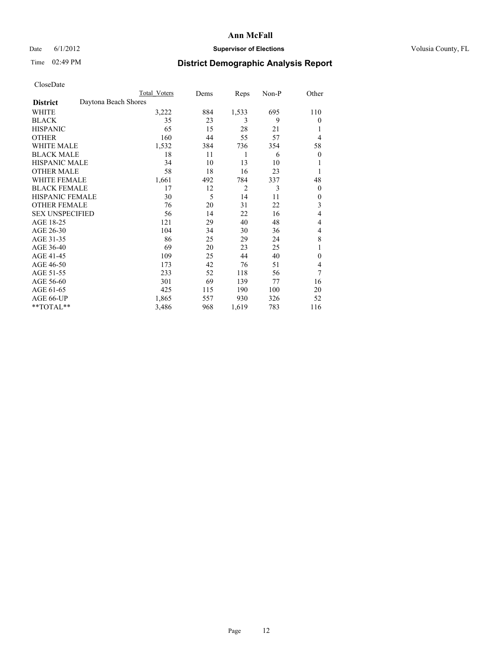### Date 6/1/2012 **Supervisor of Elections Supervisor of Elections** Volusia County, FL

# Time 02:49 PM **District Demographic Analysis Report**

|                        | Total Voters         | Dems | Reps           | Non-P | Other          |
|------------------------|----------------------|------|----------------|-------|----------------|
| <b>District</b>        | Daytona Beach Shores |      |                |       |                |
| WHITE                  | 3,222                | 884  | 1,533          | 695   | 110            |
| <b>BLACK</b>           | 35                   | 23   | 3              | 9     | $\theta$       |
| <b>HISPANIC</b>        | 65                   | 15   | 28             | 21    | 1              |
| <b>OTHER</b>           | 160                  | 44   | 55             | 57    | 4              |
| WHITE MALE             | 1,532                | 384  | 736            | 354   | 58             |
| <b>BLACK MALE</b>      | 18                   | 11   | 1              | 6     | $\overline{0}$ |
| <b>HISPANIC MALE</b>   | 34                   | 10   | 13             | 10    | 1              |
| <b>OTHER MALE</b>      | 58                   | 18   | 16             | 23    | 1              |
| <b>WHITE FEMALE</b>    | 1,661                | 492  | 784            | 337   | 48             |
| <b>BLACK FEMALE</b>    | 17                   | 12   | $\overline{2}$ | 3     | $\overline{0}$ |
| <b>HISPANIC FEMALE</b> | 30                   | 5    | 14             | 11    | $\theta$       |
| <b>OTHER FEMALE</b>    | 76                   | 20   | 31             | 22    | 3              |
| <b>SEX UNSPECIFIED</b> | 56                   | 14   | 22             | 16    | 4              |
| AGE 18-25              | 121                  | 29   | 40             | 48    | 4              |
| AGE 26-30              | 104                  | 34   | 30             | 36    | 4              |
| AGE 31-35              | 86                   | 25   | 29             | 24    | 8              |
| AGE 36-40              | 69                   | 20   | 23             | 25    | 1              |
| AGE 41-45              | 109                  | 25   | 44             | 40    | $\theta$       |
| AGE 46-50              | 173                  | 42   | 76             | 51    | 4              |
| AGE 51-55              | 233                  | 52   | 118            | 56    | 7              |
| AGE 56-60              | 301                  | 69   | 139            | 77    | 16             |
| AGE 61-65              | 425                  | 115  | 190            | 100   | 20             |
| AGE 66-UP              | 1,865                | 557  | 930            | 326   | 52             |
| **TOTAL**              | 3,486                | 968  | 1,619          | 783   | 116            |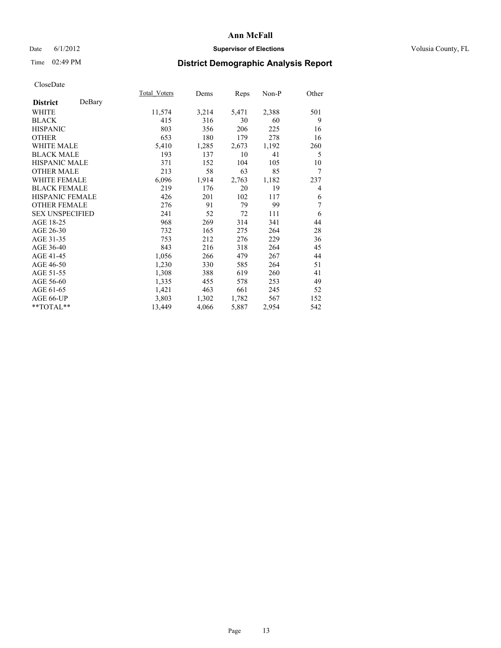### Date 6/1/2012 **Supervisor of Elections Supervisor of Elections** Volusia County, FL

# Time 02:49 PM **District Demographic Analysis Report**

|                        |        | Total Voters | Dems  | <b>Reps</b> | Non-P | Other |
|------------------------|--------|--------------|-------|-------------|-------|-------|
| <b>District</b>        | DeBary |              |       |             |       |       |
| <b>WHITE</b>           |        | 11,574       | 3,214 | 5,471       | 2,388 | 501   |
| <b>BLACK</b>           |        | 415          | 316   | 30          | 60    | 9     |
| <b>HISPANIC</b>        |        | 803          | 356   | 206         | 225   | 16    |
| <b>OTHER</b>           |        | 653          | 180   | 179         | 278   | 16    |
| WHITE MALE             |        | 5,410        | 1,285 | 2,673       | 1,192 | 260   |
| <b>BLACK MALE</b>      |        | 193          | 137   | 10          | 41    | 5     |
| <b>HISPANIC MALE</b>   |        | 371          | 152   | 104         | 105   | 10    |
| <b>OTHER MALE</b>      |        | 213          | 58    | 63          | 85    | 7     |
| <b>WHITE FEMALE</b>    |        | 6,096        | 1,914 | 2,763       | 1,182 | 237   |
| <b>BLACK FEMALE</b>    |        | 219          | 176   | 20          | 19    | 4     |
| HISPANIC FEMALE        |        | 426          | 201   | 102         | 117   | 6     |
| <b>OTHER FEMALE</b>    |        | 276          | 91    | 79          | 99    | 7     |
| <b>SEX UNSPECIFIED</b> |        | 241          | 52    | 72          | 111   | 6     |
| AGE 18-25              |        | 968          | 269   | 314         | 341   | 44    |
| AGE 26-30              |        | 732          | 165   | 275         | 264   | 28    |
| AGE 31-35              |        | 753          | 212   | 276         | 229   | 36    |
| AGE 36-40              |        | 843          | 216   | 318         | 264   | 45    |
| AGE 41-45              |        | 1,056        | 266   | 479         | 267   | 44    |
| AGE 46-50              |        | 1,230        | 330   | 585         | 264   | 51    |
| AGE 51-55              |        | 1,308        | 388   | 619         | 260   | 41    |
| AGE 56-60              |        | 1,335        | 455   | 578         | 253   | 49    |
| AGE 61-65              |        | 1,421        | 463   | 661         | 245   | 52    |
| AGE 66-UP              |        | 3,803        | 1,302 | 1,782       | 567   | 152   |
| $*$ TOTAL $*$          |        | 13,449       | 4,066 | 5,887       | 2,954 | 542   |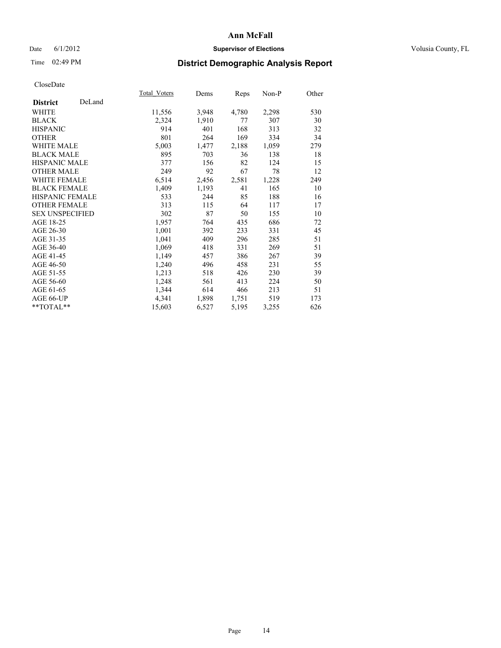### Date 6/1/2012 **Supervisor of Elections Supervisor of Elections** Volusia County, FL

# Time 02:49 PM **District Demographic Analysis Report**

| <b>Total Voters</b> | Dems  | <b>Reps</b> | $Non-P$ | Other |
|---------------------|-------|-------------|---------|-------|
|                     |       |             |         |       |
| 11,556              | 3,948 | 4,780       | 2,298   | 530   |
| 2,324               | 1,910 | 77          | 307     | 30    |
| 914                 | 401   | 168         | 313     | 32    |
| 801                 | 264   | 169         | 334     | 34    |
| 5,003               | 1,477 | 2,188       | 1,059   | 279   |
| 895                 | 703   | 36          | 138     | 18    |
| 377                 | 156   | 82          | 124     | 15    |
| 249                 | 92    | 67          | 78      | 12    |
| 6,514               | 2,456 | 2,581       | 1,228   | 249   |
| 1,409               | 1,193 | 41          | 165     | 10    |
| 533                 | 244   | 85          | 188     | 16    |
| 313                 | 115   | 64          | 117     | 17    |
| 302                 | 87    | 50          | 155     | 10    |
| 1,957               | 764   | 435         | 686     | 72    |
| 1,001               | 392   | 233         | 331     | 45    |
| 1,041               | 409   | 296         | 285     | 51    |
| 1,069               | 418   | 331         | 269     | 51    |
| 1,149               | 457   | 386         | 267     | 39    |
| 1,240               | 496   | 458         | 231     | 55    |
| 1,213               | 518   | 426         | 230     | 39    |
| 1,248               | 561   | 413         | 224     | 50    |
| 1,344               | 614   | 466         | 213     | 51    |
| 4,341               | 1,898 | 1,751       | 519     | 173   |
| 15,603              | 6,527 | 5,195       | 3,255   | 626   |
|                     |       |             |         |       |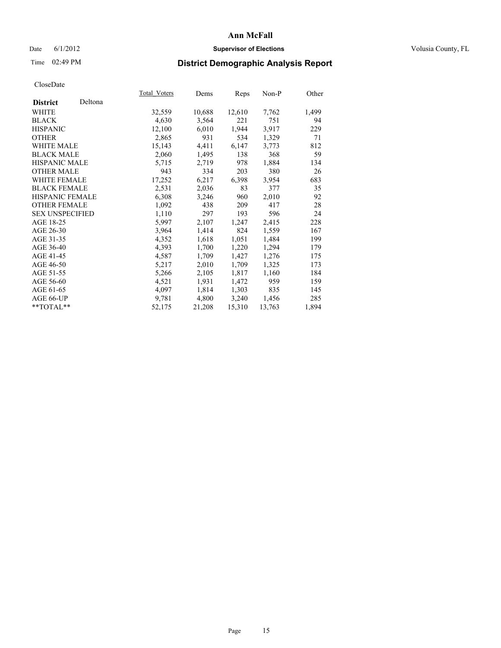### Date 6/1/2012 **Supervisor of Elections Supervisor of Elections** Volusia County, FL

# Time 02:49 PM **District Demographic Analysis Report**

|                        |         | Total Voters | Dems   | Reps   | Non-P  | Other |
|------------------------|---------|--------------|--------|--------|--------|-------|
| <b>District</b>        | Deltona |              |        |        |        |       |
| WHITE                  |         | 32,559       | 10,688 | 12,610 | 7,762  | 1,499 |
| <b>BLACK</b>           |         | 4,630        | 3,564  | 221    | 751    | 94    |
| <b>HISPANIC</b>        |         | 12,100       | 6,010  | 1,944  | 3,917  | 229   |
| <b>OTHER</b>           |         | 2,865        | 931    | 534    | 1,329  | 71    |
| WHITE MALE             |         | 15,143       | 4,411  | 6,147  | 3,773  | 812   |
| <b>BLACK MALE</b>      |         | 2,060        | 1,495  | 138    | 368    | 59    |
| <b>HISPANIC MALE</b>   |         | 5,715        | 2,719  | 978    | 1,884  | 134   |
| <b>OTHER MALE</b>      |         | 943          | 334    | 203    | 380    | 26    |
| WHITE FEMALE           |         | 17,252       | 6,217  | 6,398  | 3,954  | 683   |
| <b>BLACK FEMALE</b>    |         | 2,531        | 2,036  | 83     | 377    | 35    |
| <b>HISPANIC FEMALE</b> |         | 6,308        | 3,246  | 960    | 2,010  | 92    |
| <b>OTHER FEMALE</b>    |         | 1,092        | 438    | 209    | 417    | 28    |
| <b>SEX UNSPECIFIED</b> |         | 1,110        | 297    | 193    | 596    | 24    |
| AGE 18-25              |         | 5,997        | 2,107  | 1,247  | 2,415  | 228   |
| AGE 26-30              |         | 3,964        | 1,414  | 824    | 1,559  | 167   |
| AGE 31-35              |         | 4,352        | 1,618  | 1,051  | 1,484  | 199   |
| AGE 36-40              |         | 4,393        | 1,700  | 1,220  | 1,294  | 179   |
| AGE 41-45              |         | 4,587        | 1,709  | 1,427  | 1,276  | 175   |
| AGE 46-50              |         | 5,217        | 2,010  | 1,709  | 1,325  | 173   |
| AGE 51-55              |         | 5,266        | 2,105  | 1,817  | 1,160  | 184   |
| AGE 56-60              |         | 4,521        | 1,931  | 1,472  | 959    | 159   |
| AGE 61-65              |         | 4,097        | 1,814  | 1,303  | 835    | 145   |
| AGE 66-UP              |         | 9,781        | 4,800  | 3,240  | 1,456  | 285   |
| **TOTAL**              |         | 52,175       | 21,208 | 15,310 | 13,763 | 1,894 |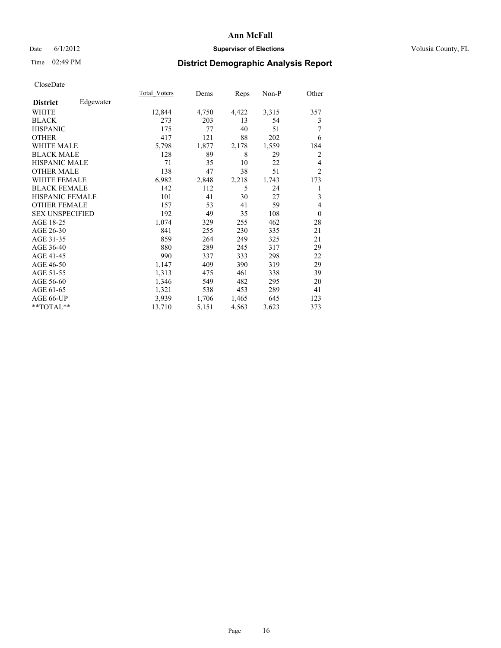### Date 6/1/2012 **Supervisor of Elections Supervisor of Elections** Volusia County, FL

# Time 02:49 PM **District Demographic Analysis Report**

|                        |           | Total Voters | Dems  | Reps  | Non-P | Other          |
|------------------------|-----------|--------------|-------|-------|-------|----------------|
| <b>District</b>        | Edgewater |              |       |       |       |                |
| WHITE                  |           | 12,844       | 4,750 | 4,422 | 3,315 | 357            |
| <b>BLACK</b>           |           | 273          | 203   | 13    | 54    | 3              |
| <b>HISPANIC</b>        |           | 175          | 77    | 40    | 51    | 7              |
| <b>OTHER</b>           |           | 417          | 121   | 88    | 202   | 6              |
| WHITE MALE             |           | 5,798        | 1,877 | 2,178 | 1,559 | 184            |
| <b>BLACK MALE</b>      |           | 128          | 89    | 8     | 29    | $\overline{2}$ |
| <b>HISPANIC MALE</b>   |           | 71           | 35    | 10    | 22    | 4              |
| <b>OTHER MALE</b>      |           | 138          | 47    | 38    | 51    | $\overline{2}$ |
| <b>WHITE FEMALE</b>    |           | 6,982        | 2,848 | 2,218 | 1,743 | 173            |
| <b>BLACK FEMALE</b>    |           | 142          | 112   | 5     | 24    | 1              |
| <b>HISPANIC FEMALE</b> |           | 101          | 41    | 30    | 27    | 3              |
| <b>OTHER FEMALE</b>    |           | 157          | 53    | 41    | 59    | $\overline{4}$ |
| <b>SEX UNSPECIFIED</b> |           | 192          | 49    | 35    | 108   | $\theta$       |
| AGE 18-25              |           | 1,074        | 329   | 255   | 462   | 28             |
| AGE 26-30              |           | 841          | 255   | 230   | 335   | 21             |
| AGE 31-35              |           | 859          | 264   | 249   | 325   | 21             |
| AGE 36-40              |           | 880          | 289   | 245   | 317   | 29             |
| AGE 41-45              |           | 990          | 337   | 333   | 298   | 22             |
| AGE 46-50              |           | 1,147        | 409   | 390   | 319   | 29             |
| AGE 51-55              |           | 1,313        | 475   | 461   | 338   | 39             |
| AGE 56-60              |           | 1,346        | 549   | 482   | 295   | 20             |
| AGE 61-65              |           | 1,321        | 538   | 453   | 289   | 41             |
| AGE 66-UP              |           | 3,939        | 1,706 | 1,465 | 645   | 123            |
| **TOTAL**              |           | 13,710       | 5,151 | 4,563 | 3,623 | 373            |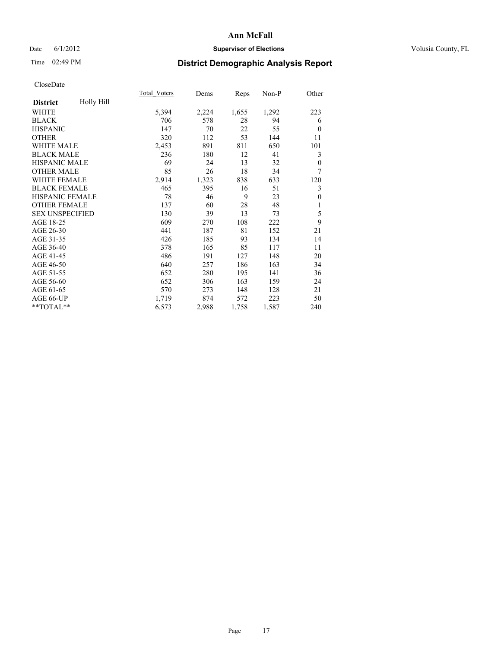### Date 6/1/2012 **Supervisor of Elections Supervisor of Elections** Volusia County, FL

# Time 02:49 PM **District Demographic Analysis Report**

|                        |            | Total Voters | Dems  | Reps  | Non-P | Other    |
|------------------------|------------|--------------|-------|-------|-------|----------|
| <b>District</b>        | Holly Hill |              |       |       |       |          |
| WHITE                  |            | 5,394        | 2,224 | 1,655 | 1,292 | 223      |
| <b>BLACK</b>           |            | 706          | 578   | 28    | 94    | 6        |
| <b>HISPANIC</b>        |            | 147          | 70    | 22    | 55    | $\theta$ |
| <b>OTHER</b>           |            | 320          | 112   | 53    | 144   | 11       |
| <b>WHITE MALE</b>      |            | 2,453        | 891   | 811   | 650   | 101      |
| <b>BLACK MALE</b>      |            | 236          | 180   | 12    | 41    | 3        |
| <b>HISPANIC MALE</b>   |            | 69           | 24    | 13    | 32    | $\theta$ |
| <b>OTHER MALE</b>      |            | 85           | 26    | 18    | 34    | 7        |
| <b>WHITE FEMALE</b>    |            | 2,914        | 1,323 | 838   | 633   | 120      |
| <b>BLACK FEMALE</b>    |            | 465          | 395   | 16    | 51    | 3        |
| <b>HISPANIC FEMALE</b> |            | 78           | 46    | 9     | 23    | $\theta$ |
| <b>OTHER FEMALE</b>    |            | 137          | 60    | 28    | 48    | 1        |
| <b>SEX UNSPECIFIED</b> |            | 130          | 39    | 13    | 73    | 5        |
| AGE 18-25              |            | 609          | 270   | 108   | 222   | 9        |
| AGE 26-30              |            | 441          | 187   | 81    | 152   | 21       |
| AGE 31-35              |            | 426          | 185   | 93    | 134   | 14       |
| AGE 36-40              |            | 378          | 165   | 85    | 117   | 11       |
| AGE 41-45              |            | 486          | 191   | 127   | 148   | 20       |
| AGE 46-50              |            | 640          | 257   | 186   | 163   | 34       |
| AGE 51-55              |            | 652          | 280   | 195   | 141   | 36       |
| AGE 56-60              |            | 652          | 306   | 163   | 159   | 24       |
| AGE 61-65              |            | 570          | 273   | 148   | 128   | 21       |
| AGE 66-UP              |            | 1,719        | 874   | 572   | 223   | 50       |
| **TOTAL**              |            | 6,573        | 2,988 | 1,758 | 1,587 | 240      |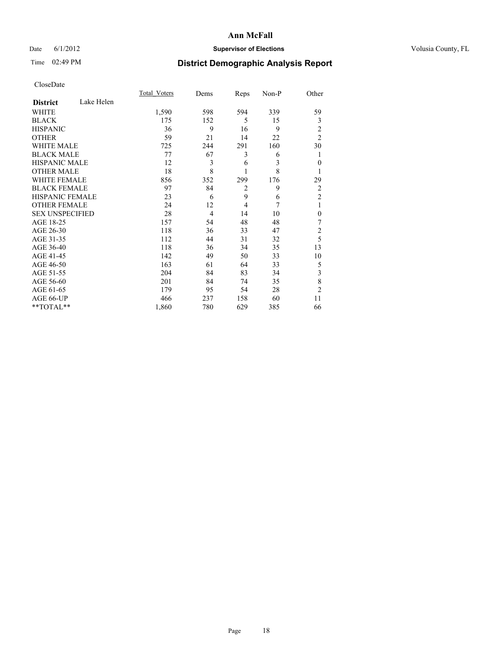### Date 6/1/2012 **Supervisor of Elections Supervisor of Elections** Volusia County, FL

# Time 02:49 PM **District Demographic Analysis Report**

|                        |            | <b>Total Voters</b> | Dems           | Reps           | Non-P | Other          |
|------------------------|------------|---------------------|----------------|----------------|-------|----------------|
| <b>District</b>        | Lake Helen |                     |                |                |       |                |
| <b>WHITE</b>           |            | 1,590               | 598            | 594            | 339   | 59             |
| <b>BLACK</b>           |            | 175                 | 152            | 5              | 15    | 3              |
| <b>HISPANIC</b>        |            | 36                  | 9              | 16             | 9     | 2              |
| <b>OTHER</b>           |            | 59                  | 21             | 14             | 22    | $\overline{2}$ |
| WHITE MALE             |            | 725                 | 244            | 291            | 160   | 30             |
| <b>BLACK MALE</b>      |            | 77                  | 67             | 3              | 6     | 1              |
| <b>HISPANIC MALE</b>   |            | 12                  | 3              | 6              | 3     | $\theta$       |
| <b>OTHER MALE</b>      |            | 18                  | 8              | 1              | 8     | 1              |
| WHITE FEMALE           |            | 856                 | 352            | 299            | 176   | 29             |
| <b>BLACK FEMALE</b>    |            | 97                  | 84             | $\overline{2}$ | 9     | $\overline{2}$ |
| HISPANIC FEMALE        |            | 23                  | 6              | 9              | 6     | $\overline{2}$ |
| <b>OTHER FEMALE</b>    |            | 24                  | 12             | $\overline{4}$ | 7     | 1              |
| <b>SEX UNSPECIFIED</b> |            | 28                  | $\overline{4}$ | 14             | 10    | $\theta$       |
| AGE 18-25              |            | 157                 | 54             | 48             | 48    | 7              |
| AGE 26-30              |            | 118                 | 36             | 33             | 47    | $\overline{2}$ |
| AGE 31-35              |            | 112                 | 44             | 31             | 32    | 5              |
| AGE 36-40              |            | 118                 | 36             | 34             | 35    | 13             |
| AGE 41-45              |            | 142                 | 49             | 50             | 33    | 10             |
| AGE 46-50              |            | 163                 | 61             | 64             | 33    | 5              |
| AGE 51-55              |            | 204                 | 84             | 83             | 34    | 3              |
| AGE 56-60              |            | 201                 | 84             | 74             | 35    | 8              |
| AGE 61-65              |            | 179                 | 95             | 54             | 28    | $\overline{2}$ |
| AGE 66-UP              |            | 466                 | 237            | 158            | 60    | 11             |
| **TOTAL**              |            | 1,860               | 780            | 629            | 385   | 66             |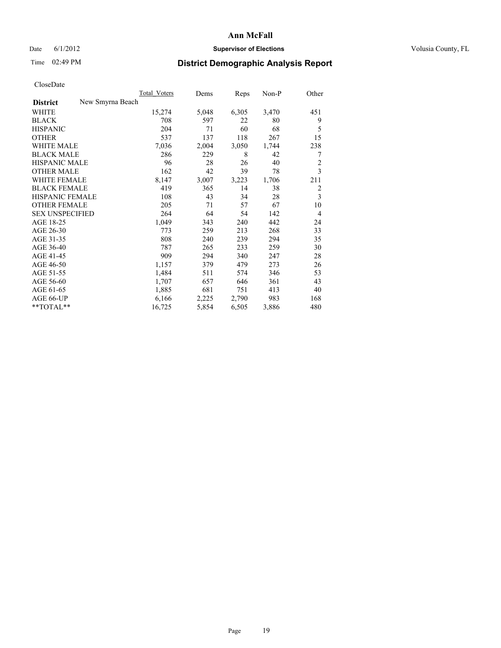### Date 6/1/2012 **Supervisor of Elections Supervisor of Elections** Volusia County, FL

## Time 02:49 PM **District Demographic Analysis Report**

|                                     | <b>Total Voters</b> | Dems  | Reps  | Non-P | Other          |
|-------------------------------------|---------------------|-------|-------|-------|----------------|
| New Smyrna Beach<br><b>District</b> |                     |       |       |       |                |
| WHITE                               | 15,274              | 5,048 | 6,305 | 3,470 | 451            |
| <b>BLACK</b>                        | 708                 | 597   | 22    | 80    | 9              |
| <b>HISPANIC</b>                     | 204                 | 71    | 60    | 68    | 5              |
| <b>OTHER</b>                        | 537                 | 137   | 118   | 267   | 15             |
| <b>WHITE MALE</b>                   | 7,036               | 2,004 | 3,050 | 1,744 | 238            |
| <b>BLACK MALE</b>                   | 286                 | 229   | 8     | 42    | 7              |
| HISPANIC MALE                       | 96                  | 28    | 26    | 40    | $\overline{c}$ |
| <b>OTHER MALE</b>                   | 162                 | 42    | 39    | 78    | 3              |
| <b>WHITE FEMALE</b>                 | 8,147               | 3,007 | 3,223 | 1,706 | 211            |
| <b>BLACK FEMALE</b>                 | 419                 | 365   | 14    | 38    | $\overline{2}$ |
| HISPANIC FEMALE                     | 108                 | 43    | 34    | 28    | 3              |
| <b>OTHER FEMALE</b>                 | 205                 | 71    | 57    | 67    | 10             |
| <b>SEX UNSPECIFIED</b>              | 264                 | 64    | 54    | 142   | $\overline{4}$ |
| AGE 18-25                           | 1,049               | 343   | 240   | 442   | 24             |
| AGE 26-30                           | 773                 | 259   | 213   | 268   | 33             |
| AGE 31-35                           | 808                 | 240   | 239   | 294   | 35             |
| AGE 36-40                           | 787                 | 265   | 233   | 259   | 30             |
| AGE 41-45                           | 909                 | 294   | 340   | 247   | 28             |
| AGE 46-50                           | 1,157               | 379   | 479   | 273   | 26             |
| AGE 51-55                           | 1,484               | 511   | 574   | 346   | 53             |
| AGE 56-60                           | 1,707               | 657   | 646   | 361   | 43             |
| AGE 61-65                           | 1,885               | 681   | 751   | 413   | 40             |
| AGE 66-UP                           | 6,166               | 2,225 | 2,790 | 983   | 168            |
| $*$ $TOTAL**$                       | 16,725              | 5,854 | 6,505 | 3,886 | 480            |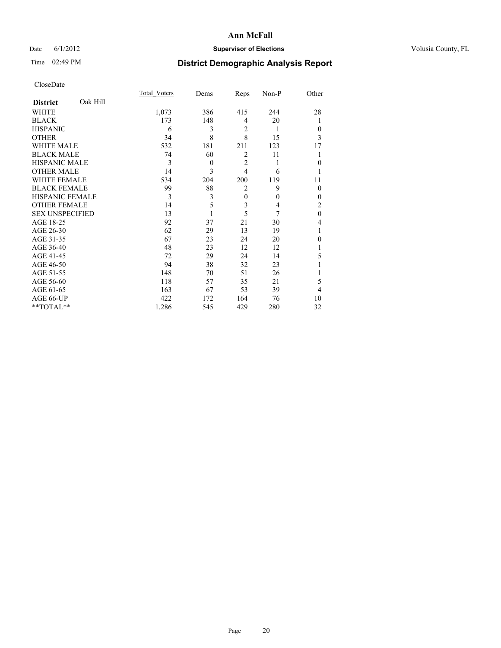### Date 6/1/2012 **Supervisor of Elections Supervisor of Elections** Volusia County, FL

# Time 02:49 PM **District Demographic Analysis Report**

|                        |          | <b>Total Voters</b> | Dems     | Reps           | Non-P    | Other        |
|------------------------|----------|---------------------|----------|----------------|----------|--------------|
| <b>District</b>        | Oak Hill |                     |          |                |          |              |
| WHITE                  |          | 1,073               | 386      | 415            | 244      | 28           |
| <b>BLACK</b>           |          | 173                 | 148      | 4              | 20       | 1            |
| <b>HISPANIC</b>        |          | 6                   | 3        | 2              | 1        | $\Omega$     |
| <b>OTHER</b>           |          | 34                  | 8        | 8              | 15       | 3            |
| WHITE MALE             |          | 532                 | 181      | 211            | 123      | 17           |
| <b>BLACK MALE</b>      |          | 74                  | 60       | $\overline{2}$ | 11       |              |
| <b>HISPANIC MALE</b>   |          | 3                   | $\theta$ | $\overline{2}$ | 1        | $\Omega$     |
| <b>OTHER MALE</b>      |          | 14                  | 3        | $\overline{4}$ | 6        |              |
| <b>WHITE FEMALE</b>    |          | 534                 | 204      | 200            | 119      | 11           |
| <b>BLACK FEMALE</b>    |          | 99                  | 88       | $\overline{2}$ | 9        | $\Omega$     |
| <b>HISPANIC FEMALE</b> |          | 3                   | 3        | $\mathbf{0}$   | $\theta$ | $\Omega$     |
| <b>OTHER FEMALE</b>    |          | 14                  | 5        | 3              | 4        | 2            |
| <b>SEX UNSPECIFIED</b> |          | 13                  |          | 5              | 7        | $\mathbf{0}$ |
| AGE 18-25              |          | 92                  | 37       | 21             | 30       | 4            |
| AGE 26-30              |          | 62                  | 29       | 13             | 19       | 1            |
| AGE 31-35              |          | 67                  | 23       | 24             | 20       | $\theta$     |
| AGE 36-40              |          | 48                  | 23       | 12             | 12       |              |
| AGE 41-45              |          | 72                  | 29       | 24             | 14       | 5            |
| AGE 46-50              |          | 94                  | 38       | 32             | 23       |              |
| AGE 51-55              |          | 148                 | 70       | 51             | 26       |              |
| AGE 56-60              |          | 118                 | 57       | 35             | 21       | 5            |
| AGE 61-65              |          | 163                 | 67       | 53             | 39       | 4            |
| AGE 66-UP              |          | 422                 | 172      | 164            | 76       | 10           |
| **TOTAL**              |          | 1,286               | 545      | 429            | 280      | 32           |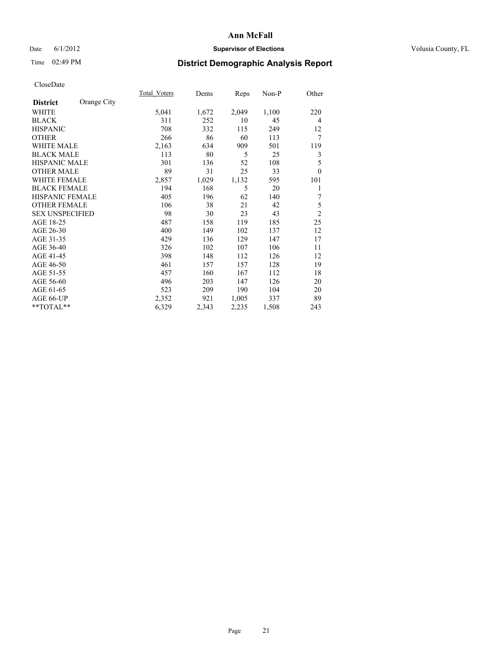### Date 6/1/2012 **Supervisor of Elections Supervisor of Elections** Volusia County, FL

# Time 02:49 PM **District Demographic Analysis Report**

|                        |             | Total Voters | Dems  | Reps  | $Non-P$ | Other          |
|------------------------|-------------|--------------|-------|-------|---------|----------------|
| <b>District</b>        | Orange City |              |       |       |         |                |
| WHITE                  |             | 5,041        | 1,672 | 2,049 | 1,100   | 220            |
| <b>BLACK</b>           |             | 311          | 252   | 10    | 45      | $\overline{4}$ |
| <b>HISPANIC</b>        |             | 708          | 332   | 115   | 249     | 12             |
| <b>OTHER</b>           |             | 266          | 86    | 60    | 113     | 7              |
| <b>WHITE MALE</b>      |             | 2,163        | 634   | 909   | 501     | 119            |
| <b>BLACK MALE</b>      |             | 113          | 80    | 5     | 25      | 3              |
| HISPANIC MALE          |             | 301          | 136   | 52    | 108     | 5              |
| <b>OTHER MALE</b>      |             | 89           | 31    | 25    | 33      | $\theta$       |
| <b>WHITE FEMALE</b>    |             | 2,857        | 1,029 | 1,132 | 595     | 101            |
| <b>BLACK FEMALE</b>    |             | 194          | 168   | 5     | 20      | 1              |
| <b>HISPANIC FEMALE</b> |             | 405          | 196   | 62    | 140     | 7              |
| <b>OTHER FEMALE</b>    |             | 106          | 38    | 21    | 42      | 5              |
| <b>SEX UNSPECIFIED</b> |             | 98           | 30    | 23    | 43      | $\overline{c}$ |
| AGE 18-25              |             | 487          | 158   | 119   | 185     | 25             |
| AGE 26-30              |             | 400          | 149   | 102   | 137     | 12             |
| AGE 31-35              |             | 429          | 136   | 129   | 147     | 17             |
| AGE 36-40              |             | 326          | 102   | 107   | 106     | 11             |
| AGE 41-45              |             | 398          | 148   | 112   | 126     | 12             |
| AGE 46-50              |             | 461          | 157   | 157   | 128     | 19             |
| AGE 51-55              |             | 457          | 160   | 167   | 112     | 18             |
| AGE 56-60              |             | 496          | 203   | 147   | 126     | 20             |
| AGE 61-65              |             | 523          | 209   | 190   | 104     | 20             |
| AGE 66-UP              |             | 2,352        | 921   | 1,005 | 337     | 89             |
| **TOTAL**              |             | 6,329        | 2,343 | 2,235 | 1,508   | 243            |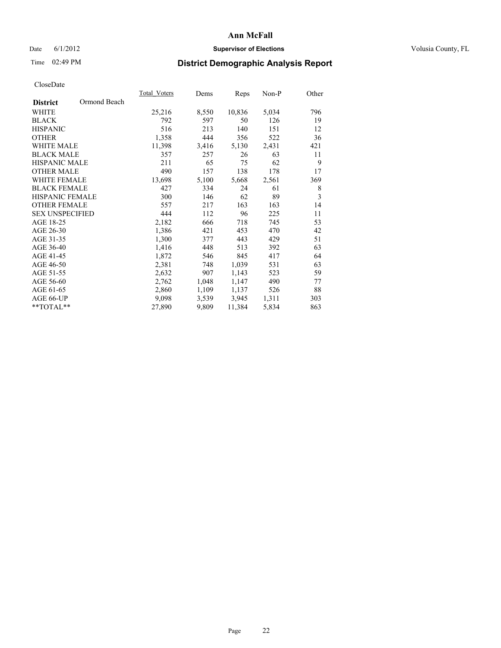### Date 6/1/2012 **Supervisor of Elections Supervisor of Elections** Volusia County, FL

# Time 02:49 PM **District Demographic Analysis Report**

|                        |              | Total Voters | Dems  | <b>Reps</b> | Non-P | Other |
|------------------------|--------------|--------------|-------|-------------|-------|-------|
| <b>District</b>        | Ormond Beach |              |       |             |       |       |
| WHITE                  |              | 25,216       | 8,550 | 10,836      | 5,034 | 796   |
| <b>BLACK</b>           |              | 792          | 597   | 50          | 126   | 19    |
| <b>HISPANIC</b>        |              | 516          | 213   | 140         | 151   | 12    |
| <b>OTHER</b>           |              | 1,358        | 444   | 356         | 522   | 36    |
| <b>WHITE MALE</b>      |              | 11,398       | 3,416 | 5,130       | 2,431 | 421   |
| <b>BLACK MALE</b>      |              | 357          | 257   | 26          | 63    | 11    |
| <b>HISPANIC MALE</b>   |              | 211          | 65    | 75          | 62    | 9     |
| <b>OTHER MALE</b>      |              | 490          | 157   | 138         | 178   | 17    |
| <b>WHITE FEMALE</b>    |              | 13,698       | 5,100 | 5,668       | 2,561 | 369   |
| <b>BLACK FEMALE</b>    |              | 427          | 334   | 24          | 61    | 8     |
| HISPANIC FEMALE        |              | 300          | 146   | 62          | 89    | 3     |
| <b>OTHER FEMALE</b>    |              | 557          | 217   | 163         | 163   | 14    |
| <b>SEX UNSPECIFIED</b> |              | 444          | 112   | 96          | 225   | 11    |
| AGE 18-25              |              | 2,182        | 666   | 718         | 745   | 53    |
| AGE 26-30              |              | 1,386        | 421   | 453         | 470   | 42    |
| AGE 31-35              |              | 1,300        | 377   | 443         | 429   | 51    |
| AGE 36-40              |              | 1,416        | 448   | 513         | 392   | 63    |
| AGE 41-45              |              | 1,872        | 546   | 845         | 417   | 64    |
| AGE 46-50              |              | 2,381        | 748   | 1,039       | 531   | 63    |
| AGE 51-55              |              | 2,632        | 907   | 1,143       | 523   | 59    |
| AGE 56-60              |              | 2,762        | 1,048 | 1,147       | 490   | 77    |
| AGE 61-65              |              | 2,860        | 1,109 | 1,137       | 526   | 88    |
| AGE 66-UP              |              | 9,098        | 3,539 | 3,945       | 1,311 | 303   |
| **TOTAL**              |              | 27,890       | 9,809 | 11,384      | 5,834 | 863   |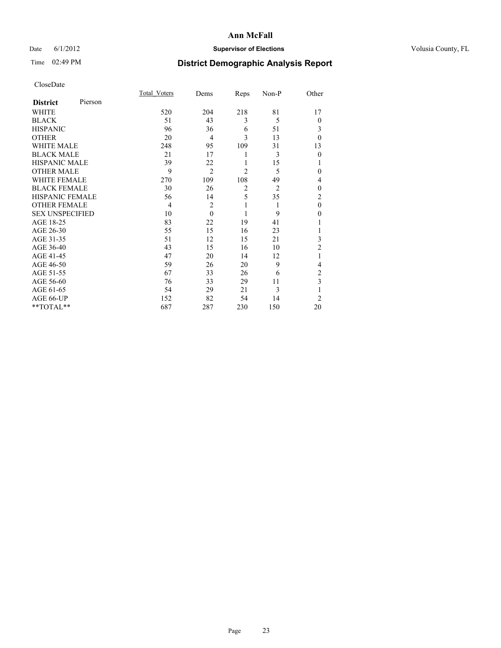### Date 6/1/2012 **Supervisor of Elections Supervisor of Elections** Volusia County, FL

# Time 02:49 PM **District Demographic Analysis Report**

|                        |         | Total Voters | Dems           | Reps           | Non-P          | Other          |
|------------------------|---------|--------------|----------------|----------------|----------------|----------------|
| <b>District</b>        | Pierson |              |                |                |                |                |
| WHITE                  |         | 520          | 204            | 218            | 81             | 17             |
| <b>BLACK</b>           |         | 51           | 43             | 3              | 5              | $\theta$       |
| <b>HISPANIC</b>        |         | 96           | 36             | 6              | 51             | 3              |
| <b>OTHER</b>           |         | 20           | $\overline{4}$ | 3              | 13             | $\theta$       |
| WHITE MALE             |         | 248          | 95             | 109            | 31             | 13             |
| <b>BLACK MALE</b>      |         | 21           | 17             | 1              | 3              | $\mathbf{0}$   |
| <b>HISPANIC MALE</b>   |         | 39           | 22             | 1              | 15             |                |
| <b>OTHER MALE</b>      |         | 9            | $\overline{2}$ | $\overline{2}$ | 5              | 0              |
| <b>WHITE FEMALE</b>    |         | 270          | 109            | 108            | 49             | 4              |
| <b>BLACK FEMALE</b>    |         | 30           | 26             | $\overline{2}$ | $\overline{2}$ | $\theta$       |
| <b>HISPANIC FEMALE</b> |         | 56           | 14             | 5              | 35             | $\overline{c}$ |
| <b>OTHER FEMALE</b>    |         | 4            | $\overline{c}$ | 1              | 1              | $\theta$       |
| <b>SEX UNSPECIFIED</b> |         | 10           | $\theta$       | 1              | 9              | $\theta$       |
| AGE 18-25              |         | 83           | 22             | 19             | 41             |                |
| AGE 26-30              |         | 55           | 15             | 16             | 23             |                |
| AGE 31-35              |         | 51           | 12             | 15             | 21             | 3              |
| AGE 36-40              |         | 43           | 15             | 16             | 10             | $\overline{2}$ |
| AGE 41-45              |         | 47           | 20             | 14             | 12             |                |
| AGE 46-50              |         | 59           | 26             | 20             | 9              | 4              |
| AGE 51-55              |         | 67           | 33             | 26             | 6              | 2              |
| AGE 56-60              |         | 76           | 33             | 29             | 11             | 3              |
| AGE 61-65              |         | 54           | 29             | 21             | 3              | 1              |
| AGE 66-UP              |         | 152          | 82             | 54             | 14             | $\overline{2}$ |
| **TOTAL**              |         | 687          | 287            | 230            | 150            | 20             |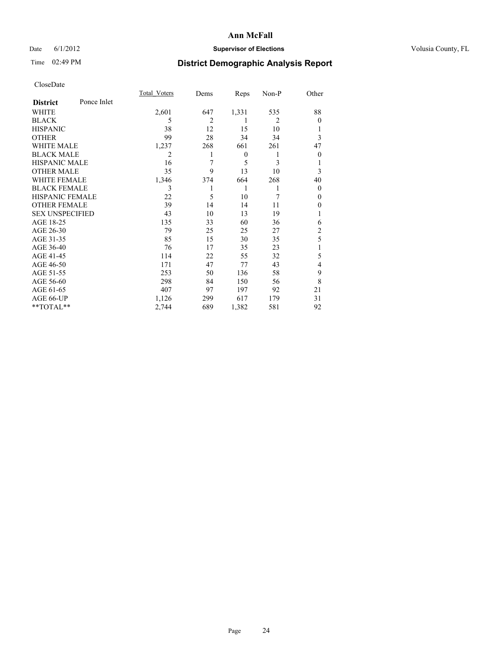### Date 6/1/2012 **Supervisor of Elections Supervisor of Elections** Volusia County, FL

# Time 02:49 PM **District Demographic Analysis Report**

|                        |             | Total Voters | Dems           | Reps             | Non-P          | Other          |
|------------------------|-------------|--------------|----------------|------------------|----------------|----------------|
| <b>District</b>        | Ponce Inlet |              |                |                  |                |                |
| WHITE                  |             | 2,601        | 647            | 1,331            | 535            | 88             |
| <b>BLACK</b>           |             | 5            | $\overline{c}$ | 1                | $\overline{2}$ | $\Omega$       |
| <b>HISPANIC</b>        |             | 38           | 12             | 15               | 10             |                |
| <b>OTHER</b>           |             | 99           | 28             | 34               | 34             | 3              |
| WHITE MALE             |             | 1,237        | 268            | 661              | 261            | 47             |
| <b>BLACK MALE</b>      |             | 2            |                | $\boldsymbol{0}$ | 1              | $\overline{0}$ |
| <b>HISPANIC MALE</b>   |             | 16           | 7              | 5                | 3              |                |
| <b>OTHER MALE</b>      |             | 35           | 9              | 13               | 10             | 3              |
| WHITE FEMALE           |             | 1,346        | 374            | 664              | 268            | 40             |
| <b>BLACK FEMALE</b>    |             | 3            |                | 1                | 1              | $\overline{0}$ |
| <b>HISPANIC FEMALE</b> |             | 22           | 5              | 10               | 7              | $\Omega$       |
| <b>OTHER FEMALE</b>    |             | 39           | 14             | 14               | 11             | $\Omega$       |
| <b>SEX UNSPECIFIED</b> |             | 43           | 10             | 13               | 19             |                |
| AGE 18-25              |             | 135          | 33             | 60               | 36             | 6              |
| AGE 26-30              |             | 79           | 25             | 25               | 27             | $\overline{2}$ |
| AGE 31-35              |             | 85           | 15             | 30               | 35             | 5              |
| AGE 36-40              |             | 76           | 17             | 35               | 23             |                |
| AGE 41-45              |             | 114          | 22             | 55               | 32             | 5              |
| AGE 46-50              |             | 171          | 47             | 77               | 43             | $\overline{4}$ |
| AGE 51-55              |             | 253          | 50             | 136              | 58             | 9              |
| AGE 56-60              |             | 298          | 84             | 150              | 56             | 8              |
| AGE 61-65              |             | 407          | 97             | 197              | 92             | 21             |
| AGE 66-UP              |             | 1,126        | 299            | 617              | 179            | 31             |
| **TOTAL**              |             | 2,744        | 689            | 1,382            | 581            | 92             |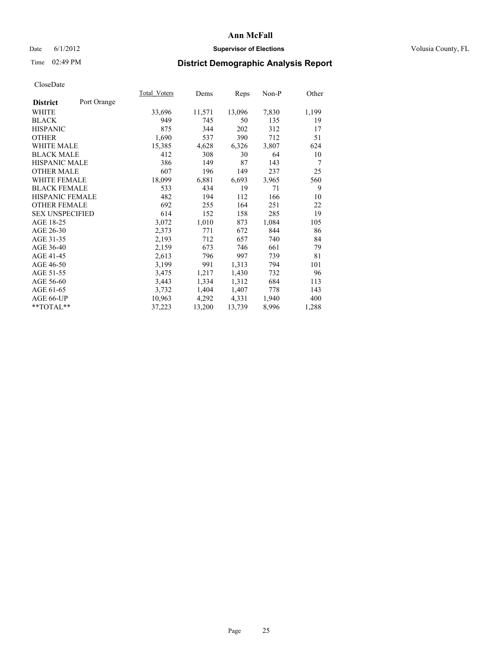### Date 6/1/2012 **Supervisor of Elections Supervisor of Elections** Volusia County, FL

# Time 02:49 PM **District Demographic Analysis Report**

| Total Voters | Dems   | Reps   | Non-P | Other |
|--------------|--------|--------|-------|-------|
|              |        |        |       |       |
| 33,696       | 11,571 | 13,096 | 7,830 | 1,199 |
| 949          | 745    | 50     | 135   | 19    |
| 875          | 344    | 202    | 312   | 17    |
| 1,690        | 537    | 390    | 712   | 51    |
| 15,385       | 4,628  | 6,326  | 3,807 | 624   |
| 412          | 308    | 30     | 64    | 10    |
| 386          | 149    | 87     | 143   | 7     |
| 607          | 196    | 149    | 237   | 25    |
| 18,099       | 6,881  | 6,693  | 3,965 | 560   |
| 533          | 434    | 19     | 71    | 9     |
| 482          | 194    | 112    | 166   | 10    |
| 692          | 255    | 164    | 251   | 22    |
| 614          | 152    | 158    | 285   | 19    |
| 3,072        | 1,010  | 873    | 1,084 | 105   |
| 2,373        | 771    | 672    | 844   | 86    |
| 2,193        | 712    | 657    | 740   | 84    |
| 2,159        | 673    | 746    | 661   | 79    |
| 2,613        | 796    | 997    | 739   | 81    |
| 3,199        | 991    | 1,313  | 794   | 101   |
| 3,475        | 1,217  | 1,430  | 732   | 96    |
| 3,443        | 1,334  | 1,312  | 684   | 113   |
| 3,732        | 1,404  | 1,407  | 778   | 143   |
| 10,963       | 4,292  | 4,331  | 1,940 | 400   |
| 37,223       | 13,200 | 13,739 | 8,996 | 1,288 |
|              |        |        |       |       |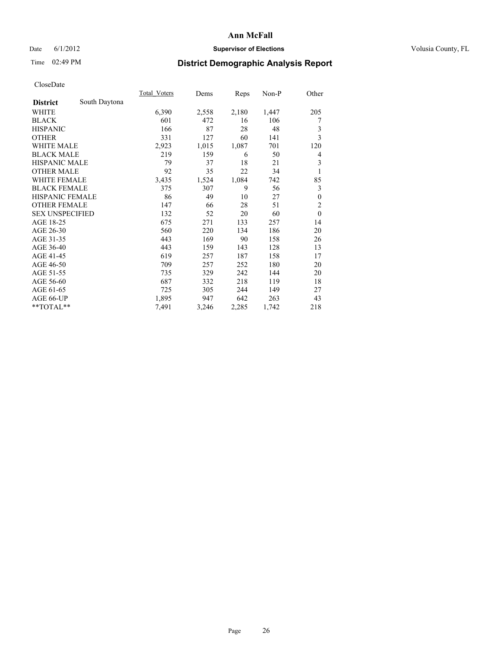### Date 6/1/2012 **Supervisor of Elections Supervisor of Elections** Volusia County, FL

# Time 02:49 PM **District Demographic Analysis Report**

|                        |               | Total Voters | Dems  | Reps  | $Non-P$ | Other          |
|------------------------|---------------|--------------|-------|-------|---------|----------------|
| <b>District</b>        | South Daytona |              |       |       |         |                |
| WHITE                  |               | 6,390        | 2,558 | 2,180 | 1,447   | 205            |
| <b>BLACK</b>           |               | 601          | 472   | 16    | 106     | 7              |
| <b>HISPANIC</b>        |               | 166          | 87    | 28    | 48      | 3              |
| <b>OTHER</b>           |               | 331          | 127   | 60    | 141     | 3              |
| WHITE MALE             |               | 2,923        | 1,015 | 1,087 | 701     | 120            |
| <b>BLACK MALE</b>      |               | 219          | 159   | 6     | 50      | 4              |
| <b>HISPANIC MALE</b>   |               | 79           | 37    | 18    | 21      | 3              |
| <b>OTHER MALE</b>      |               | 92           | 35    | 22    | 34      | 1              |
| <b>WHITE FEMALE</b>    |               | 3,435        | 1,524 | 1,084 | 742     | 85             |
| <b>BLACK FEMALE</b>    |               | 375          | 307   | 9     | 56      | 3              |
| <b>HISPANIC FEMALE</b> |               | 86           | 49    | 10    | 27      | $\mathbf{0}$   |
| <b>OTHER FEMALE</b>    |               | 147          | 66    | 28    | 51      | $\overline{2}$ |
| <b>SEX UNSPECIFIED</b> |               | 132          | 52    | 20    | 60      | $\mathbf{0}$   |
| AGE 18-25              |               | 675          | 271   | 133   | 257     | 14             |
| AGE 26-30              |               | 560          | 220   | 134   | 186     | 20             |
| AGE 31-35              |               | 443          | 169   | 90    | 158     | 26             |
| AGE 36-40              |               | 443          | 159   | 143   | 128     | 13             |
| AGE 41-45              |               | 619          | 257   | 187   | 158     | 17             |
| AGE 46-50              |               | 709          | 257   | 252   | 180     | 20             |
| AGE 51-55              |               | 735          | 329   | 242   | 144     | 20             |
| AGE 56-60              |               | 687          | 332   | 218   | 119     | 18             |
| AGE 61-65              |               | 725          | 305   | 244   | 149     | 27             |
| AGE 66-UP              |               | 1,895        | 947   | 642   | 263     | 43             |
| **TOTAL**              |               | 7,491        | 3,246 | 2,285 | 1,742   | 218            |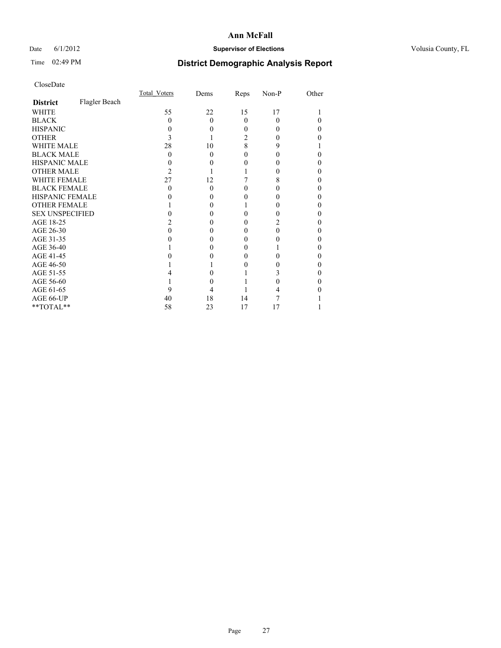### Date 6/1/2012 **Supervisor of Elections Supervisor of Elections** Volusia County, FL

# Time 02:49 PM **District Demographic Analysis Report**

|                        |               | Total Voters | Dems     | Reps     | Non-P    | Other |
|------------------------|---------------|--------------|----------|----------|----------|-------|
| <b>District</b>        | Flagler Beach |              |          |          |          |       |
| <b>WHITE</b>           |               | 55           | 22       | 15       | 17       |       |
| <b>BLACK</b>           |               | 0            | $\Omega$ | $\Omega$ | $\theta$ |       |
| <b>HISPANIC</b>        |               |              | 0        | 0        |          | 0     |
| <b>OTHER</b>           |               |              |          | 2        |          |       |
| <b>WHITE MALE</b>      |               | 28           | 10       | 8        | 9        |       |
| <b>BLACK MALE</b>      |               | 0            | $\Omega$ | 0        |          | 0     |
| HISPANIC MALE          |               |              | 0        | 0        |          | 0     |
| <b>OTHER MALE</b>      |               | 2            |          |          |          | 0     |
| <b>WHITE FEMALE</b>    |               | 27           | 12       |          | 8        |       |
| <b>BLACK FEMALE</b>    |               | 0            | $\Omega$ | 0        |          | 0     |
| <b>HISPANIC FEMALE</b> |               |              | $\theta$ |          |          |       |
| <b>OTHER FEMALE</b>    |               |              | $\theta$ |          |          | 0     |
| <b>SEX UNSPECIFIED</b> |               |              |          | 0        |          | 0     |
| AGE 18-25              |               |              | $\theta$ | 0        |          | 0     |
| AGE 26-30              |               |              | 0        | 0        |          | 0     |
| AGE 31-35              |               |              |          | 0        |          |       |
| AGE 36-40              |               |              | 0        | 0        |          | 0     |
| AGE 41-45              |               |              |          | 0        |          |       |
| AGE 46-50              |               |              |          | 0        |          | 0     |
| AGE 51-55              |               |              |          |          |          |       |
| AGE 56-60              |               |              |          |          |          | 0     |
| AGE 61-65              |               |              |          |          |          |       |
| AGE 66-UP              |               | 40           | 18       | 14       |          |       |
| **TOTAL**              |               | 58           | 23       | 17       | 17       |       |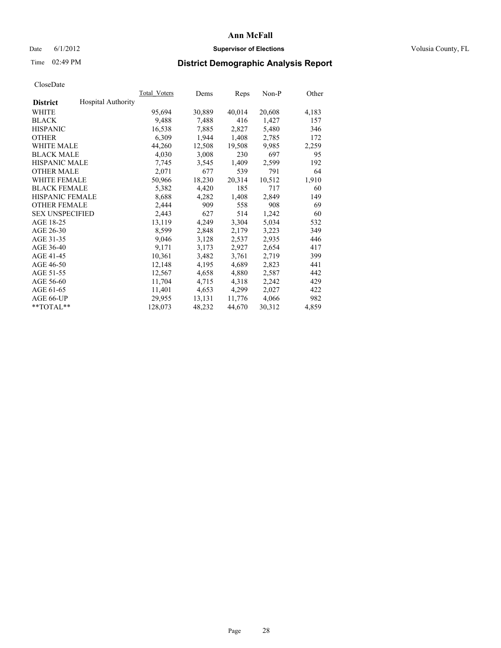### Date 6/1/2012 **Supervisor of Elections Supervisor of Elections** Volusia County, FL

## Time 02:49 PM **District Demographic Analysis Report**

|                        |                           | Total Voters | Dems   | <b>Reps</b> | Non-P  | Other |
|------------------------|---------------------------|--------------|--------|-------------|--------|-------|
| <b>District</b>        | <b>Hospital Authority</b> |              |        |             |        |       |
| <b>WHITE</b>           |                           | 95,694       | 30,889 | 40,014      | 20,608 | 4,183 |
| <b>BLACK</b>           |                           | 9,488        | 7.488  | 416         | 1,427  | 157   |
| <b>HISPANIC</b>        |                           | 16,538       | 7,885  | 2,827       | 5,480  | 346   |
| <b>OTHER</b>           |                           | 6,309        | 1,944  | 1,408       | 2,785  | 172   |
| <b>WHITE MALE</b>      |                           | 44,260       | 12,508 | 19,508      | 9.985  | 2,259 |
| <b>BLACK MALE</b>      |                           | 4,030        | 3,008  | 230         | 697    | 95    |
| <b>HISPANIC MALE</b>   |                           | 7,745        | 3,545  | 1,409       | 2,599  | 192   |
| <b>OTHER MALE</b>      |                           | 2,071        | 677    | 539         | 791    | 64    |
| <b>WHITE FEMALE</b>    |                           | 50,966       | 18,230 | 20,314      | 10,512 | 1,910 |
| <b>BLACK FEMALE</b>    |                           | 5,382        | 4,420  | 185         | 717    | 60    |
| <b>HISPANIC FEMALE</b> |                           | 8,688        | 4,282  | 1,408       | 2,849  | 149   |
| <b>OTHER FEMALE</b>    |                           | 2,444        | 909    | 558         | 908    | 69    |
| <b>SEX UNSPECIFIED</b> |                           | 2,443        | 627    | 514         | 1,242  | 60    |
| AGE 18-25              |                           | 13,119       | 4,249  | 3,304       | 5,034  | 532   |
| AGE 26-30              |                           | 8,599        | 2,848  | 2,179       | 3,223  | 349   |
| AGE 31-35              |                           | 9,046        | 3,128  | 2,537       | 2,935  | 446   |
| AGE 36-40              |                           | 9,171        | 3,173  | 2,927       | 2,654  | 417   |
| AGE 41-45              |                           | 10,361       | 3,482  | 3,761       | 2,719  | 399   |
| AGE 46-50              |                           | 12,148       | 4,195  | 4,689       | 2,823  | 441   |
| AGE 51-55              |                           | 12,567       | 4,658  | 4,880       | 2,587  | 442   |
| AGE 56-60              |                           | 11,704       | 4,715  | 4,318       | 2,242  | 429   |
| AGE 61-65              |                           | 11,401       | 4,653  | 4,299       | 2,027  | 422   |
| AGE 66-UP              |                           | 29,955       | 13,131 | 11,776      | 4,066  | 982   |
| $*$ $TOTAL**$          |                           | 128,073      | 48,232 | 44,670      | 30,312 | 4,859 |
|                        |                           |              |        |             |        |       |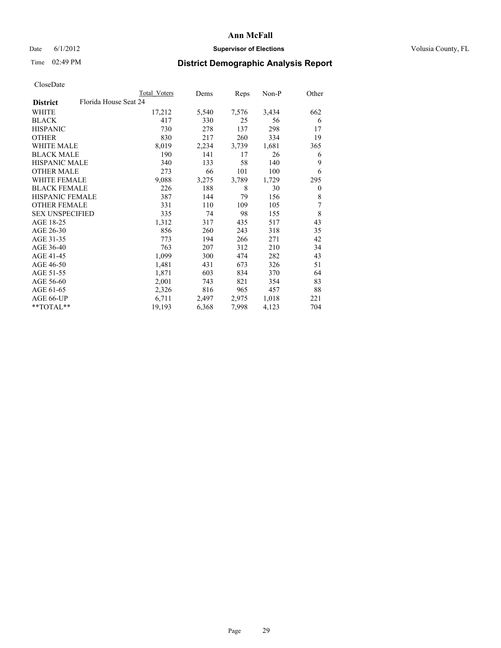### Date 6/1/2012 **Supervisor of Elections Supervisor of Elections** Volusia County, FL

## Time 02:49 PM **District Demographic Analysis Report**

|                        |                       | Total Voters | Dems  | <b>Reps</b> | $Non-P$ | Other        |
|------------------------|-----------------------|--------------|-------|-------------|---------|--------------|
| <b>District</b>        | Florida House Seat 24 |              |       |             |         |              |
| WHITE                  |                       | 17,212       | 5,540 | 7,576       | 3,434   | 662          |
| <b>BLACK</b>           |                       | 417          | 330   | 25          | 56      | 6            |
| <b>HISPANIC</b>        |                       | 730          | 278   | 137         | 298     | 17           |
| <b>OTHER</b>           |                       | 830          | 217   | 260         | 334     | 19           |
| <b>WHITE MALE</b>      |                       | 8,019        | 2,234 | 3,739       | 1,681   | 365          |
| <b>BLACK MALE</b>      |                       | 190          | 141   | 17          | 26      | 6            |
| <b>HISPANIC MALE</b>   |                       | 340          | 133   | 58          | 140     | 9            |
| <b>OTHER MALE</b>      |                       | 273          | 66    | 101         | 100     | 6            |
| <b>WHITE FEMALE</b>    |                       | 9,088        | 3,275 | 3,789       | 1,729   | 295          |
| <b>BLACK FEMALE</b>    |                       | 226          | 188   | 8           | 30      | $\mathbf{0}$ |
| HISPANIC FEMALE        |                       | 387          | 144   | 79          | 156     | 8            |
| <b>OTHER FEMALE</b>    |                       | 331          | 110   | 109         | 105     | 7            |
| <b>SEX UNSPECIFIED</b> |                       | 335          | 74    | 98          | 155     | 8            |
| AGE 18-25              |                       | 1,312        | 317   | 435         | 517     | 43           |
| AGE 26-30              |                       | 856          | 260   | 243         | 318     | 35           |
| AGE 31-35              |                       | 773          | 194   | 266         | 271     | 42           |
| AGE 36-40              |                       | 763          | 207   | 312         | 210     | 34           |
| AGE 41-45              |                       | 1,099        | 300   | 474         | 282     | 43           |
| AGE 46-50              |                       | 1,481        | 431   | 673         | 326     | 51           |
| AGE 51-55              |                       | 1,871        | 603   | 834         | 370     | 64           |
| AGE 56-60              |                       | 2,001        | 743   | 821         | 354     | 83           |
| AGE 61-65              |                       | 2,326        | 816   | 965         | 457     | 88           |
| AGE 66-UP              |                       | 6,711        | 2,497 | 2,975       | 1,018   | 221          |
| **TOTAL**              |                       | 19,193       | 6,368 | 7,998       | 4,123   | 704          |
|                        |                       |              |       |             |         |              |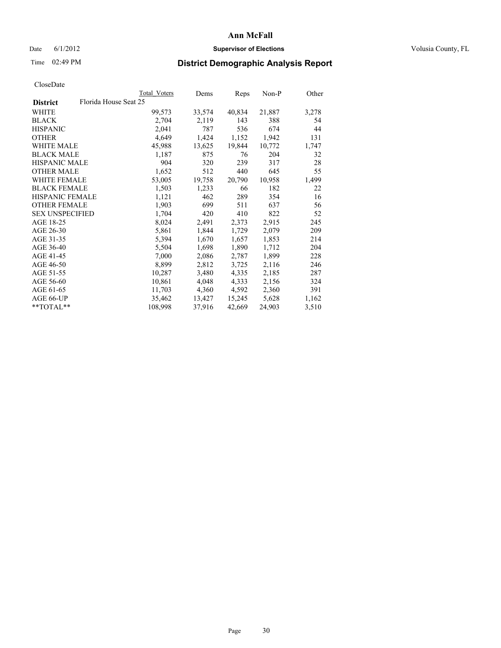### Date 6/1/2012 **Supervisor of Elections Supervisor of Elections** Volusia County, FL

## Time 02:49 PM **District Demographic Analysis Report**

|                                          | Total Voters | Dems   | Reps   | Non-P  | Other |
|------------------------------------------|--------------|--------|--------|--------|-------|
| Florida House Seat 25<br><b>District</b> |              |        |        |        |       |
| WHITE                                    | 99,573       | 33,574 | 40,834 | 21,887 | 3,278 |
| <b>BLACK</b>                             | 2,704        | 2,119  | 143    | 388    | 54    |
| <b>HISPANIC</b>                          | 2,041        | 787    | 536    | 674    | 44    |
| <b>OTHER</b>                             | 4,649        | 1,424  | 1,152  | 1,942  | 131   |
| <b>WHITE MALE</b>                        | 45,988       | 13,625 | 19,844 | 10,772 | 1,747 |
| <b>BLACK MALE</b>                        | 1,187        | 875    | 76     | 204    | 32    |
| <b>HISPANIC MALE</b>                     | 904          | 320    | 239    | 317    | 28    |
| <b>OTHER MALE</b>                        | 1,652        | 512    | 440    | 645    | 55    |
| WHITE FEMALE                             | 53,005       | 19,758 | 20,790 | 10,958 | 1,499 |
| <b>BLACK FEMALE</b>                      | 1,503        | 1,233  | 66     | 182    | 22    |
| <b>HISPANIC FEMALE</b>                   | 1,121        | 462    | 289    | 354    | 16    |
| <b>OTHER FEMALE</b>                      | 1,903        | 699    | 511    | 637    | 56    |
| <b>SEX UNSPECIFIED</b>                   | 1,704        | 420    | 410    | 822    | 52    |
| AGE 18-25                                | 8,024        | 2,491  | 2,373  | 2,915  | 245   |
| AGE 26-30                                | 5,861        | 1,844  | 1,729  | 2,079  | 209   |
| AGE 31-35                                | 5,394        | 1,670  | 1,657  | 1,853  | 214   |
| AGE 36-40                                | 5,504        | 1,698  | 1,890  | 1,712  | 204   |
| AGE 41-45                                | 7,000        | 2,086  | 2,787  | 1,899  | 228   |
| AGE 46-50                                | 8,899        | 2,812  | 3,725  | 2,116  | 246   |
| AGE 51-55                                | 10,287       | 3,480  | 4,335  | 2,185  | 287   |
| AGE 56-60                                | 10,861       | 4,048  | 4,333  | 2,156  | 324   |
| AGE 61-65                                | 11,703       | 4,360  | 4,592  | 2,360  | 391   |
| AGE 66-UP                                | 35,462       | 13,427 | 15,245 | 5,628  | 1,162 |
| $*$ TOTAL $*$                            | 108,998      | 37,916 | 42,669 | 24,903 | 3,510 |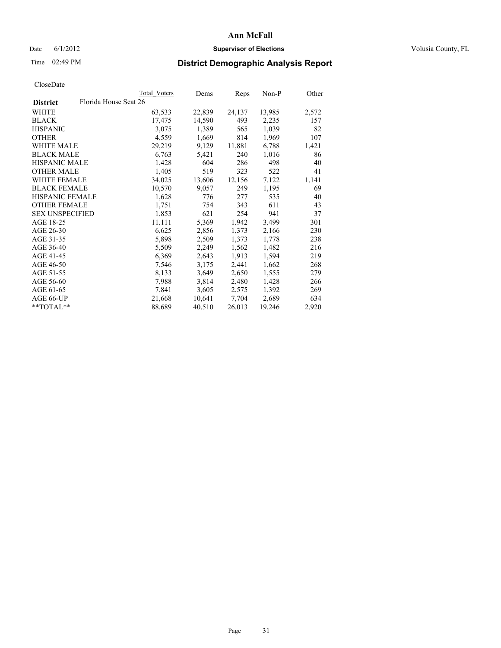### Date 6/1/2012 **Supervisor of Elections Supervisor of Elections** Volusia County, FL

# Time 02:49 PM **District Demographic Analysis Report**

|                        |                       | Total Voters | Dems   | <b>Reps</b> | Non-P  | Other |
|------------------------|-----------------------|--------------|--------|-------------|--------|-------|
| <b>District</b>        | Florida House Seat 26 |              |        |             |        |       |
| WHITE                  |                       | 63,533       | 22,839 | 24,137      | 13,985 | 2,572 |
| <b>BLACK</b>           |                       | 17,475       | 14,590 | 493         | 2,235  | 157   |
| <b>HISPANIC</b>        |                       | 3,075        | 1,389  | 565         | 1,039  | 82    |
| <b>OTHER</b>           |                       | 4,559        | 1,669  | 814         | 1,969  | 107   |
| WHITE MALE             |                       | 29,219       | 9,129  | 11,881      | 6,788  | 1,421 |
| <b>BLACK MALE</b>      |                       | 6,763        | 5,421  | 240         | 1,016  | 86    |
| <b>HISPANIC MALE</b>   |                       | 1,428        | 604    | 286         | 498    | 40    |
| <b>OTHER MALE</b>      |                       | 1,405        | 519    | 323         | 522    | 41    |
| <b>WHITE FEMALE</b>    |                       | 34,025       | 13,606 | 12,156      | 7,122  | 1,141 |
| <b>BLACK FEMALE</b>    |                       | 10,570       | 9,057  | 249         | 1,195  | 69    |
| <b>HISPANIC FEMALE</b> |                       | 1,628        | 776    | 277         | 535    | 40    |
| <b>OTHER FEMALE</b>    |                       | 1,751        | 754    | 343         | 611    | 43    |
| <b>SEX UNSPECIFIED</b> |                       | 1,853        | 621    | 254         | 941    | 37    |
| AGE 18-25              |                       | 11,111       | 5,369  | 1,942       | 3,499  | 301   |
| AGE 26-30              |                       | 6,625        | 2,856  | 1,373       | 2,166  | 230   |
| AGE 31-35              |                       | 5,898        | 2,509  | 1,373       | 1,778  | 238   |
| AGE 36-40              |                       | 5,509        | 2,249  | 1,562       | 1,482  | 216   |
| AGE 41-45              |                       | 6,369        | 2,643  | 1,913       | 1,594  | 219   |
| AGE 46-50              |                       | 7,546        | 3,175  | 2,441       | 1,662  | 268   |
| AGE 51-55              |                       | 8,133        | 3,649  | 2,650       | 1,555  | 279   |
| AGE 56-60              |                       | 7.988        | 3,814  | 2,480       | 1,428  | 266   |
| AGE 61-65              |                       | 7,841        | 3,605  | 2,575       | 1,392  | 269   |
| AGE 66-UP              |                       | 21,668       | 10,641 | 7.704       | 2,689  | 634   |
| **TOTAL**              |                       | 88,689       | 40,510 | 26,013      | 19,246 | 2,920 |
|                        |                       |              |        |             |        |       |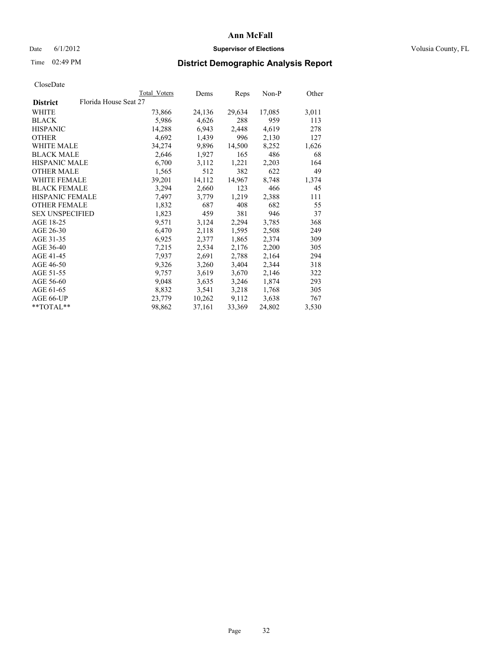### Date 6/1/2012 **Supervisor of Elections Supervisor of Elections** Volusia County, FL

## Time 02:49 PM **District Demographic Analysis Report**

|                        |                       | Total Voters | Dems   | <b>Reps</b> | Non-P  | Other |
|------------------------|-----------------------|--------------|--------|-------------|--------|-------|
| <b>District</b>        | Florida House Seat 27 |              |        |             |        |       |
| WHITE                  |                       | 73,866       | 24,136 | 29,634      | 17,085 | 3,011 |
| <b>BLACK</b>           |                       | 5,986        | 4,626  | 288         | 959    | 113   |
| <b>HISPANIC</b>        |                       | 14,288       | 6,943  | 2,448       | 4,619  | 278   |
| <b>OTHER</b>           |                       | 4,692        | 1,439  | 996         | 2,130  | 127   |
| WHITE MALE             |                       | 34,274       | 9,896  | 14,500      | 8,252  | 1,626 |
| <b>BLACK MALE</b>      |                       | 2,646        | 1,927  | 165         | 486    | 68    |
| <b>HISPANIC MALE</b>   |                       | 6,700        | 3,112  | 1,221       | 2,203  | 164   |
| <b>OTHER MALE</b>      |                       | 1,565        | 512    | 382         | 622    | 49    |
| <b>WHITE FEMALE</b>    |                       | 39,201       | 14,112 | 14,967      | 8,748  | 1,374 |
| <b>BLACK FEMALE</b>    |                       | 3,294        | 2,660  | 123         | 466    | 45    |
| <b>HISPANIC FEMALE</b> |                       | 7,497        | 3,779  | 1,219       | 2,388  | 111   |
| <b>OTHER FEMALE</b>    |                       | 1,832        | 687    | 408         | 682    | 55    |
| <b>SEX UNSPECIFIED</b> |                       | 1,823        | 459    | 381         | 946    | 37    |
| AGE 18-25              |                       | 9,571        | 3,124  | 2,294       | 3,785  | 368   |
| AGE 26-30              |                       | 6,470        | 2,118  | 1,595       | 2,508  | 249   |
| AGE 31-35              |                       | 6,925        | 2,377  | 1,865       | 2,374  | 309   |
| AGE 36-40              |                       | 7,215        | 2,534  | 2,176       | 2,200  | 305   |
| AGE 41-45              |                       | 7,937        | 2,691  | 2,788       | 2,164  | 294   |
| AGE 46-50              |                       | 9,326        | 3,260  | 3,404       | 2,344  | 318   |
| AGE 51-55              |                       | 9,757        | 3,619  | 3,670       | 2,146  | 322   |
| AGE 56-60              |                       | 9,048        | 3,635  | 3,246       | 1,874  | 293   |
| AGE 61-65              |                       | 8,832        | 3,541  | 3,218       | 1,768  | 305   |
| AGE 66-UP              |                       | 23,779       | 10,262 | 9,112       | 3,638  | 767   |
| $*$ $TOTAL**$          |                       | 98,862       | 37,161 | 33,369      | 24,802 | 3,530 |
|                        |                       |              |        |             |        |       |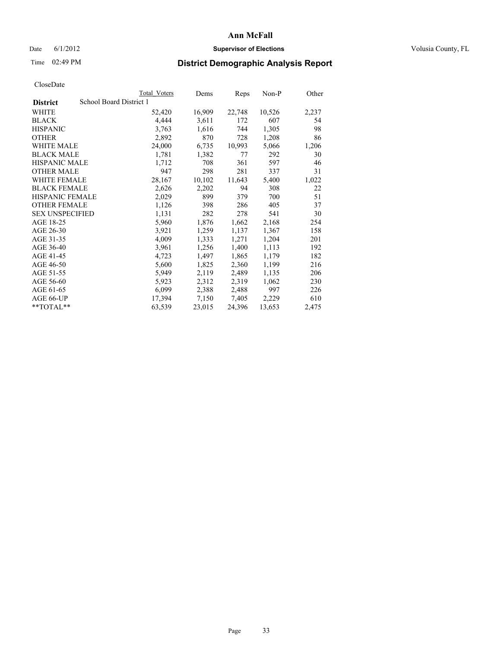### Date 6/1/2012 **Supervisor of Elections Supervisor of Elections** Volusia County, FL

# Time 02:49 PM **District Demographic Analysis Report**

|                        | <b>Total Voters</b>     | Dems   | Reps   | Non-P  | Other |
|------------------------|-------------------------|--------|--------|--------|-------|
| <b>District</b>        | School Board District 1 |        |        |        |       |
| WHITE                  | 52,420                  | 16,909 | 22,748 | 10,526 | 2,237 |
| <b>BLACK</b>           | 4,444                   | 3,611  | 172    | 607    | 54    |
| <b>HISPANIC</b>        | 3,763                   | 1,616  | 744    | 1,305  | 98    |
| <b>OTHER</b>           | 2,892                   | 870    | 728    | 1,208  | 86    |
| WHITE MALE             | 24,000                  | 6,735  | 10,993 | 5,066  | 1,206 |
| <b>BLACK MALE</b>      | 1,781                   | 1,382  | 77     | 292    | 30    |
| <b>HISPANIC MALE</b>   | 1,712                   | 708    | 361    | 597    | 46    |
| <b>OTHER MALE</b>      | 947                     | 298    | 281    | 337    | 31    |
| WHITE FEMALE           | 28,167                  | 10,102 | 11,643 | 5,400  | 1,022 |
| <b>BLACK FEMALE</b>    | 2,626                   | 2,202  | 94     | 308    | 22    |
| HISPANIC FEMALE        | 2,029                   | 899    | 379    | 700    | 51    |
| <b>OTHER FEMALE</b>    | 1,126                   | 398    | 286    | 405    | 37    |
| <b>SEX UNSPECIFIED</b> | 1,131                   | 282    | 278    | 541    | 30    |
| AGE 18-25              | 5,960                   | 1,876  | 1,662  | 2,168  | 254   |
| AGE 26-30              | 3,921                   | 1,259  | 1,137  | 1,367  | 158   |
| AGE 31-35              | 4,009                   | 1,333  | 1,271  | 1,204  | 201   |
| AGE 36-40              | 3,961                   | 1,256  | 1,400  | 1,113  | 192   |
| AGE 41-45              | 4,723                   | 1,497  | 1,865  | 1,179  | 182   |
| AGE 46-50              | 5,600                   | 1,825  | 2,360  | 1,199  | 216   |
| AGE 51-55              | 5,949                   | 2,119  | 2,489  | 1,135  | 206   |
| AGE 56-60              | 5,923                   | 2,312  | 2,319  | 1,062  | 230   |
| AGE 61-65              | 6,099                   | 2,388  | 2,488  | 997    | 226   |
| AGE 66-UP              | 17,394                  | 7,150  | 7,405  | 2,229  | 610   |
| $*$ TOTAL $*$          | 63,539                  | 23,015 | 24,396 | 13,653 | 2,475 |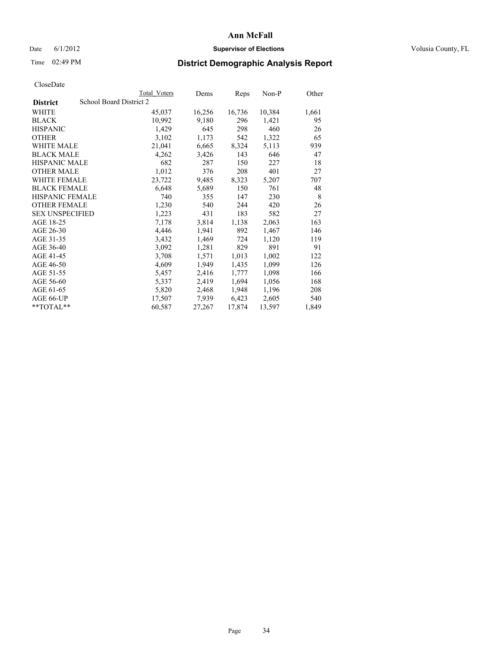### Date 6/1/2012 **Supervisor of Elections Supervisor of Elections** Volusia County, FL

## Time 02:49 PM **District Demographic Analysis Report**

|                        | Total Voters            | Dems   | <b>Reps</b> | Non-P  | Other |
|------------------------|-------------------------|--------|-------------|--------|-------|
| <b>District</b>        | School Board District 2 |        |             |        |       |
| <b>WHITE</b>           | 45,037                  | 16,256 | 16,736      | 10,384 | 1,661 |
| <b>BLACK</b>           | 10,992                  | 9,180  | 296         | 1,421  | 95    |
| <b>HISPANIC</b>        | 1,429                   | 645    | 298         | 460    | 26    |
| <b>OTHER</b>           | 3,102                   | 1,173  | 542         | 1,322  | 65    |
| <b>WHITE MALE</b>      | 21,041                  | 6,665  | 8,324       | 5,113  | 939   |
| <b>BLACK MALE</b>      | 4,262                   | 3,426  | 143         | 646    | 47    |
| <b>HISPANIC MALE</b>   | 682                     | 287    | 150         | 227    | 18    |
| <b>OTHER MALE</b>      | 1,012                   | 376    | 208         | 401    | 27    |
| WHITE FEMALE           | 23,722                  | 9,485  | 8,323       | 5,207  | 707   |
| <b>BLACK FEMALE</b>    | 6,648                   | 5,689  | 150         | 761    | 48    |
| HISPANIC FEMALE        | 740                     | 355    | 147         | 230    | 8     |
| <b>OTHER FEMALE</b>    | 1,230                   | 540    | 244         | 420    | 26    |
| <b>SEX UNSPECIFIED</b> | 1,223                   | 431    | 183         | 582    | 27    |
| AGE 18-25              | 7,178                   | 3,814  | 1,138       | 2,063  | 163   |
| AGE 26-30              | 4,446                   | 1,941  | 892         | 1,467  | 146   |
| AGE 31-35              | 3,432                   | 1,469  | 724         | 1,120  | 119   |
| AGE 36-40              | 3,092                   | 1,281  | 829         | 891    | 91    |
| AGE 41-45              | 3,708                   | 1,571  | 1,013       | 1,002  | 122   |
| AGE 46-50              | 4,609                   | 1,949  | 1,435       | 1,099  | 126   |
| AGE 51-55              | 5,457                   | 2,416  | 1,777       | 1,098  | 166   |
| AGE 56-60              | 5,337                   | 2,419  | 1,694       | 1,056  | 168   |
| AGE 61-65              | 5,820                   | 2,468  | 1,948       | 1,196  | 208   |
| AGE 66-UP              | 17,507                  | 7,939  | 6,423       | 2,605  | 540   |
| $*$ TOTAL $*$          | 60,587                  | 27,267 | 17,874      | 13,597 | 1,849 |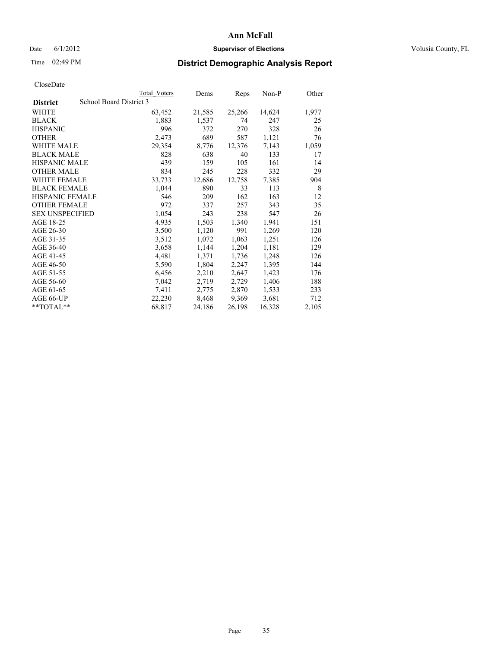### Date 6/1/2012 **Supervisor of Elections Supervisor of Elections** Volusia County, FL

## Time 02:49 PM **District Demographic Analysis Report**

|                                            | Total Voters | Dems   | <b>Reps</b> | Non-P  | Other |
|--------------------------------------------|--------------|--------|-------------|--------|-------|
| School Board District 3<br><b>District</b> |              |        |             |        |       |
| <b>WHITE</b>                               | 63,452       | 21,585 | 25,266      | 14,624 | 1,977 |
| <b>BLACK</b>                               | 1,883        | 1,537  | 74          | 247    | 25    |
| <b>HISPANIC</b>                            | 996          | 372    | 270         | 328    | 26    |
| <b>OTHER</b>                               | 2,473        | 689    | 587         | 1,121  | 76    |
| WHITE MALE                                 | 29,354       | 8,776  | 12,376      | 7,143  | 1,059 |
| <b>BLACK MALE</b>                          | 828          | 638    | 40          | 133    | 17    |
| <b>HISPANIC MALE</b>                       | 439          | 159    | 105         | 161    | 14    |
| <b>OTHER MALE</b>                          | 834          | 245    | 228         | 332    | 29    |
| <b>WHITE FEMALE</b>                        | 33,733       | 12,686 | 12,758      | 7,385  | 904   |
| <b>BLACK FEMALE</b>                        | 1,044        | 890    | 33          | 113    | 8     |
| <b>HISPANIC FEMALE</b>                     | 546          | 209    | 162         | 163    | 12    |
| <b>OTHER FEMALE</b>                        | 972          | 337    | 257         | 343    | 35    |
| <b>SEX UNSPECIFIED</b>                     | 1,054        | 243    | 238         | 547    | 26    |
| AGE 18-25                                  | 4,935        | 1,503  | 1,340       | 1,941  | 151   |
| AGE 26-30                                  | 3,500        | 1,120  | 991         | 1,269  | 120   |
| AGE 31-35                                  | 3,512        | 1,072  | 1,063       | 1,251  | 126   |
| AGE 36-40                                  | 3,658        | 1,144  | 1,204       | 1,181  | 129   |
| AGE 41-45                                  | 4,481        | 1,371  | 1,736       | 1,248  | 126   |
| AGE 46-50                                  | 5,590        | 1,804  | 2,247       | 1,395  | 144   |
| AGE 51-55                                  | 6,456        | 2,210  | 2,647       | 1,423  | 176   |
| AGE 56-60                                  | 7,042        | 2,719  | 2,729       | 1,406  | 188   |
| AGE 61-65                                  | 7.411        | 2,775  | 2,870       | 1,533  | 233   |
| AGE 66-UP                                  | 22,230       | 8,468  | 9,369       | 3,681  | 712   |
| $*$ $TOTAL**$                              | 68,817       | 24,186 | 26,198      | 16,328 | 2,105 |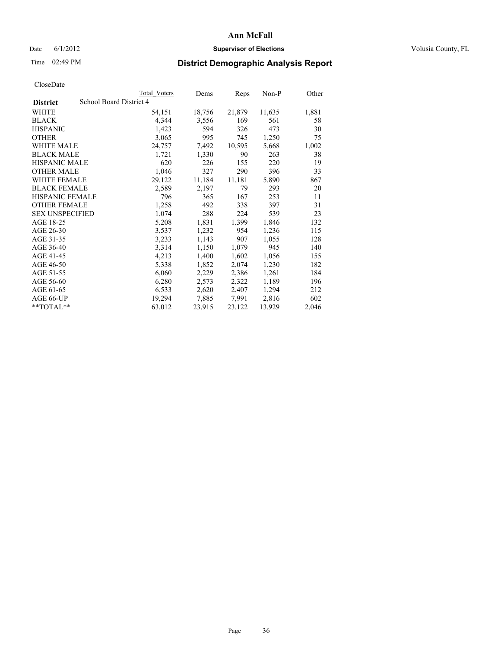### Date 6/1/2012 **Supervisor of Elections Supervisor of Elections** Volusia County, FL

# Time 02:49 PM **District Demographic Analysis Report**

|                        |                         | <b>Total Voters</b> | Dems   | Reps   | Non-P  | Other |
|------------------------|-------------------------|---------------------|--------|--------|--------|-------|
| <b>District</b>        | School Board District 4 |                     |        |        |        |       |
| WHITE                  |                         | 54,151              | 18,756 | 21,879 | 11,635 | 1,881 |
| <b>BLACK</b>           |                         | 4,344               | 3,556  | 169    | 561    | 58    |
| <b>HISPANIC</b>        |                         | 1,423               | 594    | 326    | 473    | 30    |
| <b>OTHER</b>           |                         | 3,065               | 995    | 745    | 1,250  | 75    |
| <b>WHITE MALE</b>      |                         | 24,757              | 7,492  | 10,595 | 5,668  | 1,002 |
| <b>BLACK MALE</b>      |                         | 1,721               | 1,330  | 90     | 263    | 38    |
| <b>HISPANIC MALE</b>   |                         | 620                 | 226    | 155    | 220    | 19    |
| <b>OTHER MALE</b>      |                         | 1,046               | 327    | 290    | 396    | 33    |
| WHITE FEMALE           |                         | 29,122              | 11,184 | 11,181 | 5,890  | 867   |
| <b>BLACK FEMALE</b>    |                         | 2,589               | 2,197  | 79     | 293    | 20    |
| <b>HISPANIC FEMALE</b> |                         | 796                 | 365    | 167    | 253    | 11    |
| <b>OTHER FEMALE</b>    |                         | 1,258               | 492    | 338    | 397    | 31    |
| <b>SEX UNSPECIFIED</b> |                         | 1,074               | 288    | 224    | 539    | 23    |
| AGE 18-25              |                         | 5,208               | 1,831  | 1,399  | 1,846  | 132   |
| AGE 26-30              |                         | 3,537               | 1,232  | 954    | 1,236  | 115   |
| AGE 31-35              |                         | 3,233               | 1,143  | 907    | 1,055  | 128   |
| AGE 36-40              |                         | 3,314               | 1,150  | 1,079  | 945    | 140   |
| AGE 41-45              |                         | 4,213               | 1,400  | 1,602  | 1,056  | 155   |
| AGE 46-50              |                         | 5,338               | 1,852  | 2,074  | 1,230  | 182   |
| AGE 51-55              |                         | 6,060               | 2,229  | 2,386  | 1,261  | 184   |
| AGE 56-60              |                         | 6,280               | 2,573  | 2,322  | 1,189  | 196   |
| AGE 61-65              |                         | 6,533               | 2,620  | 2,407  | 1,294  | 212   |
| AGE 66-UP              |                         | 19,294              | 7,885  | 7,991  | 2,816  | 602   |
| $*$ TOTAL $*$          |                         | 63,012              | 23,915 | 23,122 | 13,929 | 2,046 |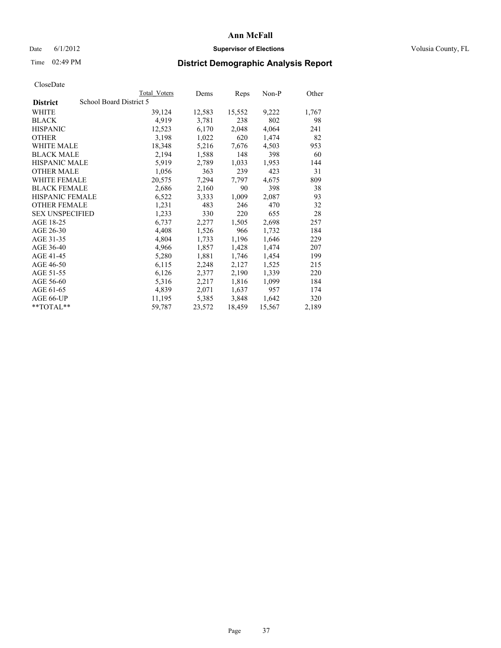### Date 6/1/2012 **Supervisor of Elections Supervisor of Elections** Volusia County, FL

# Time 02:49 PM **District Demographic Analysis Report**

|                        | <b>Total Voters</b>     | Dems   | Reps   | Non-P  | Other |
|------------------------|-------------------------|--------|--------|--------|-------|
| <b>District</b>        | School Board District 5 |        |        |        |       |
| WHITE                  | 39,124                  | 12,583 | 15,552 | 9,222  | 1,767 |
| <b>BLACK</b>           | 4,919                   | 3,781  | 238    | 802    | 98    |
| <b>HISPANIC</b>        | 12,523                  | 6,170  | 2,048  | 4,064  | 241   |
| <b>OTHER</b>           | 3,198                   | 1,022  | 620    | 1,474  | 82    |
| WHITE MALE             | 18,348                  | 5,216  | 7,676  | 4,503  | 953   |
| <b>BLACK MALE</b>      | 2,194                   | 1,588  | 148    | 398    | 60    |
| <b>HISPANIC MALE</b>   | 5,919                   | 2,789  | 1,033  | 1,953  | 144   |
| <b>OTHER MALE</b>      | 1,056                   | 363    | 239    | 423    | 31    |
| <b>WHITE FEMALE</b>    | 20,575                  | 7,294  | 7.797  | 4,675  | 809   |
| <b>BLACK FEMALE</b>    | 2,686                   | 2,160  | 90     | 398    | 38    |
| <b>HISPANIC FEMALE</b> | 6,522                   | 3,333  | 1,009  | 2,087  | 93    |
| <b>OTHER FEMALE</b>    | 1,231                   | 483    | 246    | 470    | 32    |
| <b>SEX UNSPECIFIED</b> | 1,233                   | 330    | 220    | 655    | 28    |
| AGE 18-25              | 6,737                   | 2,277  | 1,505  | 2,698  | 257   |
| AGE 26-30              | 4,408                   | 1,526  | 966    | 1,732  | 184   |
| AGE 31-35              | 4,804                   | 1,733  | 1,196  | 1,646  | 229   |
| AGE 36-40              | 4,966                   | 1,857  | 1,428  | 1,474  | 207   |
| AGE 41-45              | 5,280                   | 1,881  | 1,746  | 1,454  | 199   |
| AGE 46-50              | 6,115                   | 2,248  | 2,127  | 1,525  | 215   |
| AGE 51-55              | 6,126                   | 2,377  | 2,190  | 1,339  | 220   |
| AGE 56-60              | 5,316                   | 2,217  | 1,816  | 1,099  | 184   |
| AGE 61-65              | 4,839                   | 2,071  | 1,637  | 957    | 174   |
| AGE 66-UP              | 11,195                  | 5,385  | 3,848  | 1,642  | 320   |
| $*$ TOTAL $*$          | 59,787                  | 23,572 | 18,459 | 15,567 | 2,189 |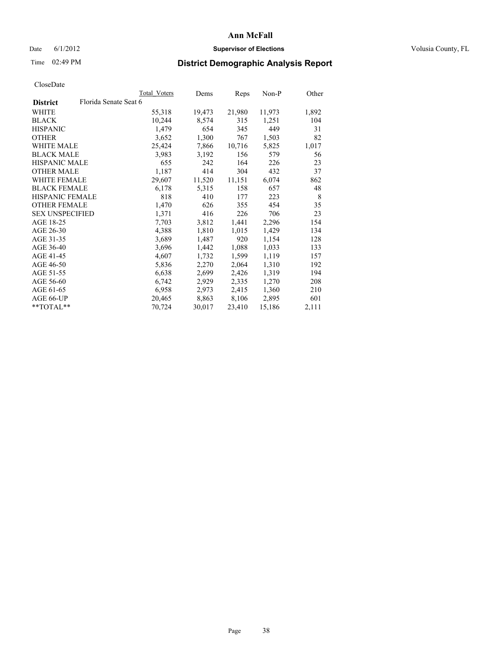### Date 6/1/2012 **Supervisor of Elections Supervisor of Elections** Volusia County, FL

# Time 02:49 PM **District Demographic Analysis Report**

| Total Voters          | Dems   | Reps   | Non-P  | Other |
|-----------------------|--------|--------|--------|-------|
| Florida Senate Seat 6 |        |        |        |       |
| 55,318                | 19,473 | 21,980 | 11,973 | 1,892 |
| 10,244                | 8,574  | 315    | 1,251  | 104   |
| 1,479                 | 654    | 345    | 449    | 31    |
| 3,652                 | 1,300  | 767    | 1,503  | 82    |
| 25,424                | 7,866  | 10,716 | 5,825  | 1,017 |
| 3,983                 | 3,192  | 156    | 579    | 56    |
| 655                   | 242    | 164    | 226    | 23    |
| 1,187                 | 414    | 304    | 432    | 37    |
| 29,607                | 11,520 | 11,151 | 6,074  | 862   |
| 6,178                 | 5,315  | 158    | 657    | 48    |
| 818                   | 410    | 177    | 223    | 8     |
| 1,470                 | 626    | 355    | 454    | 35    |
| 1,371                 | 416    | 226    | 706    | 23    |
| 7,703                 | 3,812  | 1,441  | 2,296  | 154   |
| 4,388                 | 1,810  | 1,015  | 1,429  | 134   |
| 3,689                 | 1,487  | 920    | 1,154  | 128   |
| 3,696                 | 1,442  | 1,088  | 1,033  | 133   |
| 4,607                 | 1,732  | 1,599  | 1,119  | 157   |
| 5,836                 | 2,270  | 2,064  | 1,310  | 192   |
| 6,638                 | 2,699  | 2,426  | 1,319  | 194   |
| 6,742                 | 2,929  | 2,335  | 1,270  | 208   |
| 6,958                 | 2,973  | 2,415  | 1,360  | 210   |
| 20,465                | 8,863  | 8,106  | 2,895  | 601   |
| 70,724                | 30,017 | 23,410 | 15,186 | 2,111 |
|                       |        |        |        |       |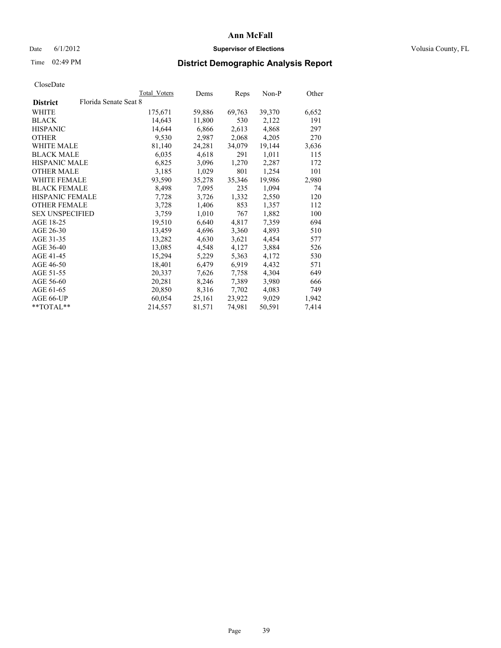### Date 6/1/2012 **Supervisor of Elections Supervisor of Elections** Volusia County, FL

# Time 02:49 PM **District Demographic Analysis Report**

| Total Voters          | Dems   | <b>Reps</b> | Non-P  | Other |
|-----------------------|--------|-------------|--------|-------|
| Florida Senate Seat 8 |        |             |        |       |
| 175,671               | 59,886 | 69,763      | 39,370 | 6,652 |
| 14,643                | 11,800 | 530         | 2,122  | 191   |
| 14,644                | 6,866  | 2,613       | 4,868  | 297   |
| 9,530                 | 2,987  | 2,068       | 4,205  | 270   |
| 81,140                | 24,281 | 34,079      | 19,144 | 3,636 |
| 6,035                 | 4,618  | 291         | 1,011  | 115   |
| 6,825                 | 3,096  | 1,270       | 2,287  | 172   |
| 3,185                 | 1,029  | 801         | 1,254  | 101   |
| 93,590                | 35,278 | 35,346      | 19,986 | 2,980 |
| 8,498                 | 7,095  | 235         | 1,094  | 74    |
| 7,728                 | 3,726  | 1,332       | 2,550  | 120   |
| 3,728                 | 1,406  | 853         | 1,357  | 112   |
| 3,759                 | 1,010  | 767         | 1,882  | 100   |
| 19,510                | 6,640  | 4,817       | 7,359  | 694   |
| 13,459                | 4,696  | 3,360       | 4,893  | 510   |
| 13,282                | 4,630  | 3,621       | 4,454  | 577   |
| 13,085                | 4,548  | 4,127       | 3,884  | 526   |
| 15,294                | 5,229  | 5,363       | 4,172  | 530   |
| 18,401                | 6,479  | 6,919       | 4,432  | 571   |
| 20,337                | 7,626  | 7,758       | 4,304  | 649   |
| 20,281                | 8,246  | 7,389       | 3,980  | 666   |
| 20,850                | 8,316  | 7,702       | 4,083  | 749   |
| 60,054                | 25,161 | 23,922      | 9,029  | 1,942 |
| 214,557               | 81,571 | 74,981      | 50,591 | 7,414 |
|                       |        |             |        |       |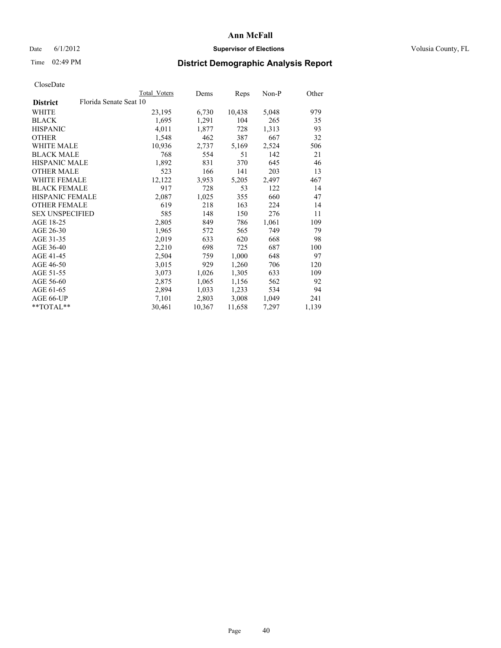### Date 6/1/2012 **Supervisor of Elections Supervisor of Elections** Volusia County, FL

# Time 02:49 PM **District Demographic Analysis Report**

|                                           | Total Voters | Dems   | <b>Reps</b> | Non-P | Other |
|-------------------------------------------|--------------|--------|-------------|-------|-------|
| Florida Senate Seat 10<br><b>District</b> |              |        |             |       |       |
| WHITE                                     | 23,195       | 6,730  | 10,438      | 5,048 | 979   |
| <b>BLACK</b>                              | 1,695        | 1,291  | 104         | 265   | 35    |
| <b>HISPANIC</b>                           | 4,011        | 1,877  | 728         | 1,313 | 93    |
| <b>OTHER</b>                              | 1,548        | 462    | 387         | 667   | 32    |
| <b>WHITE MALE</b>                         | 10.936       | 2,737  | 5,169       | 2,524 | 506   |
| <b>BLACK MALE</b>                         | 768          | 554    | 51          | 142   | 21    |
| <b>HISPANIC MALE</b>                      | 1,892        | 831    | 370         | 645   | 46    |
| <b>OTHER MALE</b>                         | 523          | 166    | 141         | 203   | 13    |
| <b>WHITE FEMALE</b>                       | 12,122       | 3,953  | 5,205       | 2,497 | 467   |
| <b>BLACK FEMALE</b>                       | 917          | 728    | 53          | 122   | 14    |
| <b>HISPANIC FEMALE</b>                    | 2,087        | 1,025  | 355         | 660   | 47    |
| <b>OTHER FEMALE</b>                       | 619          | 218    | 163         | 224   | 14    |
| <b>SEX UNSPECIFIED</b>                    | 585          | 148    | 150         | 276   | 11    |
| AGE 18-25                                 | 2,805        | 849    | 786         | 1,061 | 109   |
| AGE 26-30                                 | 1,965        | 572    | 565         | 749   | 79    |
| AGE 31-35                                 | 2,019        | 633    | 620         | 668   | 98    |
| AGE 36-40                                 | 2,210        | 698    | 725         | 687   | 100   |
| AGE 41-45                                 | 2,504        | 759    | 1,000       | 648   | 97    |
| AGE 46-50                                 | 3,015        | 929    | 1,260       | 706   | 120   |
| AGE 51-55                                 | 3,073        | 1,026  | 1,305       | 633   | 109   |
| AGE 56-60                                 | 2,875        | 1,065  | 1,156       | 562   | 92    |
| AGE 61-65                                 | 2,894        | 1,033  | 1,233       | 534   | 94    |
| AGE 66-UP                                 | 7,101        | 2,803  | 3,008       | 1,049 | 241   |
| **TOTAL**                                 | 30,461       | 10,367 | 11,658      | 7,297 | 1,139 |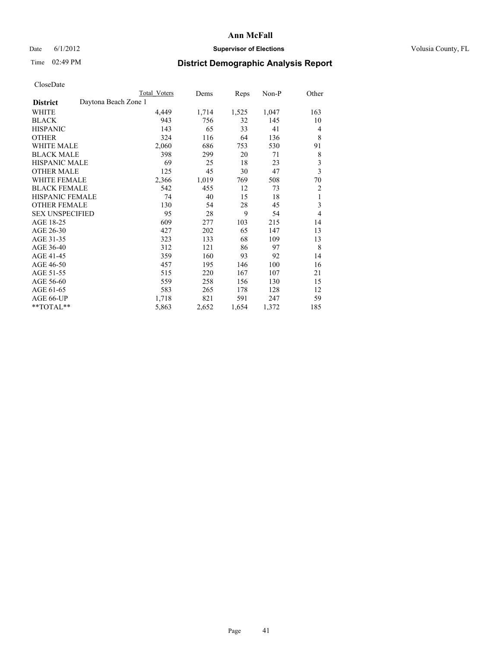## Date 6/1/2012 **Supervisor of Elections Supervisor of Elections** Volusia County, FL

# Time 02:49 PM **District Demographic Analysis Report**

|                                         | Total Voters | Dems  | Reps  | Non-P | Other                   |
|-----------------------------------------|--------------|-------|-------|-------|-------------------------|
| Daytona Beach Zone 1<br><b>District</b> |              |       |       |       |                         |
| WHITE                                   | 4,449        | 1,714 | 1,525 | 1,047 | 163                     |
| <b>BLACK</b>                            | 943          | 756   | 32    | 145   | 10                      |
| <b>HISPANIC</b>                         | 143          | 65    | 33    | 41    | 4                       |
| <b>OTHER</b>                            | 324          | 116   | 64    | 136   | 8                       |
| <b>WHITE MALE</b>                       | 2,060        | 686   | 753   | 530   | 91                      |
| <b>BLACK MALE</b>                       | 398          | 299   | 20    | 71    | 8                       |
| <b>HISPANIC MALE</b>                    | 69           | 25    | 18    | 23    | 3                       |
| <b>OTHER MALE</b>                       | 125          | 45    | 30    | 47    | $\overline{\mathbf{3}}$ |
| <b>WHITE FEMALE</b>                     | 2,366        | 1,019 | 769   | 508   | 70                      |
| <b>BLACK FEMALE</b>                     | 542          | 455   | 12    | 73    | $\overline{c}$          |
| <b>HISPANIC FEMALE</b>                  | 74           | 40    | 15    | 18    | 1                       |
| <b>OTHER FEMALE</b>                     | 130          | 54    | 28    | 45    | 3                       |
| <b>SEX UNSPECIFIED</b>                  | 95           | 28    | 9     | 54    | $\overline{4}$          |
| AGE 18-25                               | 609          | 277   | 103   | 215   | 14                      |
| AGE 26-30                               | 427          | 202   | 65    | 147   | 13                      |
| AGE 31-35                               | 323          | 133   | 68    | 109   | 13                      |
| AGE 36-40                               | 312          | 121   | 86    | 97    | 8                       |
| AGE 41-45                               | 359          | 160   | 93    | 92    | 14                      |
| AGE 46-50                               | 457          | 195   | 146   | 100   | 16                      |
| AGE 51-55                               | 515          | 220   | 167   | 107   | 21                      |
| AGE 56-60                               | 559          | 258   | 156   | 130   | 15                      |
| AGE 61-65                               | 583          | 265   | 178   | 128   | 12                      |
| AGE 66-UP                               | 1,718        | 821   | 591   | 247   | 59                      |
| **TOTAL**                               | 5,863        | 2,652 | 1,654 | 1,372 | 185                     |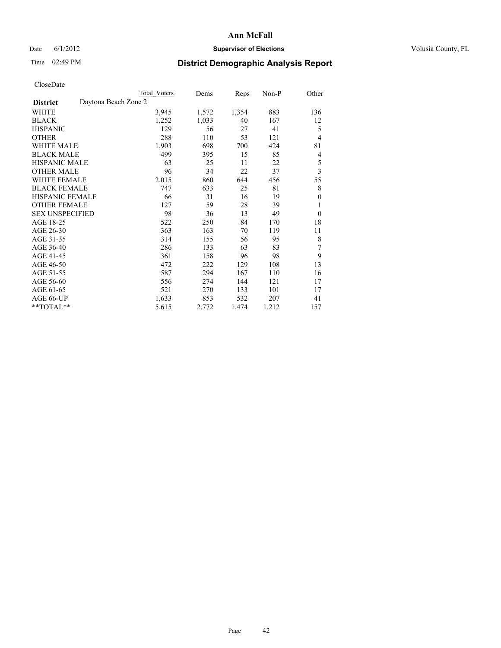## Date 6/1/2012 **Supervisor of Elections Supervisor of Elections** Volusia County, FL

# Time 02:49 PM **District Demographic Analysis Report**

|                        | Total Voters         | Dems  | Reps  | Non-P | Other                   |
|------------------------|----------------------|-------|-------|-------|-------------------------|
| <b>District</b>        | Daytona Beach Zone 2 |       |       |       |                         |
| WHITE                  | 3,945                | 1,572 | 1,354 | 883   | 136                     |
| <b>BLACK</b>           | 1,252                | 1,033 | 40    | 167   | 12                      |
| <b>HISPANIC</b>        | 129                  | 56    | 27    | 41    | 5                       |
| <b>OTHER</b>           | 288                  | 110   | 53    | 121   | 4                       |
| WHITE MALE             | 1,903                | 698   | 700   | 424   | 81                      |
| <b>BLACK MALE</b>      | 499                  | 395   | 15    | 85    | 4                       |
| <b>HISPANIC MALE</b>   | 63                   | 25    | 11    | 22    | 5                       |
| <b>OTHER MALE</b>      | 96                   | 34    | 22    | 37    | $\overline{\mathbf{3}}$ |
| <b>WHITE FEMALE</b>    | 2,015                | 860   | 644   | 456   | 55                      |
| <b>BLACK FEMALE</b>    | 747                  | 633   | 25    | 81    | 8                       |
| HISPANIC FEMALE        | 66                   | 31    | 16    | 19    | $\theta$                |
| <b>OTHER FEMALE</b>    | 127                  | 59    | 28    | 39    | 1                       |
| <b>SEX UNSPECIFIED</b> | 98                   | 36    | 13    | 49    | $\mathbf{0}$            |
| AGE 18-25              | 522                  | 250   | 84    | 170   | 18                      |
| AGE 26-30              | 363                  | 163   | 70    | 119   | 11                      |
| AGE 31-35              | 314                  | 155   | 56    | 95    | 8                       |
| AGE 36-40              | 286                  | 133   | 63    | 83    | 7                       |
| AGE 41-45              | 361                  | 158   | 96    | 98    | 9                       |
| AGE 46-50              | 472                  | 222   | 129   | 108   | 13                      |
| AGE 51-55              | 587                  | 294   | 167   | 110   | 16                      |
| AGE 56-60              | 556                  | 274   | 144   | 121   | 17                      |
| AGE 61-65              | 521                  | 270   | 133   | 101   | 17                      |
| AGE 66-UP              | 1,633                | 853   | 532   | 207   | 41                      |
| **TOTAL**              | 5,615                | 2,772 | 1,474 | 1,212 | 157                     |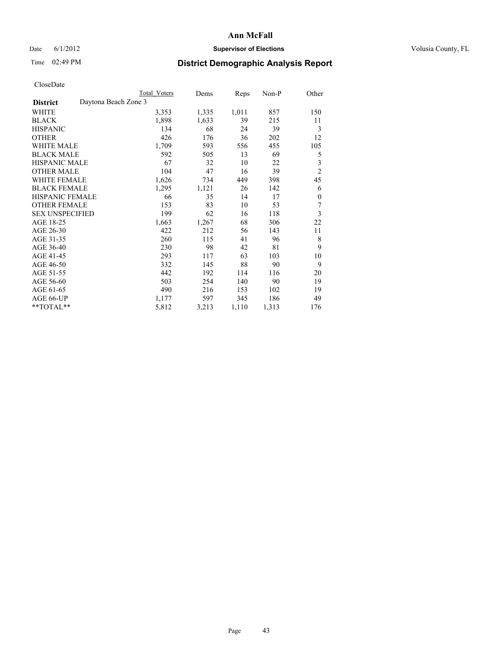## Date 6/1/2012 **Supervisor of Elections Supervisor of Elections** Volusia County, FL

# Time 02:49 PM **District Demographic Analysis Report**

|                                         | <b>Total Voters</b> | Dems  | <b>Reps</b> | Non-P | Other          |
|-----------------------------------------|---------------------|-------|-------------|-------|----------------|
| Daytona Beach Zone 3<br><b>District</b> |                     |       |             |       |                |
| WHITE                                   | 3,353               | 1,335 | 1,011       | 857   | 150            |
| <b>BLACK</b>                            | 1,898               | 1,633 | 39          | 215   | 11             |
| <b>HISPANIC</b>                         | 134                 | 68    | 24          | 39    | 3              |
| <b>OTHER</b>                            | 426                 | 176   | 36          | 202   | 12             |
| <b>WHITE MALE</b>                       | 1,709               | 593   | 556         | 455   | 105            |
| <b>BLACK MALE</b>                       | 592                 | 505   | 13          | 69    | 5              |
| <b>HISPANIC MALE</b>                    | 67                  | 32    | 10          | 22    | 3              |
| <b>OTHER MALE</b>                       | 104                 | 47    | 16          | 39    | $\overline{2}$ |
| <b>WHITE FEMALE</b>                     | 1,626               | 734   | 449         | 398   | 45             |
| <b>BLACK FEMALE</b>                     | 1,295               | 1,121 | 26          | 142   | 6              |
| <b>HISPANIC FEMALE</b>                  | 66                  | 35    | 14          | 17    | $\theta$       |
| <b>OTHER FEMALE</b>                     | 153                 | 83    | 10          | 53    | 7              |
| <b>SEX UNSPECIFIED</b>                  | 199                 | 62    | 16          | 118   | 3              |
| AGE 18-25                               | 1,663               | 1,267 | 68          | 306   | 22             |
| AGE 26-30                               | 422                 | 212   | 56          | 143   | 11             |
| AGE 31-35                               | 260                 | 115   | 41          | 96    | 8              |
| AGE 36-40                               | 230                 | 98    | 42          | 81    | 9              |
| AGE 41-45                               | 293                 | 117   | 63          | 103   | 10             |
| AGE 46-50                               | 332                 | 145   | 88          | 90    | 9              |
| AGE 51-55                               | 442                 | 192   | 114         | 116   | 20             |
| AGE 56-60                               | 503                 | 254   | 140         | 90    | 19             |
| AGE 61-65                               | 490                 | 216   | 153         | 102   | 19             |
| AGE 66-UP                               | 1,177               | 597   | 345         | 186   | 49             |
| **TOTAL**                               | 5,812               | 3,213 | 1,110       | 1,313 | 176            |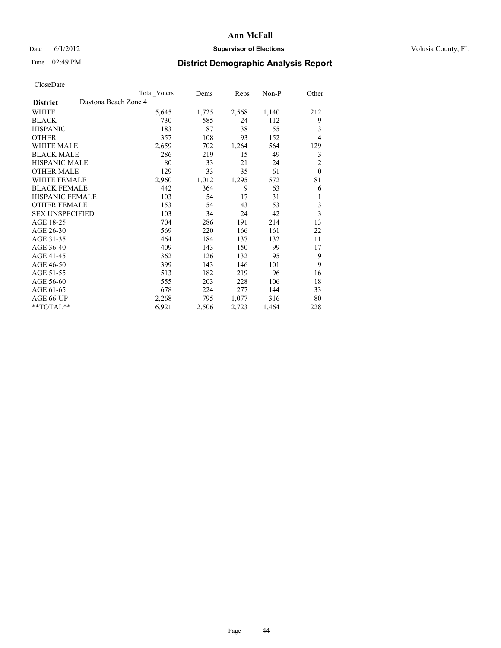## Date 6/1/2012 **Supervisor of Elections Supervisor of Elections** Volusia County, FL

## Time 02:49 PM **District Demographic Analysis Report**

|                                         | <b>Total Voters</b> | Dems  | Reps  | Non-P | Other          |
|-----------------------------------------|---------------------|-------|-------|-------|----------------|
| Daytona Beach Zone 4<br><b>District</b> |                     |       |       |       |                |
| WHITE                                   | 5,645               | 1,725 | 2,568 | 1,140 | 212            |
| <b>BLACK</b>                            | 730                 | 585   | 24    | 112   | 9              |
| <b>HISPANIC</b>                         | 183                 | 87    | 38    | 55    | 3              |
| <b>OTHER</b>                            | 357                 | 108   | 93    | 152   | $\overline{4}$ |
| <b>WHITE MALE</b>                       | 2,659               | 702   | 1,264 | 564   | 129            |
| <b>BLACK MALE</b>                       | 286                 | 219   | 15    | 49    | 3              |
| HISPANIC MALE                           | 80                  | 33    | 21    | 24    | $\overline{c}$ |
| <b>OTHER MALE</b>                       | 129                 | 33    | 35    | 61    | $\theta$       |
| <b>WHITE FEMALE</b>                     | 2,960               | 1,012 | 1,295 | 572   | 81             |
| <b>BLACK FEMALE</b>                     | 442                 | 364   | 9     | 63    | 6              |
| <b>HISPANIC FEMALE</b>                  | 103                 | 54    | 17    | 31    | 1              |
| <b>OTHER FEMALE</b>                     | 153                 | 54    | 43    | 53    | 3              |
| <b>SEX UNSPECIFIED</b>                  | 103                 | 34    | 24    | 42    | $\overline{3}$ |
| AGE 18-25                               | 704                 | 286   | 191   | 214   | 13             |
| AGE 26-30                               | 569                 | 220   | 166   | 161   | 22             |
| AGE 31-35                               | 464                 | 184   | 137   | 132   | 11             |
| AGE 36-40                               | 409                 | 143   | 150   | 99    | 17             |
| AGE 41-45                               | 362                 | 126   | 132   | 95    | 9              |
| AGE 46-50                               | 399                 | 143   | 146   | 101   | 9              |
| AGE 51-55                               | 513                 | 182   | 219   | 96    | 16             |
| AGE 56-60                               | 555                 | 203   | 228   | 106   | 18             |
| AGE 61-65                               | 678                 | 224   | 277   | 144   | 33             |
| AGE 66-UP                               | 2,268               | 795   | 1,077 | 316   | 80             |
| **TOTAL**                               | 6,921               | 2,506 | 2,723 | 1,464 | 228            |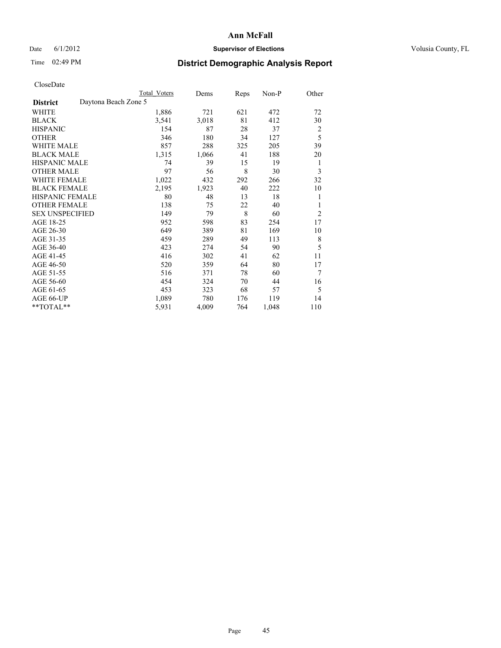## Date 6/1/2012 **Supervisor of Elections Supervisor of Elections** Volusia County, FL

# Time 02:49 PM **District Demographic Analysis Report**

|                        |                      | <b>Total Voters</b> | Dems  | Reps | Non-P | Other          |
|------------------------|----------------------|---------------------|-------|------|-------|----------------|
| <b>District</b>        | Daytona Beach Zone 5 |                     |       |      |       |                |
| WHITE                  |                      | 1,886               | 721   | 621  | 472   | 72             |
| <b>BLACK</b>           |                      | 3,541               | 3,018 | 81   | 412   | 30             |
| <b>HISPANIC</b>        |                      | 154                 | 87    | 28   | 37    | 2              |
| <b>OTHER</b>           |                      | 346                 | 180   | 34   | 127   | 5              |
| <b>WHITE MALE</b>      |                      | 857                 | 288   | 325  | 205   | 39             |
| <b>BLACK MALE</b>      |                      | 1,315               | 1,066 | 41   | 188   | 20             |
| <b>HISPANIC MALE</b>   |                      | 74                  | 39    | 15   | 19    | 1              |
| <b>OTHER MALE</b>      |                      | 97                  | 56    | 8    | 30    | 3              |
| <b>WHITE FEMALE</b>    |                      | 1,022               | 432   | 292  | 266   | 32             |
| <b>BLACK FEMALE</b>    |                      | 2,195               | 1,923 | 40   | 222   | 10             |
| <b>HISPANIC FEMALE</b> |                      | 80                  | 48    | 13   | 18    | 1              |
| <b>OTHER FEMALE</b>    |                      | 138                 | 75    | 22   | 40    | 1              |
| <b>SEX UNSPECIFIED</b> |                      | 149                 | 79    | 8    | 60    | $\overline{2}$ |
| AGE 18-25              |                      | 952                 | 598   | 83   | 254   | 17             |
| AGE 26-30              |                      | 649                 | 389   | 81   | 169   | 10             |
| AGE 31-35              |                      | 459                 | 289   | 49   | 113   | 8              |
| AGE 36-40              |                      | 423                 | 274   | 54   | 90    | 5              |
| AGE 41-45              |                      | 416                 | 302   | 41   | 62    | 11             |
| AGE 46-50              |                      | 520                 | 359   | 64   | 80    | 17             |
| AGE 51-55              |                      | 516                 | 371   | 78   | 60    | 7              |
| AGE 56-60              |                      | 454                 | 324   | 70   | 44    | 16             |
| AGE 61-65              |                      | 453                 | 323   | 68   | 57    | 5              |
| AGE 66-UP              |                      | 1,089               | 780   | 176  | 119   | 14             |
| **TOTAL**              |                      | 5,931               | 4,009 | 764  | 1,048 | 110            |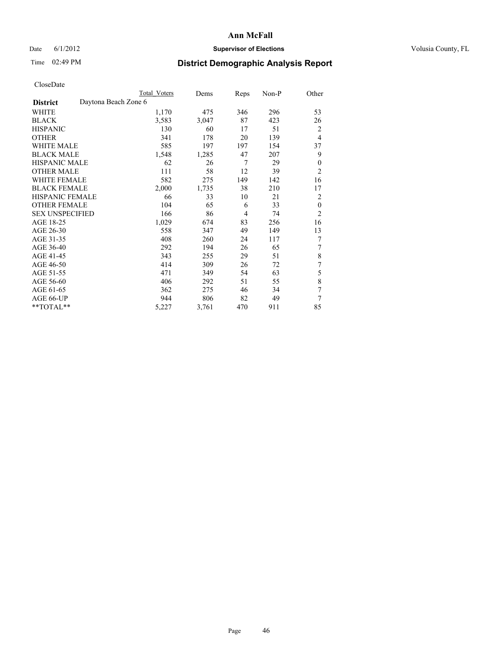## Date 6/1/2012 **Supervisor of Elections Supervisor of Elections** Volusia County, FL

# Time 02:49 PM **District Demographic Analysis Report**

|                        |                      | <b>Total Voters</b> | Dems  | Reps | Non-P | Other          |
|------------------------|----------------------|---------------------|-------|------|-------|----------------|
| <b>District</b>        | Daytona Beach Zone 6 |                     |       |      |       |                |
| WHITE                  |                      | 1,170               | 475   | 346  | 296   | 53             |
| <b>BLACK</b>           |                      | 3,583               | 3,047 | 87   | 423   | 26             |
| <b>HISPANIC</b>        |                      | 130                 | 60    | 17   | 51    | 2              |
| <b>OTHER</b>           |                      | 341                 | 178   | 20   | 139   | $\overline{4}$ |
| WHITE MALE             |                      | 585                 | 197   | 197  | 154   | 37             |
| <b>BLACK MALE</b>      |                      | 1,548               | 1,285 | 47   | 207   | 9              |
| <b>HISPANIC MALE</b>   |                      | 62                  | 26    | 7    | 29    | $\theta$       |
| <b>OTHER MALE</b>      |                      | 111                 | 58    | 12   | 39    | $\overline{2}$ |
| WHITE FEMALE           |                      | 582                 | 275   | 149  | 142   | 16             |
| <b>BLACK FEMALE</b>    |                      | 2,000               | 1,735 | 38   | 210   | 17             |
| <b>HISPANIC FEMALE</b> |                      | 66                  | 33    | 10   | 21    | $\overline{2}$ |
| <b>OTHER FEMALE</b>    |                      | 104                 | 65    | 6    | 33    | $\theta$       |
| <b>SEX UNSPECIFIED</b> |                      | 166                 | 86    | 4    | 74    | $\overline{2}$ |
| AGE 18-25              |                      | 1,029               | 674   | 83   | 256   | 16             |
| AGE 26-30              |                      | 558                 | 347   | 49   | 149   | 13             |
| AGE 31-35              |                      | 408                 | 260   | 24   | 117   | 7              |
| AGE 36-40              |                      | 292                 | 194   | 26   | 65    | 7              |
| AGE 41-45              |                      | 343                 | 255   | 29   | 51    | 8              |
| AGE 46-50              |                      | 414                 | 309   | 26   | 72    | 7              |
| AGE 51-55              |                      | 471                 | 349   | 54   | 63    | 5              |
| AGE 56-60              |                      | 406                 | 292   | 51   | 55    | 8              |
| AGE 61-65              |                      | 362                 | 275   | 46   | 34    | 7              |
| AGE 66-UP              |                      | 944                 | 806   | 82   | 49    | 7              |
| **TOTAL**              |                      | 5,227               | 3,761 | 470  | 911   | 85             |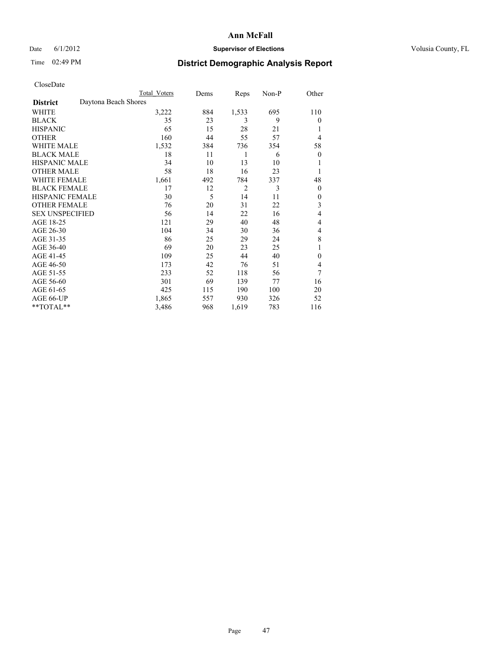### Date 6/1/2012 **Supervisor of Elections Supervisor of Elections** Volusia County, FL

## Time 02:49 PM **District Demographic Analysis Report**

| Cioscivate             |                      |              |      |                |       |          |
|------------------------|----------------------|--------------|------|----------------|-------|----------|
|                        |                      | Total Voters | Dems | Reps           | Non-P | Other    |
| <b>District</b>        | Daytona Beach Shores |              |      |                |       |          |
| <b>WHITE</b>           |                      | 3,222        | 884  | 1,533          | 695   | 110      |
| <b>BLACK</b>           |                      | 35           | 23   | 3              | 9     | $\theta$ |
| <b>HISPANIC</b>        |                      | 65           | 15   | 28             | 21    | 1        |
| <b>OTHER</b>           |                      | 160          | 44   | 55             | 57    | 4        |
| WHITE MALE             |                      | 1,532        | 384  | 736            | 354   | 58       |
| <b>BLACK MALE</b>      |                      | 18           | 11   | 1              | 6     | $\theta$ |
| <b>HISPANIC MALE</b>   |                      | 34           | 10   | 13             | 10    | 1        |
| <b>OTHER MALE</b>      |                      | 58           | 18   | 16             | 23    | 1        |
| WHITE FEMALE           |                      | 1,661        | 492  | 784            | 337   | 48       |
| <b>BLACK FEMALE</b>    |                      | 17           | 12   | $\overline{2}$ | 3     | $\theta$ |
| <b>HISPANIC FEMALE</b> |                      | 30           | 5    | 14             | 11    | $\theta$ |
| <b>OTHER FEMALE</b>    |                      | 76           | 20   | 31             | 22    | 3        |
| <b>SEX UNSPECIFIED</b> |                      | 56           | 14   | 22             | 16    | 4        |
| AGE 18-25              |                      | 121          | 29   | 40             | 48    | 4        |
| AGE 26-30              |                      | 104          | 34   | 30             | 36    | 4        |
| AGE 31-35              |                      | 86           | 25   | 29             | 24    | 8        |
| AGE 36-40              |                      | 69           | 20   | 23             | 25    | 1        |
| AGE 41-45              |                      | 109          | 25   | 44             | 40    | $\theta$ |
| AGE 46-50              |                      | 173          | 42   | 76             | 51    | 4        |
| AGE 51-55              |                      | 233          | 52   | 118            | 56    | 7        |
| AGE 56-60              |                      | 301          | 69   | 139            | 77    | 16       |
| AGE 61-65              |                      | 425          | 115  | 190            | 100   | 20       |
| AGE 66-UP              |                      | 1,865        | 557  | 930            | 326   | 52       |
| **TOTAL**              |                      | 3,486        | 968  | 1,619          | 783   | 116      |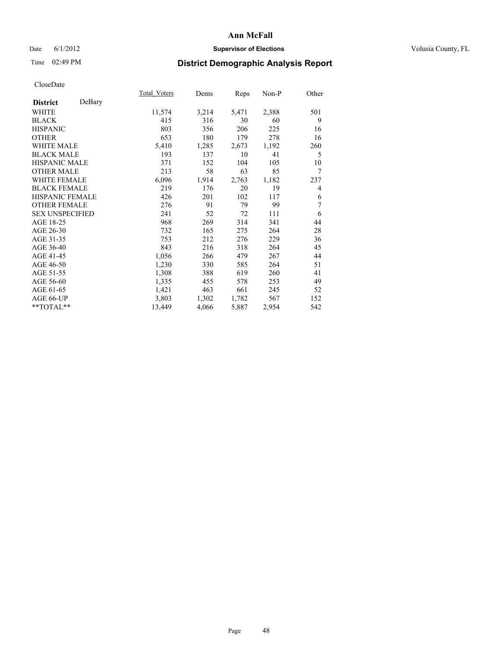## Date 6/1/2012 **Supervisor of Elections Supervisor of Elections** Volusia County, FL

# Time 02:49 PM **District Demographic Analysis Report**

| Total Voters | Dems  | <b>Reps</b> | Non-P | Other |
|--------------|-------|-------------|-------|-------|
|              |       |             |       |       |
| 11,574       | 3,214 | 5,471       | 2,388 | 501   |
| 415          | 316   | 30          | 60    | 9     |
| 803          | 356   | 206         | 225   | 16    |
| 653          | 180   | 179         | 278   | 16    |
| 5,410        | 1,285 | 2,673       | 1,192 | 260   |
| 193          | 137   | 10          | 41    | 5     |
| 371          | 152   | 104         | 105   | 10    |
| 213          | 58    | 63          | 85    | 7     |
| 6,096        | 1,914 | 2,763       | 1,182 | 237   |
| 219          | 176   | 20          | 19    | 4     |
| 426          | 201   | 102         | 117   | 6     |
| 276          | 91    | 79          | 99    | 7     |
| 241          | 52    | 72          | 111   | 6     |
| 968          | 269   | 314         | 341   | 44    |
| 732          | 165   | 275         | 264   | 28    |
| 753          | 212   | 276         | 229   | 36    |
| 843          | 216   | 318         | 264   | 45    |
| 1,056        | 266   | 479         | 267   | 44    |
| 1,230        | 330   | 585         | 264   | 51    |
| 1,308        | 388   | 619         | 260   | 41    |
| 1,335        | 455   | 578         | 253   | 49    |
| 1,421        | 463   | 661         | 245   | 52    |
| 3,803        | 1,302 | 1,782       | 567   | 152   |
| 13,449       | 4,066 | 5,887       | 2,954 | 542   |
|              |       |             |       |       |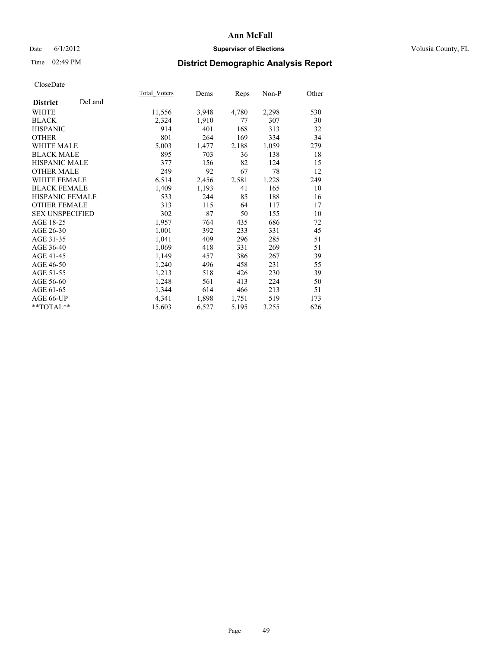## Date 6/1/2012 **Supervisor of Elections Supervisor of Elections** Volusia County, FL

# Time 02:49 PM **District Demographic Analysis Report**

|                        |        | Total Voters | Dems  | <b>Reps</b> | Non-P | Other |
|------------------------|--------|--------------|-------|-------------|-------|-------|
| <b>District</b>        | DeLand |              |       |             |       |       |
| <b>WHITE</b>           |        | 11,556       | 3,948 | 4,780       | 2,298 | 530   |
| <b>BLACK</b>           |        | 2,324        | 1,910 | 77          | 307   | 30    |
| <b>HISPANIC</b>        |        | 914          | 401   | 168         | 313   | 32    |
| <b>OTHER</b>           |        | 801          | 264   | 169         | 334   | 34    |
| <b>WHITE MALE</b>      |        | 5,003        | 1,477 | 2,188       | 1,059 | 279   |
| <b>BLACK MALE</b>      |        | 895          | 703   | 36          | 138   | 18    |
| HISPANIC MALE          |        | 377          | 156   | 82          | 124   | 15    |
| <b>OTHER MALE</b>      |        | 249          | 92    | 67          | 78    | 12    |
| <b>WHITE FEMALE</b>    |        | 6,514        | 2,456 | 2,581       | 1,228 | 249   |
| <b>BLACK FEMALE</b>    |        | 1,409        | 1,193 | 41          | 165   | 10    |
| <b>HISPANIC FEMALE</b> |        | 533          | 244   | 85          | 188   | 16    |
| <b>OTHER FEMALE</b>    |        | 313          | 115   | 64          | 117   | 17    |
| <b>SEX UNSPECIFIED</b> |        | 302          | 87    | 50          | 155   | 10    |
| AGE 18-25              |        | 1,957        | 764   | 435         | 686   | 72    |
| AGE 26-30              |        | 1,001        | 392   | 233         | 331   | 45    |
| AGE 31-35              |        | 1,041        | 409   | 296         | 285   | 51    |
| AGE 36-40              |        | 1,069        | 418   | 331         | 269   | 51    |
| AGE 41-45              |        | 1,149        | 457   | 386         | 267   | 39    |
| AGE 46-50              |        | 1,240        | 496   | 458         | 231   | 55    |
| AGE 51-55              |        | 1,213        | 518   | 426         | 230   | 39    |
| AGE 56-60              |        | 1,248        | 561   | 413         | 224   | 50    |
| AGE 61-65              |        | 1,344        | 614   | 466         | 213   | 51    |
| AGE 66-UP              |        | 4,341        | 1,898 | 1,751       | 519   | 173   |
| **TOTAL**              |        | 15,603       | 6,527 | 5,195       | 3,255 | 626   |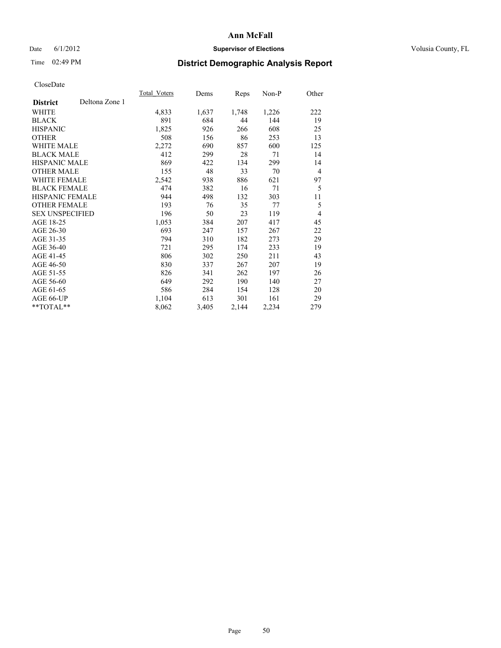## Date 6/1/2012 **Supervisor of Elections Supervisor of Elections** Volusia County, FL

# Time 02:49 PM **District Demographic Analysis Report**

|                        |                | Total Voters | Dems  | Reps  | Non-P | Other |
|------------------------|----------------|--------------|-------|-------|-------|-------|
| <b>District</b>        | Deltona Zone 1 |              |       |       |       |       |
| WHITE                  |                | 4,833        | 1,637 | 1,748 | 1,226 | 222   |
| <b>BLACK</b>           |                | 891          | 684   | 44    | 144   | 19    |
| <b>HISPANIC</b>        |                | 1,825        | 926   | 266   | 608   | 25    |
| <b>OTHER</b>           |                | 508          | 156   | 86    | 253   | 13    |
| <b>WHITE MALE</b>      |                | 2,272        | 690   | 857   | 600   | 125   |
| <b>BLACK MALE</b>      |                | 412          | 299   | 28    | 71    | 14    |
| <b>HISPANIC MALE</b>   |                | 869          | 422   | 134   | 299   | 14    |
| <b>OTHER MALE</b>      |                | 155          | 48    | 33    | 70    | 4     |
| <b>WHITE FEMALE</b>    |                | 2,542        | 938   | 886   | 621   | 97    |
| <b>BLACK FEMALE</b>    |                | 474          | 382   | 16    | 71    | 5     |
| <b>HISPANIC FEMALE</b> |                | 944          | 498   | 132   | 303   | 11    |
| <b>OTHER FEMALE</b>    |                | 193          | 76    | 35    | 77    | 5     |
| <b>SEX UNSPECIFIED</b> |                | 196          | 50    | 23    | 119   | 4     |
| AGE 18-25              |                | 1,053        | 384   | 207   | 417   | 45    |
| AGE 26-30              |                | 693          | 247   | 157   | 267   | 22    |
| AGE 31-35              |                | 794          | 310   | 182   | 273   | 29    |
| AGE 36-40              |                | 721          | 295   | 174   | 233   | 19    |
| AGE 41-45              |                | 806          | 302   | 250   | 211   | 43    |
| AGE 46-50              |                | 830          | 337   | 267   | 207   | 19    |
| AGE 51-55              |                | 826          | 341   | 262   | 197   | 26    |
| AGE 56-60              |                | 649          | 292   | 190   | 140   | 27    |
| AGE 61-65              |                | 586          | 284   | 154   | 128   | 20    |
| AGE 66-UP              |                | 1,104        | 613   | 301   | 161   | 29    |
| **TOTAL**              |                | 8,062        | 3,405 | 2,144 | 2,234 | 279   |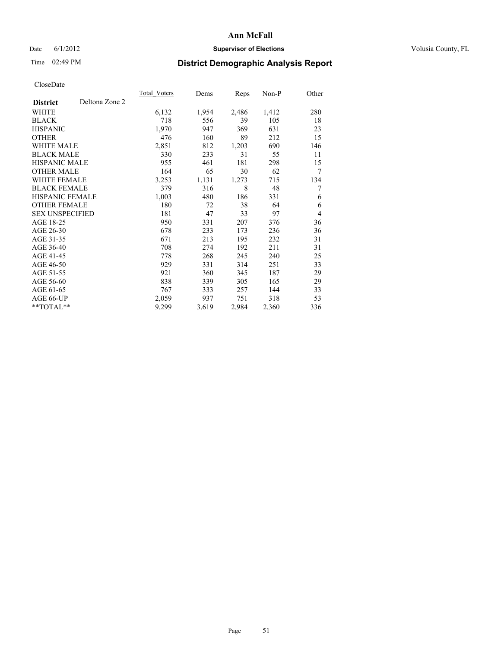## Date 6/1/2012 **Supervisor of Elections Supervisor of Elections** Volusia County, FL

# Time 02:49 PM **District Demographic Analysis Report**

|                        |                | <b>Total Voters</b> | Dems  | <b>Reps</b> | $Non-P$ | Other |
|------------------------|----------------|---------------------|-------|-------------|---------|-------|
| <b>District</b>        | Deltona Zone 2 |                     |       |             |         |       |
| WHITE                  |                | 6,132               | 1,954 | 2,486       | 1,412   | 280   |
| <b>BLACK</b>           |                | 718                 | 556   | 39          | 105     | 18    |
| <b>HISPANIC</b>        |                | 1,970               | 947   | 369         | 631     | 23    |
| <b>OTHER</b>           |                | 476                 | 160   | 89          | 212     | 15    |
| <b>WHITE MALE</b>      |                | 2,851               | 812   | 1,203       | 690     | 146   |
| <b>BLACK MALE</b>      |                | 330                 | 233   | 31          | 55      | 11    |
| <b>HISPANIC MALE</b>   |                | 955                 | 461   | 181         | 298     | 15    |
| <b>OTHER MALE</b>      |                | 164                 | 65    | 30          | 62      | 7     |
| <b>WHITE FEMALE</b>    |                | 3,253               | 1,131 | 1,273       | 715     | 134   |
| <b>BLACK FEMALE</b>    |                | 379                 | 316   | 8           | 48      | 7     |
| <b>HISPANIC FEMALE</b> |                | 1,003               | 480   | 186         | 331     | 6     |
| <b>OTHER FEMALE</b>    |                | 180                 | 72    | 38          | 64      | 6     |
| <b>SEX UNSPECIFIED</b> |                | 181                 | 47    | 33          | 97      | 4     |
| AGE 18-25              |                | 950                 | 331   | 207         | 376     | 36    |
| AGE 26-30              |                | 678                 | 233   | 173         | 236     | 36    |
| AGE 31-35              |                | 671                 | 213   | 195         | 232     | 31    |
| AGE 36-40              |                | 708                 | 274   | 192         | 211     | 31    |
| AGE 41-45              |                | 778                 | 268   | 245         | 240     | 25    |
| AGE 46-50              |                | 929                 | 331   | 314         | 251     | 33    |
| AGE 51-55              |                | 921                 | 360   | 345         | 187     | 29    |
| AGE 56-60              |                | 838                 | 339   | 305         | 165     | 29    |
| AGE 61-65              |                | 767                 | 333   | 257         | 144     | 33    |
| AGE 66-UP              |                | 2,059               | 937   | 751         | 318     | 53    |
| **TOTAL**              |                | 9,299               | 3,619 | 2,984       | 2,360   | 336   |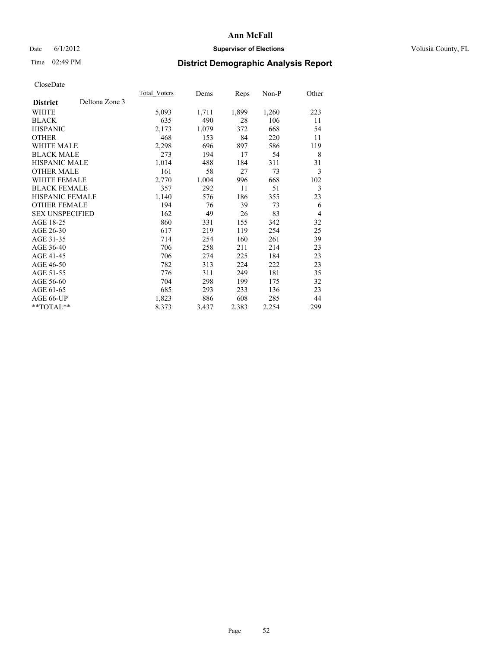## Date 6/1/2012 **Supervisor of Elections Supervisor of Elections** Volusia County, FL

# Time 02:49 PM **District Demographic Analysis Report**

|                                   | Total Voters | Dems  | <b>Reps</b> | Non-P | Other          |
|-----------------------------------|--------------|-------|-------------|-------|----------------|
| Deltona Zone 3<br><b>District</b> |              |       |             |       |                |
| WHITE                             | 5,093        | 1,711 | 1,899       | 1,260 | 223            |
| <b>BLACK</b>                      | 635          | 490   | 28          | 106   | 11             |
| <b>HISPANIC</b>                   | 2,173        | 1,079 | 372         | 668   | 54             |
| <b>OTHER</b>                      | 468          | 153   | 84          | 220   | 11             |
| <b>WHITE MALE</b>                 | 2,298        | 696   | 897         | 586   | 119            |
| <b>BLACK MALE</b>                 | 273          | 194   | 17          | 54    | 8              |
| <b>HISPANIC MALE</b>              | 1,014        | 488   | 184         | 311   | 31             |
| <b>OTHER MALE</b>                 | 161          | 58    | 27          | 73    | 3              |
| <b>WHITE FEMALE</b>               | 2,770        | 1,004 | 996         | 668   | 102            |
| <b>BLACK FEMALE</b>               | 357          | 292   | 11          | 51    | $\mathfrak{Z}$ |
| HISPANIC FEMALE                   | 1,140        | 576   | 186         | 355   | 23             |
| <b>OTHER FEMALE</b>               | 194          | 76    | 39          | 73    | 6              |
| <b>SEX UNSPECIFIED</b>            | 162          | 49    | 26          | 83    | $\overline{4}$ |
| AGE 18-25                         | 860          | 331   | 155         | 342   | 32             |
| AGE 26-30                         | 617          | 219   | 119         | 254   | 25             |
| AGE 31-35                         | 714          | 254   | 160         | 261   | 39             |
| AGE 36-40                         | 706          | 258   | 211         | 214   | 23             |
| AGE 41-45                         | 706          | 274   | 225         | 184   | 23             |
| AGE 46-50                         | 782          | 313   | 224         | 222   | 23             |
| AGE 51-55                         | 776          | 311   | 249         | 181   | 35             |
| AGE 56-60                         | 704          | 298   | 199         | 175   | 32             |
| AGE 61-65                         | 685          | 293   | 233         | 136   | 23             |
| AGE 66-UP                         | 1,823        | 886   | 608         | 285   | 44             |
| **TOTAL**                         | 8,373        | 3,437 | 2,383       | 2,254 | 299            |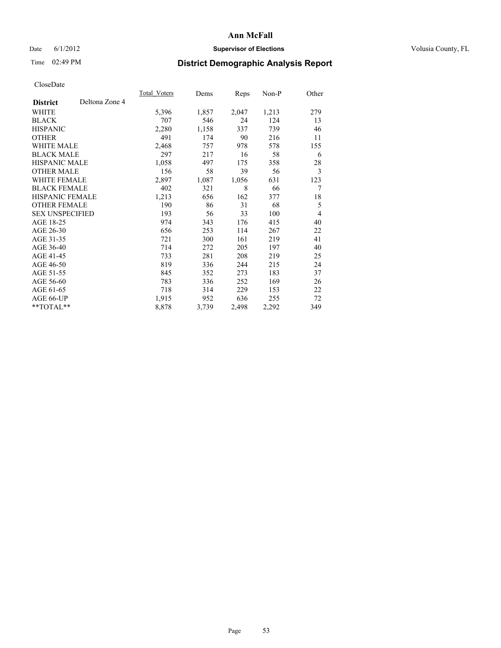## Date 6/1/2012 **Supervisor of Elections Supervisor of Elections** Volusia County, FL

# Time 02:49 PM **District Demographic Analysis Report**

|                                   | Total Voters | Dems  | <b>Reps</b> | Non-P | Other |
|-----------------------------------|--------------|-------|-------------|-------|-------|
| Deltona Zone 4<br><b>District</b> |              |       |             |       |       |
| WHITE                             | 5,396        | 1,857 | 2,047       | 1,213 | 279   |
| <b>BLACK</b>                      | 707          | 546   | 24          | 124   | 13    |
| <b>HISPANIC</b>                   | 2,280        | 1,158 | 337         | 739   | 46    |
| <b>OTHER</b>                      | 491          | 174   | 90          | 216   | 11    |
| WHITE MALE                        | 2,468        | 757   | 978         | 578   | 155   |
| <b>BLACK MALE</b>                 | 297          | 217   | 16          | 58    | 6     |
| <b>HISPANIC MALE</b>              | 1,058        | 497   | 175         | 358   | 28    |
| <b>OTHER MALE</b>                 | 156          | 58    | 39          | 56    | 3     |
| WHITE FEMALE                      | 2,897        | 1,087 | 1,056       | 631   | 123   |
| <b>BLACK FEMALE</b>               | 402          | 321   | 8           | 66    | 7     |
| <b>HISPANIC FEMALE</b>            | 1,213        | 656   | 162         | 377   | 18    |
| <b>OTHER FEMALE</b>               | 190          | 86    | 31          | 68    | 5     |
| <b>SEX UNSPECIFIED</b>            | 193          | 56    | 33          | 100   | 4     |
| AGE 18-25                         | 974          | 343   | 176         | 415   | 40    |
| AGE 26-30                         | 656          | 253   | 114         | 267   | 22    |
| AGE 31-35                         | 721          | 300   | 161         | 219   | 41    |
| AGE 36-40                         | 714          | 272   | 205         | 197   | 40    |
| AGE 41-45                         | 733          | 281   | 208         | 219   | 25    |
| AGE 46-50                         | 819          | 336   | 244         | 215   | 24    |
| AGE 51-55                         | 845          | 352   | 273         | 183   | 37    |
| AGE 56-60                         | 783          | 336   | 252         | 169   | 26    |
| AGE 61-65                         | 718          | 314   | 229         | 153   | 22    |
| AGE 66-UP                         | 1,915        | 952   | 636         | 255   | 72    |
| **TOTAL**                         | 8,878        | 3,739 | 2,498       | 2,292 | 349   |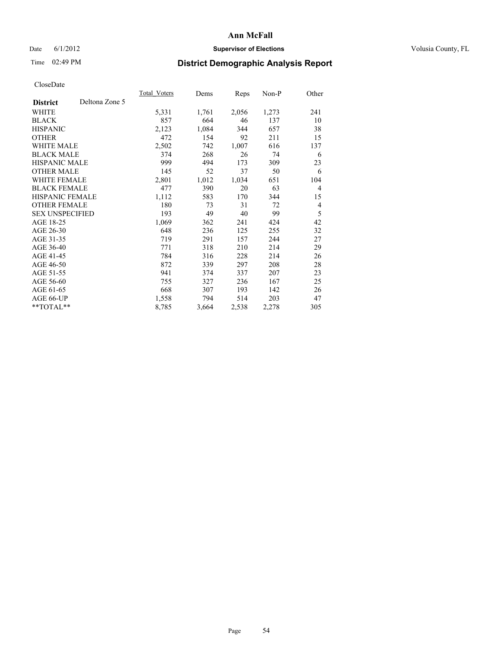## Date 6/1/2012 **Supervisor of Elections Supervisor of Elections** Volusia County, FL

# Time 02:49 PM **District Demographic Analysis Report**

|                        |                | Total Voters | Dems  | <b>Reps</b> | Non-P | Other          |
|------------------------|----------------|--------------|-------|-------------|-------|----------------|
| <b>District</b>        | Deltona Zone 5 |              |       |             |       |                |
| WHITE                  |                | 5,331        | 1,761 | 2,056       | 1,273 | 241            |
| <b>BLACK</b>           |                | 857          | 664   | 46          | 137   | 10             |
| <b>HISPANIC</b>        |                | 2,123        | 1,084 | 344         | 657   | 38             |
| <b>OTHER</b>           |                | 472          | 154   | 92          | 211   | 15             |
| <b>WHITE MALE</b>      |                | 2,502        | 742   | 1,007       | 616   | 137            |
| <b>BLACK MALE</b>      |                | 374          | 268   | 26          | 74    | 6              |
| <b>HISPANIC MALE</b>   |                | 999          | 494   | 173         | 309   | 23             |
| <b>OTHER MALE</b>      |                | 145          | 52    | 37          | 50    | 6              |
| <b>WHITE FEMALE</b>    |                | 2,801        | 1,012 | 1,034       | 651   | 104            |
| <b>BLACK FEMALE</b>    |                | 477          | 390   | 20          | 63    | $\overline{4}$ |
| <b>HISPANIC FEMALE</b> |                | 1,112        | 583   | 170         | 344   | 15             |
| <b>OTHER FEMALE</b>    |                | 180          | 73    | 31          | 72    | $\overline{4}$ |
| <b>SEX UNSPECIFIED</b> |                | 193          | 49    | 40          | 99    | 5              |
| AGE 18-25              |                | 1,069        | 362   | 241         | 424   | 42             |
| AGE 26-30              |                | 648          | 236   | 125         | 255   | 32             |
| AGE 31-35              |                | 719          | 291   | 157         | 244   | 27             |
| AGE 36-40              |                | 771          | 318   | 210         | 214   | 29             |
| AGE 41-45              |                | 784          | 316   | 228         | 214   | 26             |
| AGE 46-50              |                | 872          | 339   | 297         | 208   | 28             |
| AGE 51-55              |                | 941          | 374   | 337         | 207   | 23             |
| AGE 56-60              |                | 755          | 327   | 236         | 167   | 25             |
| AGE 61-65              |                | 668          | 307   | 193         | 142   | 26             |
| AGE 66-UP              |                | 1,558        | 794   | 514         | 203   | 47             |
| **TOTAL**              |                | 8,785        | 3,664 | 2,538       | 2,278 | 305            |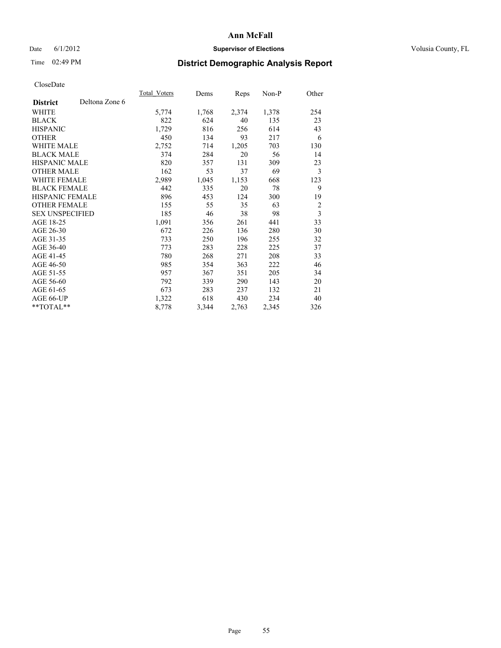## Date 6/1/2012 **Supervisor of Elections Supervisor of Elections** Volusia County, FL

# Time 02:49 PM **District Demographic Analysis Report**

|                        |                | Total Voters | Dems  | Reps  | Non-P | Other                   |
|------------------------|----------------|--------------|-------|-------|-------|-------------------------|
| <b>District</b>        | Deltona Zone 6 |              |       |       |       |                         |
| WHITE                  |                | 5,774        | 1,768 | 2,374 | 1,378 | 254                     |
| <b>BLACK</b>           |                | 822          | 624   | 40    | 135   | 23                      |
| <b>HISPANIC</b>        |                | 1,729        | 816   | 256   | 614   | 43                      |
| <b>OTHER</b>           |                | 450          | 134   | 93    | 217   | 6                       |
| WHITE MALE             |                | 2,752        | 714   | 1,205 | 703   | 130                     |
| <b>BLACK MALE</b>      |                | 374          | 284   | 20    | 56    | 14                      |
| <b>HISPANIC MALE</b>   |                | 820          | 357   | 131   | 309   | 23                      |
| <b>OTHER MALE</b>      |                | 162          | 53    | 37    | 69    | 3                       |
| <b>WHITE FEMALE</b>    |                | 2,989        | 1,045 | 1,153 | 668   | 123                     |
| <b>BLACK FEMALE</b>    |                | 442          | 335   | 20    | 78    | 9                       |
| HISPANIC FEMALE        |                | 896          | 453   | 124   | 300   | 19                      |
| <b>OTHER FEMALE</b>    |                | 155          | 55    | 35    | 63    | $\overline{2}$          |
| <b>SEX UNSPECIFIED</b> |                | 185          | 46    | 38    | 98    | $\overline{\mathbf{3}}$ |
| AGE 18-25              |                | 1,091        | 356   | 261   | 441   | 33                      |
| AGE 26-30              |                | 672          | 226   | 136   | 280   | 30                      |
| AGE 31-35              |                | 733          | 250   | 196   | 255   | 32                      |
| AGE 36-40              |                | 773          | 283   | 228   | 225   | 37                      |
| AGE 41-45              |                | 780          | 268   | 271   | 208   | 33                      |
| AGE 46-50              |                | 985          | 354   | 363   | 222   | 46                      |
| AGE 51-55              |                | 957          | 367   | 351   | 205   | 34                      |
| AGE 56-60              |                | 792          | 339   | 290   | 143   | 20                      |
| AGE 61-65              |                | 673          | 283   | 237   | 132   | 21                      |
| AGE 66-UP              |                | 1,322        | 618   | 430   | 234   | 40                      |
| **TOTAL**              |                | 8,778        | 3,344 | 2,763 | 2,345 | 326                     |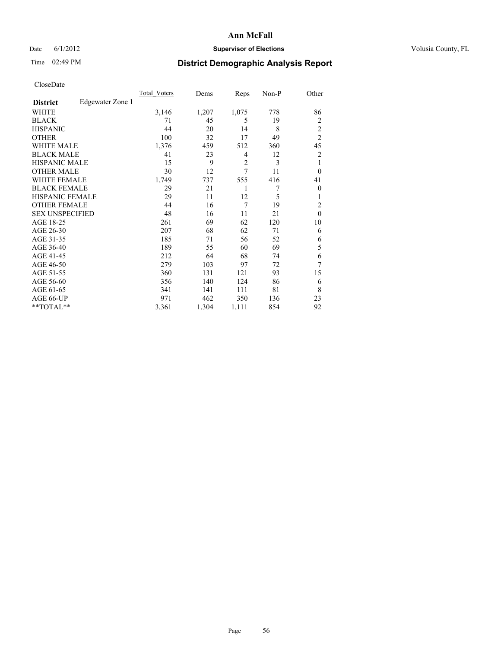## Date 6/1/2012 **Supervisor of Elections Supervisor of Elections** Volusia County, FL

# Time 02:49 PM **District Demographic Analysis Report**

|                        |                  | Total Voters | Dems  | Reps           | Non-P | Other          |
|------------------------|------------------|--------------|-------|----------------|-------|----------------|
| <b>District</b>        | Edgewater Zone 1 |              |       |                |       |                |
| WHITE                  |                  | 3,146        | 1,207 | 1,075          | 778   | 86             |
| <b>BLACK</b>           |                  | 71           | 45    | 5              | 19    | 2              |
| <b>HISPANIC</b>        |                  | 44           | 20    | 14             | 8     | $\overline{2}$ |
| <b>OTHER</b>           |                  | 100          | 32    | 17             | 49    | $\overline{c}$ |
| WHITE MALE             |                  | 1,376        | 459   | 512            | 360   | 45             |
| <b>BLACK MALE</b>      |                  | 41           | 23    | 4              | 12    | 2              |
| <b>HISPANIC MALE</b>   |                  | 15           | 9     | $\overline{2}$ | 3     | 1              |
| <b>OTHER MALE</b>      |                  | 30           | 12    | 7              | 11    | $\Omega$       |
| WHITE FEMALE           |                  | 1,749        | 737   | 555            | 416   | 41             |
| <b>BLACK FEMALE</b>    |                  | 29           | 21    | 1              | 7     | $\overline{0}$ |
| <b>HISPANIC FEMALE</b> |                  | 29           | 11    | 12             | 5     | 1              |
| <b>OTHER FEMALE</b>    |                  | 44           | 16    | 7              | 19    | $\overline{2}$ |
| <b>SEX UNSPECIFIED</b> |                  | 48           | 16    | 11             | 21    | $\mathbf{0}$   |
| AGE 18-25              |                  | 261          | 69    | 62             | 120   | 10             |
| AGE 26-30              |                  | 207          | 68    | 62             | 71    | 6              |
| AGE 31-35              |                  | 185          | 71    | 56             | 52    | 6              |
| AGE 36-40              |                  | 189          | 55    | 60             | 69    | 5              |
| AGE 41-45              |                  | 212          | 64    | 68             | 74    | 6              |
| AGE 46-50              |                  | 279          | 103   | 97             | 72    | 7              |
| AGE 51-55              |                  | 360          | 131   | 121            | 93    | 15             |
| AGE 56-60              |                  | 356          | 140   | 124            | 86    | 6              |
| AGE 61-65              |                  | 341          | 141   | 111            | 81    | 8              |
| AGE 66-UP              |                  | 971          | 462   | 350            | 136   | 23             |
| **TOTAL**              |                  | 3,361        | 1,304 | 1,111          | 854   | 92             |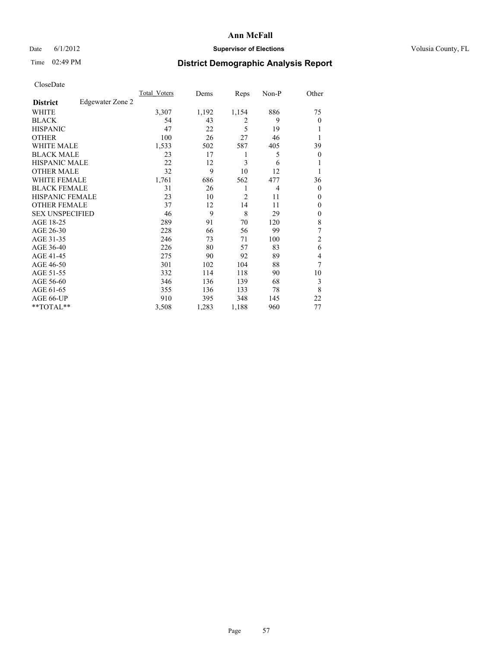### Date 6/1/2012 **Supervisor of Elections Supervisor of Elections** Volusia County, FL

## Time 02:49 PM **District Demographic Analysis Report**

| Cioscivate             |                  |                     |       |       |                |                |
|------------------------|------------------|---------------------|-------|-------|----------------|----------------|
|                        |                  | <b>Total Voters</b> | Dems  | Reps  | Non-P          | Other          |
| <b>District</b>        | Edgewater Zone 2 |                     |       |       |                |                |
| <b>WHITE</b>           |                  | 3,307               | 1,192 | 1,154 | 886            | 75             |
| <b>BLACK</b>           |                  | 54                  | 43    | 2     | 9              | $\overline{0}$ |
| <b>HISPANIC</b>        |                  | 47                  | 22    | 5     | 19             |                |
| <b>OTHER</b>           |                  | 100                 | 26    | 27    | 46             |                |
| WHITE MALE             |                  | 1,533               | 502   | 587   | 405            | 39             |
| <b>BLACK MALE</b>      |                  | 23                  | 17    | 1     | 5              | $\Omega$       |
| <b>HISPANIC MALE</b>   |                  | 22                  | 12    | 3     | 6              |                |
| <b>OTHER MALE</b>      |                  | 32                  | 9     | 10    | 12             |                |
| WHITE FEMALE           |                  | 1,761               | 686   | 562   | 477            | 36             |
| <b>BLACK FEMALE</b>    |                  | 31                  | 26    | 1     | $\overline{4}$ | $\Omega$       |
| <b>HISPANIC FEMALE</b> |                  | 23                  | 10    | 2     | 11             | $\Omega$       |
| <b>OTHER FEMALE</b>    |                  | 37                  | 12    | 14    | 11             | $\overline{0}$ |
| <b>SEX UNSPECIFIED</b> |                  | 46                  | 9     | 8     | 29             | $\overline{0}$ |
| AGE 18-25              |                  | 289                 | 91    | 70    | 120            | 8              |
| AGE 26-30              |                  | 228                 | 66    | 56    | 99             | 7              |
| AGE 31-35              |                  | 246                 | 73    | 71    | 100            | $\overline{2}$ |
| AGE 36-40              |                  | 226                 | 80    | 57    | 83             | 6              |
| AGE 41-45              |                  | 275                 | 90    | 92    | 89             | 4              |
| AGE 46-50              |                  | 301                 | 102   | 104   | 88             | 7              |
| AGE 51-55              |                  | 332                 | 114   | 118   | 90             | 10             |
| AGE 56-60              |                  | 346                 | 136   | 139   | 68             | 3              |
| AGE 61-65              |                  | 355                 | 136   | 133   | 78             | 8              |
| AGE 66-UP              |                  | 910                 | 395   | 348   | 145            | 22             |
| **TOTAL**              |                  | 3,508               | 1,283 | 1,188 | 960            | 77             |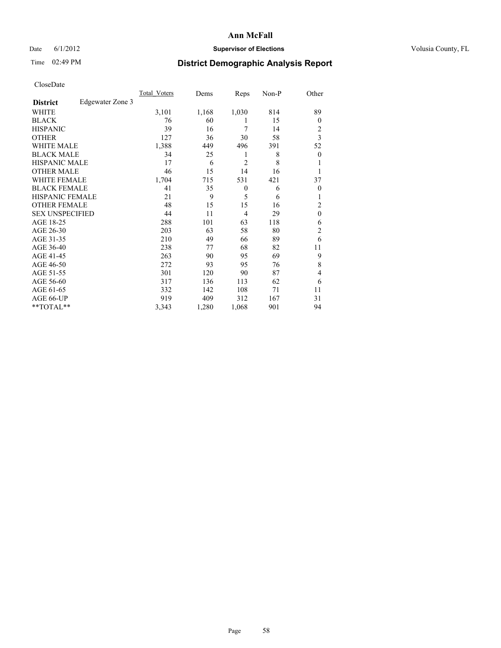## Date 6/1/2012 **Supervisor of Elections Supervisor of Elections** Volusia County, FL

# Time 02:49 PM **District Demographic Analysis Report**

|                        |                  | Total Voters | Dems  | Reps           | Non-P | Other            |
|------------------------|------------------|--------------|-------|----------------|-------|------------------|
| <b>District</b>        | Edgewater Zone 3 |              |       |                |       |                  |
| WHITE                  |                  | 3,101        | 1,168 | 1,030          | 814   | 89               |
| <b>BLACK</b>           |                  | 76           | 60    | 1              | 15    | $\Omega$         |
| <b>HISPANIC</b>        |                  | 39           | 16    | 7              | 14    | 2                |
| <b>OTHER</b>           |                  | 127          | 36    | 30             | 58    | $\overline{3}$   |
| WHITE MALE             |                  | 1,388        | 449   | 496            | 391   | 52               |
| <b>BLACK MALE</b>      |                  | 34           | 25    | 1              | 8     | $\boldsymbol{0}$ |
| <b>HISPANIC MALE</b>   |                  | 17           | 6     | $\overline{2}$ | 8     | 1                |
| <b>OTHER MALE</b>      |                  | 46           | 15    | 14             | 16    | 1                |
| WHITE FEMALE           |                  | 1,704        | 715   | 531            | 421   | 37               |
| <b>BLACK FEMALE</b>    |                  | 41           | 35    | $\mathbf{0}$   | 6     | $\overline{0}$   |
| <b>HISPANIC FEMALE</b> |                  | 21           | 9     | 5              | 6     | 1                |
| <b>OTHER FEMALE</b>    |                  | 48           | 15    | 15             | 16    | 2                |
| <b>SEX UNSPECIFIED</b> |                  | 44           | 11    | $\overline{4}$ | 29    | $\mathbf{0}$     |
| AGE 18-25              |                  | 288          | 101   | 63             | 118   | 6                |
| AGE 26-30              |                  | 203          | 63    | 58             | 80    | $\overline{2}$   |
| AGE 31-35              |                  | 210          | 49    | 66             | 89    | 6                |
| AGE 36-40              |                  | 238          | 77    | 68             | 82    | 11               |
| AGE 41-45              |                  | 263          | 90    | 95             | 69    | 9                |
| AGE 46-50              |                  | 272          | 93    | 95             | 76    | 8                |
| AGE 51-55              |                  | 301          | 120   | 90             | 87    | 4                |
| AGE 56-60              |                  | 317          | 136   | 113            | 62    | 6                |
| AGE 61-65              |                  | 332          | 142   | 108            | 71    | 11               |
| AGE 66-UP              |                  | 919          | 409   | 312            | 167   | 31               |
| **TOTAL**              |                  | 3,343        | 1,280 | 1,068          | 901   | 94               |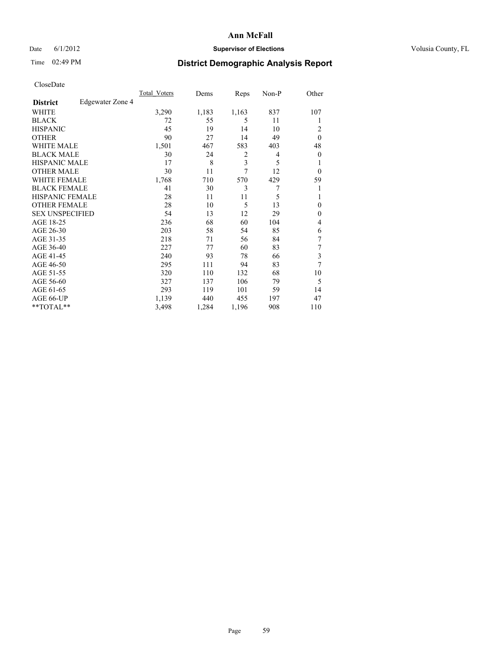### Date 6/1/2012 **Supervisor of Elections Supervisor of Elections** Volusia County, FL

## Time 02:49 PM **District Demographic Analysis Report**

| Cioscivate             |                  |                     |       |                         |       |              |
|------------------------|------------------|---------------------|-------|-------------------------|-------|--------------|
|                        |                  | <b>Total Voters</b> | Dems  | Reps                    | Non-P | Other        |
| <b>District</b>        | Edgewater Zone 4 |                     |       |                         |       |              |
| <b>WHITE</b>           |                  | 3,290               | 1,183 | 1,163                   | 837   | 107          |
| <b>BLACK</b>           |                  | 72                  | 55    | 5                       | 11    | 1            |
| <b>HISPANIC</b>        |                  | 45                  | 19    | 14                      | 10    | 2            |
| <b>OTHER</b>           |                  | 90                  | 27    | 14                      | 49    | $\theta$     |
| WHITE MALE             |                  | 1,501               | 467   | 583                     | 403   | 48           |
| <b>BLACK MALE</b>      |                  | 30                  | 24    | $\overline{2}$          | 4     | $\theta$     |
| <b>HISPANIC MALE</b>   |                  | 17                  | 8     | $\overline{\mathbf{3}}$ | 5     | 1            |
| <b>OTHER MALE</b>      |                  | 30                  | 11    | 7                       | 12    | $\theta$     |
| WHITE FEMALE           |                  | 1,768               | 710   | 570                     | 429   | 59           |
| <b>BLACK FEMALE</b>    |                  | 41                  | 30    | 3                       | 7     | 1            |
| <b>HISPANIC FEMALE</b> |                  | 28                  | 11    | 11                      | 5     |              |
| <b>OTHER FEMALE</b>    |                  | 28                  | 10    | 5                       | 13    | $\mathbf{0}$ |
| <b>SEX UNSPECIFIED</b> |                  | 54                  | 13    | 12                      | 29    | $\mathbf{0}$ |
| AGE 18-25              |                  | 236                 | 68    | 60                      | 104   | 4            |
| AGE 26-30              |                  | 203                 | 58    | 54                      | 85    | 6            |
| AGE 31-35              |                  | 218                 | 71    | 56                      | 84    | 7            |
| AGE 36-40              |                  | 227                 | 77    | 60                      | 83    | 7            |
| AGE 41-45              |                  | 240                 | 93    | 78                      | 66    | 3            |
| AGE 46-50              |                  | 295                 | 111   | 94                      | 83    | 7            |
| AGE 51-55              |                  | 320                 | 110   | 132                     | 68    | 10           |
| AGE 56-60              |                  | 327                 | 137   | 106                     | 79    | 5            |
| AGE 61-65              |                  | 293                 | 119   | 101                     | 59    | 14           |
| AGE 66-UP              |                  | 1,139               | 440   | 455                     | 197   | 47           |
| **TOTAL**              |                  | 3,498               | 1,284 | 1,196                   | 908   | 110          |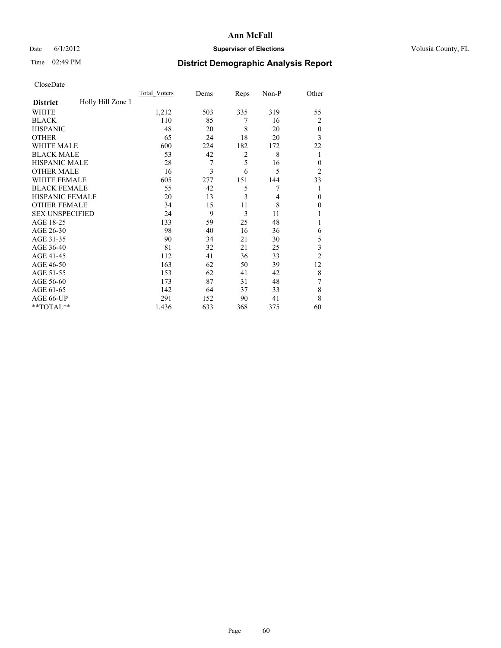## Date 6/1/2012 **Supervisor of Elections Supervisor of Elections** Volusia County, FL

# Time 02:49 PM **District Demographic Analysis Report**

|                        |                   | <b>Total Voters</b> | Dems | Reps           | Non-P          | Other          |
|------------------------|-------------------|---------------------|------|----------------|----------------|----------------|
| <b>District</b>        | Holly Hill Zone 1 |                     |      |                |                |                |
| WHITE                  |                   | 1,212               | 503  | 335            | 319            | 55             |
| <b>BLACK</b>           |                   | 110                 | 85   | 7              | 16             | 2              |
| <b>HISPANIC</b>        |                   | 48                  | 20   | 8              | 20             | $\mathbf{0}$   |
| <b>OTHER</b>           |                   | 65                  | 24   | 18             | 20             | 3              |
| WHITE MALE             |                   | 600                 | 224  | 182            | 172            | 22             |
| <b>BLACK MALE</b>      |                   | 53                  | 42   | $\overline{2}$ | 8              | 1              |
| <b>HISPANIC MALE</b>   |                   | 28                  | 7    | 5              | 16             | $\theta$       |
| <b>OTHER MALE</b>      |                   | 16                  | 3    | 6              | 5              | $\overline{2}$ |
| <b>WHITE FEMALE</b>    |                   | 605                 | 277  | 151            | 144            | 33             |
| <b>BLACK FEMALE</b>    |                   | 55                  | 42   | 5              | 7              |                |
| <b>HISPANIC FEMALE</b> |                   | 20                  | 13   | 3              | $\overline{4}$ | $\theta$       |
| <b>OTHER FEMALE</b>    |                   | 34                  | 15   | 11             | 8              | $\theta$       |
| <b>SEX UNSPECIFIED</b> |                   | 24                  | 9    | 3              | 11             |                |
| AGE 18-25              |                   | 133                 | 59   | 25             | 48             |                |
| AGE 26-30              |                   | 98                  | 40   | 16             | 36             | 6              |
| AGE 31-35              |                   | 90                  | 34   | 21             | 30             | 5              |
| AGE 36-40              |                   | 81                  | 32   | 21             | 25             | 3              |
| AGE 41-45              |                   | 112                 | 41   | 36             | 33             | $\overline{2}$ |
| AGE 46-50              |                   | 163                 | 62   | 50             | 39             | 12             |
| AGE 51-55              |                   | 153                 | 62   | 41             | 42             | 8              |
| AGE 56-60              |                   | 173                 | 87   | 31             | 48             | 7              |
| AGE 61-65              |                   | 142                 | 64   | 37             | 33             | 8              |
| AGE 66-UP              |                   | 291                 | 152  | 90             | 41             | 8              |
| $*$ TOTAL $**$         |                   | 1,436               | 633  | 368            | 375            | 60             |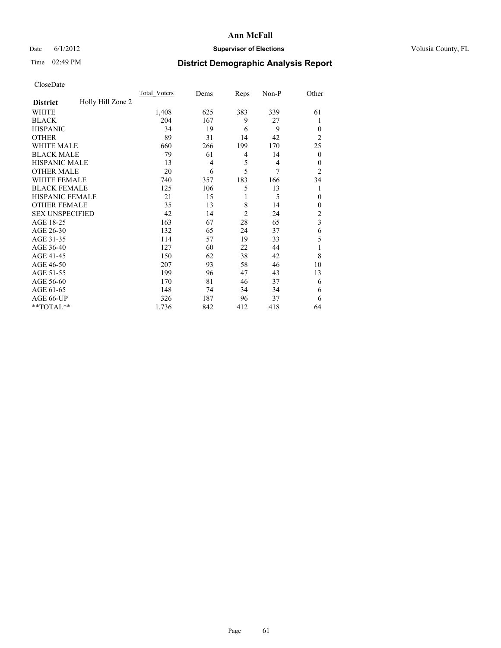## Date 6/1/2012 **Supervisor of Elections Supervisor of Elections** Volusia County, FL

# Time 02:49 PM **District Demographic Analysis Report**

|                        |                   | <b>Total Voters</b> | Dems           | Reps           | Non-P          | Other                   |
|------------------------|-------------------|---------------------|----------------|----------------|----------------|-------------------------|
| <b>District</b>        | Holly Hill Zone 2 |                     |                |                |                |                         |
| WHITE                  |                   | 1,408               | 625            | 383            | 339            | 61                      |
| <b>BLACK</b>           |                   | 204                 | 167            | 9              | 27             | 1                       |
| <b>HISPANIC</b>        |                   | 34                  | 19             | 6              | 9              | $\Omega$                |
| <b>OTHER</b>           |                   | 89                  | 31             | 14             | 42             | $\overline{2}$          |
| WHITE MALE             |                   | 660                 | 266            | 199            | 170            | 25                      |
| <b>BLACK MALE</b>      |                   | 79                  | 61             | 4              | 14             | $\overline{0}$          |
| <b>HISPANIC MALE</b>   |                   | 13                  | $\overline{4}$ | 5              | $\overline{4}$ | $\overline{0}$          |
| <b>OTHER MALE</b>      |                   | 20                  | 6              | 5              | 7              | $\overline{2}$          |
| WHITE FEMALE           |                   | 740                 | 357            | 183            | 166            | 34                      |
| <b>BLACK FEMALE</b>    |                   | 125                 | 106            | 5              | 13             | 1                       |
| <b>HISPANIC FEMALE</b> |                   | 21                  | 15             | 1              | 5              | $\theta$                |
| <b>OTHER FEMALE</b>    |                   | 35                  | 13             | 8              | 14             | $\Omega$                |
| <b>SEX UNSPECIFIED</b> |                   | 42                  | 14             | $\overline{2}$ | 24             | $\overline{c}$          |
| AGE 18-25              |                   | 163                 | 67             | 28             | 65             | $\overline{\mathbf{3}}$ |
| AGE 26-30              |                   | 132                 | 65             | 24             | 37             | 6                       |
| AGE 31-35              |                   | 114                 | 57             | 19             | 33             | 5                       |
| AGE 36-40              |                   | 127                 | 60             | 22             | 44             |                         |
| AGE 41-45              |                   | 150                 | 62             | 38             | 42             | 8                       |
| AGE 46-50              |                   | 207                 | 93             | 58             | 46             | 10                      |
| AGE 51-55              |                   | 199                 | 96             | 47             | 43             | 13                      |
| AGE 56-60              |                   | 170                 | 81             | 46             | 37             | 6                       |
| AGE 61-65              |                   | 148                 | 74             | 34             | 34             | 6                       |
| AGE 66-UP              |                   | 326                 | 187            | 96             | 37             | 6                       |
| **TOTAL**              |                   | 1,736               | 842            | 412            | 418            | 64                      |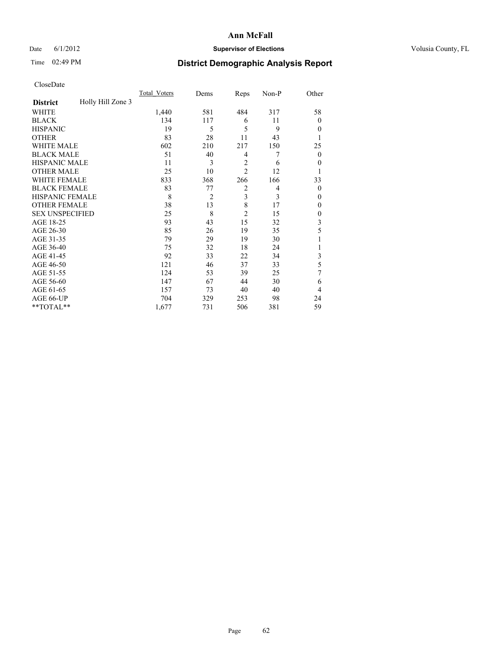## Date 6/1/2012 **Supervisor of Elections Supervisor of Elections** Volusia County, FL

# Time 02:49 PM **District Demographic Analysis Report**

|                        |                   | <b>Total Voters</b> | Dems           | Reps           | Non-P | Other          |
|------------------------|-------------------|---------------------|----------------|----------------|-------|----------------|
| <b>District</b>        | Holly Hill Zone 3 |                     |                |                |       |                |
| WHITE                  |                   | 1,440               | 581            | 484            | 317   | 58             |
| <b>BLACK</b>           |                   | 134                 | 117            | 6              | 11    | $\Omega$       |
| <b>HISPANIC</b>        |                   | 19                  | 5              | 5              | 9     | $\Omega$       |
| <b>OTHER</b>           |                   | 83                  | 28             | 11             | 43    |                |
| WHITE MALE             |                   | 602                 | 210            | 217            | 150   | 25             |
| <b>BLACK MALE</b>      |                   | 51                  | 40             | 4              | 7     | $\overline{0}$ |
| <b>HISPANIC MALE</b>   |                   | 11                  | 3              | $\overline{2}$ | 6     | 0              |
| <b>OTHER MALE</b>      |                   | 25                  | 10             | $\overline{2}$ | 12    |                |
| <b>WHITE FEMALE</b>    |                   | 833                 | 368            | 266            | 166   | 33             |
| <b>BLACK FEMALE</b>    |                   | 83                  | 77             | $\overline{2}$ | 4     | $\overline{0}$ |
| <b>HISPANIC FEMALE</b> |                   | 8                   | $\overline{2}$ | 3              | 3     | $\Omega$       |
| <b>OTHER FEMALE</b>    |                   | 38                  | 13             | 8              | 17    | $\Omega$       |
| <b>SEX UNSPECIFIED</b> |                   | 25                  | 8              | $\overline{c}$ | 15    | $\overline{0}$ |
| AGE 18-25              |                   | 93                  | 43             | 15             | 32    | 3              |
| AGE 26-30              |                   | 85                  | 26             | 19             | 35    | 5              |
| AGE 31-35              |                   | 79                  | 29             | 19             | 30    |                |
| AGE 36-40              |                   | 75                  | 32             | 18             | 24    |                |
| AGE 41-45              |                   | 92                  | 33             | 22             | 34    | 3              |
| AGE 46-50              |                   | 121                 | 46             | 37             | 33    | 5              |
| AGE 51-55              |                   | 124                 | 53             | 39             | 25    | 7              |
| AGE 56-60              |                   | 147                 | 67             | 44             | 30    | 6              |
| AGE 61-65              |                   | 157                 | 73             | 40             | 40    | $\overline{4}$ |
| AGE 66-UP              |                   | 704                 | 329            | 253            | 98    | 24             |
| **TOTAL**              |                   | 1,677               | 731            | 506            | 381   | 59             |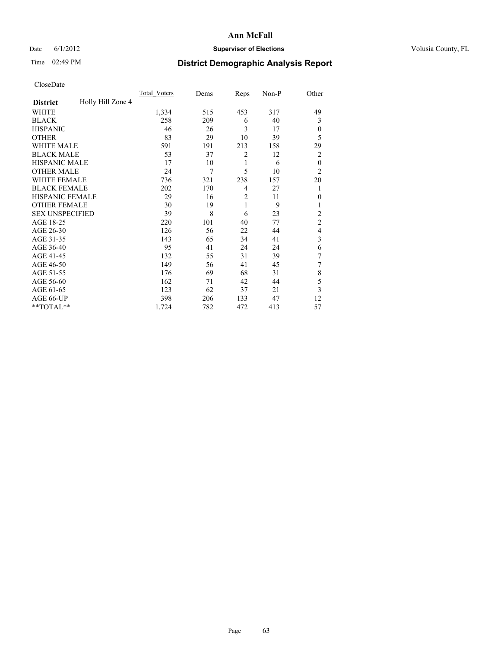### Date 6/1/2012 **Supervisor of Elections Supervisor of Elections** Volusia County, FL

## Time 02:49 PM **District Demographic Analysis Report**

| Cioscivate             |                   |                     |      |                |       |                |
|------------------------|-------------------|---------------------|------|----------------|-------|----------------|
|                        |                   | <b>Total Voters</b> | Dems | Reps           | Non-P | Other          |
| <b>District</b>        | Holly Hill Zone 4 |                     |      |                |       |                |
| <b>WHITE</b>           |                   | 1,334               | 515  | 453            | 317   | 49             |
| <b>BLACK</b>           |                   | 258                 | 209  | 6              | 40    | 3              |
| <b>HISPANIC</b>        |                   | 46                  | 26   | 3              | 17    | $\theta$       |
| <b>OTHER</b>           |                   | 83                  | 29   | 10             | 39    | 5              |
| WHITE MALE             |                   | 591                 | 191  | 213            | 158   | 29             |
| <b>BLACK MALE</b>      |                   | 53                  | 37   | $\overline{2}$ | 12    | $\overline{2}$ |
| <b>HISPANIC MALE</b>   |                   | 17                  | 10   | 1              | 6     | $\overline{0}$ |
| <b>OTHER MALE</b>      |                   | 24                  | 7    | 5              | 10    | $\overline{2}$ |
| <b>WHITE FEMALE</b>    |                   | 736                 | 321  | 238            | 157   | 20             |
| <b>BLACK FEMALE</b>    |                   | 202                 | 170  | $\overline{4}$ | 27    | 1              |
| HISPANIC FEMALE        |                   | 29                  | 16   | $\overline{c}$ | 11    | $\Omega$       |
| <b>OTHER FEMALE</b>    |                   | 30                  | 19   | 1              | 9     | 1              |
| <b>SEX UNSPECIFIED</b> |                   | 39                  | 8    | 6              | 23    | $\overline{c}$ |
| AGE 18-25              |                   | 220                 | 101  | 40             | 77    | $\overline{c}$ |
| AGE 26-30              |                   | 126                 | 56   | 22             | 44    | $\overline{4}$ |
| AGE 31-35              |                   | 143                 | 65   | 34             | 41    | 3              |
| AGE 36-40              |                   | 95                  | 41   | 24             | 24    | 6              |
| AGE 41-45              |                   | 132                 | 55   | 31             | 39    | 7              |
| AGE 46-50              |                   | 149                 | 56   | 41             | 45    | 7              |
| AGE 51-55              |                   | 176                 | 69   | 68             | 31    | 8              |
| AGE 56-60              |                   | 162                 | 71   | 42             | 44    | 5              |
| AGE 61-65              |                   | 123                 | 62   | 37             | 21    | 3              |
| AGE 66-UP              |                   | 398                 | 206  | 133            | 47    | 12             |
| **TOTAL**              |                   | 1,724               | 782  | 472            | 413   | 57             |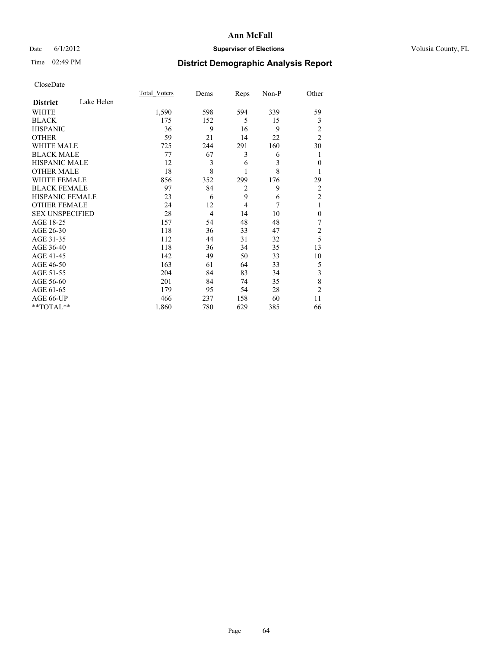## Date 6/1/2012 **Supervisor of Elections Supervisor of Elections** Volusia County, FL

# Time 02:49 PM **District Demographic Analysis Report**

|                        |            | <b>Total Voters</b> | Dems           | Reps           | Non-P | Other          |
|------------------------|------------|---------------------|----------------|----------------|-------|----------------|
| <b>District</b>        | Lake Helen |                     |                |                |       |                |
| WHITE                  |            | 1,590               | 598            | 594            | 339   | 59             |
| <b>BLACK</b>           |            | 175                 | 152            | 5              | 15    | 3              |
| <b>HISPANIC</b>        |            | 36                  | 9              | 16             | 9     | 2              |
| <b>OTHER</b>           |            | 59                  | 21             | 14             | 22    | $\overline{2}$ |
| <b>WHITE MALE</b>      |            | 725                 | 244            | 291            | 160   | 30             |
| <b>BLACK MALE</b>      |            | 77                  | 67             | 3              | 6     | 1              |
| <b>HISPANIC MALE</b>   |            | 12                  | 3              | 6              | 3     | $\theta$       |
| <b>OTHER MALE</b>      |            | 18                  | 8              | 1              | 8     | 1              |
| <b>WHITE FEMALE</b>    |            | 856                 | 352            | 299            | 176   | 29             |
| <b>BLACK FEMALE</b>    |            | 97                  | 84             | $\overline{2}$ | 9     | $\overline{2}$ |
| <b>HISPANIC FEMALE</b> |            | 23                  | 6              | 9              | 6     | $\overline{2}$ |
| <b>OTHER FEMALE</b>    |            | 24                  | 12             | $\overline{4}$ | 7     | 1              |
| <b>SEX UNSPECIFIED</b> |            | 28                  | $\overline{4}$ | 14             | 10    | $\theta$       |
| AGE 18-25              |            | 157                 | 54             | 48             | 48    | 7              |
| AGE 26-30              |            | 118                 | 36             | 33             | 47    | $\overline{c}$ |
| AGE 31-35              |            | 112                 | 44             | 31             | 32    | 5              |
| AGE 36-40              |            | 118                 | 36             | 34             | 35    | 13             |
| AGE 41-45              |            | 142                 | 49             | 50             | 33    | 10             |
| AGE 46-50              |            | 163                 | 61             | 64             | 33    | 5              |
| AGE 51-55              |            | 204                 | 84             | 83             | 34    | 3              |
| AGE 56-60              |            | 201                 | 84             | 74             | 35    | 8              |
| AGE 61-65              |            | 179                 | 95             | 54             | 28    | $\overline{2}$ |
| AGE 66-UP              |            | 466                 | 237            | 158            | 60    | 11             |
| **TOTAL**              |            | 1,860               | 780            | 629            | 385   | 66             |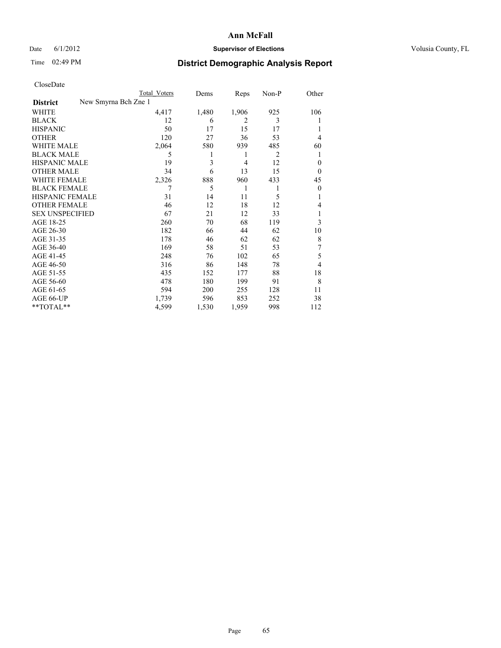## Date 6/1/2012 **Supervisor of Elections Supervisor of Elections** Volusia County, FL

# Time 02:49 PM **District Demographic Analysis Report**

|                        |                      | <b>Total Voters</b> | Dems  | Reps           | Non-P | Other    |
|------------------------|----------------------|---------------------|-------|----------------|-------|----------|
| <b>District</b>        | New Smyrna Bch Zne 1 |                     |       |                |       |          |
| WHITE                  |                      | 4,417               | 1,480 | 1,906          | 925   | 106      |
| <b>BLACK</b>           |                      | 12                  | 6     | $\overline{2}$ | 3     |          |
| <b>HISPANIC</b>        |                      | 50                  | 17    | 15             | 17    |          |
| <b>OTHER</b>           |                      | 120                 | 27    | 36             | 53    | 4        |
| WHITE MALE             |                      | 2,064               | 580   | 939            | 485   | 60       |
| <b>BLACK MALE</b>      |                      | 5                   | 1     | 1              | 2     | l        |
| <b>HISPANIC MALE</b>   |                      | 19                  | 3     | $\overline{4}$ | 12    | 0        |
| <b>OTHER MALE</b>      |                      | 34                  | 6     | 13             | 15    | $\theta$ |
| WHITE FEMALE           |                      | 2,326               | 888   | 960            | 433   | 45       |
| <b>BLACK FEMALE</b>    |                      | 7                   | 5     | 1              | 1     | $\theta$ |
| <b>HISPANIC FEMALE</b> |                      | 31                  | 14    | 11             | 5     |          |
| <b>OTHER FEMALE</b>    |                      | 46                  | 12    | 18             | 12    | 4        |
| <b>SEX UNSPECIFIED</b> |                      | 67                  | 21    | 12             | 33    |          |
| AGE 18-25              |                      | 260                 | 70    | 68             | 119   | 3        |
| AGE 26-30              |                      | 182                 | 66    | 44             | 62    | 10       |
| AGE 31-35              |                      | 178                 | 46    | 62             | 62    | 8        |
| AGE 36-40              |                      | 169                 | 58    | 51             | 53    | 7        |
| AGE 41-45              |                      | 248                 | 76    | 102            | 65    | 5        |
| AGE 46-50              |                      | 316                 | 86    | 148            | 78    | 4        |
| AGE 51-55              |                      | 435                 | 152   | 177            | 88    | 18       |
| AGE 56-60              |                      | 478                 | 180   | 199            | 91    | 8        |
| AGE 61-65              |                      | 594                 | 200   | 255            | 128   | 11       |
| AGE 66-UP              |                      | 1,739               | 596   | 853            | 252   | 38       |
| **TOTAL**              |                      | 4,599               | 1,530 | 1,959          | 998   | 112      |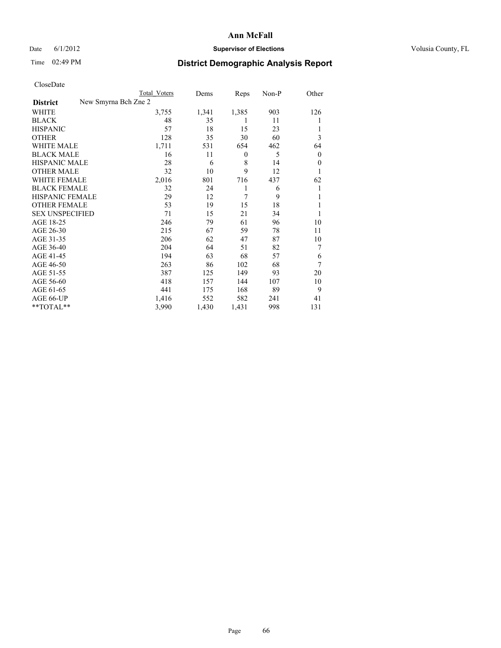### Date 6/1/2012 **Supervisor of Elections Supervisor of Elections** Volusia County, FL

# Time 02:49 PM **District Demographic Analysis Report**

|                        |                      | <b>Total Voters</b> | Dems  | Reps  | Non-P | Other            |
|------------------------|----------------------|---------------------|-------|-------|-------|------------------|
| <b>District</b>        | New Smyrna Bch Zne 2 |                     |       |       |       |                  |
| WHITE                  |                      | 3,755               | 1,341 | 1,385 | 903   | 126              |
| <b>BLACK</b>           |                      | 48                  | 35    | 1     | 11    |                  |
| <b>HISPANIC</b>        |                      | 57                  | 18    | 15    | 23    |                  |
| <b>OTHER</b>           |                      | 128                 | 35    | 30    | 60    | 3                |
| WHITE MALE             |                      | 1,711               | 531   | 654   | 462   | 64               |
| <b>BLACK MALE</b>      |                      | 16                  | 11    | 0     | 5     | $\boldsymbol{0}$ |
| <b>HISPANIC MALE</b>   |                      | 28                  | 6     | 8     | 14    | $\mathbf{0}$     |
| <b>OTHER MALE</b>      |                      | 32                  | 10    | 9     | 12    | 1                |
| <b>WHITE FEMALE</b>    |                      | 2,016               | 801   | 716   | 437   | 62               |
| <b>BLACK FEMALE</b>    |                      | 32                  | 24    | 1     | 6     | 1                |
| HISPANIC FEMALE        |                      | 29                  | 12    | 7     | 9     | 1                |
| <b>OTHER FEMALE</b>    |                      | 53                  | 19    | 15    | 18    |                  |
| <b>SEX UNSPECIFIED</b> |                      | 71                  | 15    | 21    | 34    |                  |
| AGE 18-25              |                      | 246                 | 79    | 61    | 96    | 10               |
| AGE 26-30              |                      | 215                 | 67    | 59    | 78    | 11               |
| AGE 31-35              |                      | 206                 | 62    | 47    | 87    | 10               |
| AGE 36-40              |                      | 204                 | 64    | 51    | 82    | 7                |
| AGE 41-45              |                      | 194                 | 63    | 68    | 57    | 6                |
| AGE 46-50              |                      | 263                 | 86    | 102   | 68    | 7                |
| AGE 51-55              |                      | 387                 | 125   | 149   | 93    | 20               |
| AGE 56-60              |                      | 418                 | 157   | 144   | 107   | 10               |
| AGE 61-65              |                      | 441                 | 175   | 168   | 89    | 9                |
| AGE 66-UP              |                      | 1,416               | 552   | 582   | 241   | 41               |
| **TOTAL**              |                      | 3,990               | 1,430 | 1,431 | 998   | 131              |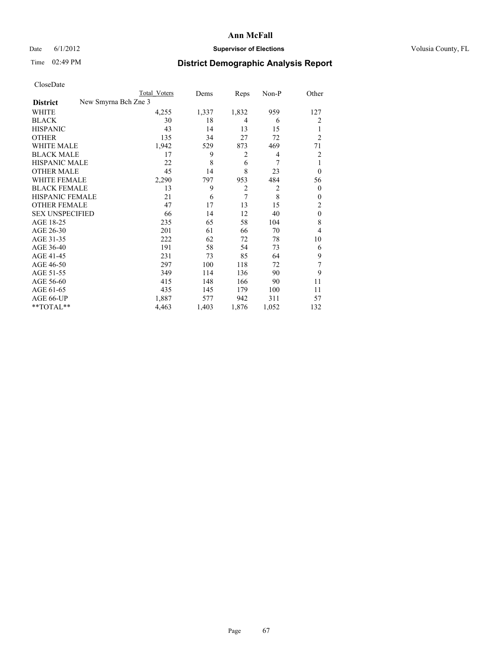## Date 6/1/2012 **Supervisor of Elections Supervisor of Elections** Volusia County, FL

# Time 02:49 PM **District Demographic Analysis Report**

|  | CloseDate |
|--|-----------|
|  |           |

|                        |                      | <b>Total Voters</b> | Dems  | Reps           | Non-P          | Other          |
|------------------------|----------------------|---------------------|-------|----------------|----------------|----------------|
| <b>District</b>        | New Smyrna Bch Zne 3 |                     |       |                |                |                |
| WHITE                  |                      | 4,255               | 1,337 | 1,832          | 959            | 127            |
| <b>BLACK</b>           |                      | 30                  | 18    | 4              | 6              | 2              |
| HISPANIC               |                      | 43                  | 14    | 13             | 15             | 1              |
| OTHER                  |                      | 135                 | 34    | 27             | 72             | $\overline{2}$ |
| WHITE MALE             |                      | 1,942               | 529   | 873            | 469            | 71             |
| BLACK MALE             |                      | 17                  | 9     | 2              | 4              | 2              |
| HISPANIC MALE          |                      | 22                  | 8     | 6              | 7              | 1              |
| OTHER MALE             |                      | 45                  | 14    | 8              | 23             | $\mathbf{0}$   |
| WHITE FEMALE           |                      | 2,290               | 797   | 953            | 484            | 56             |
| <b>BLACK FEMALE</b>    |                      | 13                  | 9     | $\overline{2}$ | $\overline{2}$ | $\overline{0}$ |
| HISPANIC FEMALE        |                      | 21                  | 6     | 7              | 8              | $\theta$       |
| <b>OTHER FEMALE</b>    |                      | 47                  | 17    | 13             | 15             | 2              |
| <b>SEX UNSPECIFIED</b> |                      | 66                  | 14    | 12             | 40             | $\theta$       |
| AGE 18-25              |                      | 235                 | 65    | 58             | 104            | 8              |
| AGE 26-30              |                      | 201                 | 61    | 66             | 70             | 4              |
| AGE 31-35              |                      | 222                 | 62    | 72             | 78             | 10             |
| AGE 36-40              |                      | 191                 | 58    | 54             | 73             | 6              |
| AGE 41-45              |                      | 231                 | 73    | 85             | 64             | 9              |
| AGE 46-50              |                      | 297                 | 100   | 118            | 72             | 7              |
| AGE 51-55              |                      | 349                 | 114   | 136            | 90             | 9              |
| AGE 56-60              |                      | 415                 | 148   | 166            | 90             | 11             |
| AGE 61-65              |                      | 435                 | 145   | 179            | 100            | 11             |
| AGE 66-UP              |                      | 1,887               | 577   | 942            | 311            | 57             |
| $*$ TOTAL $**$         |                      | 4,463               | 1,403 | 1,876          | 1,052          | 132            |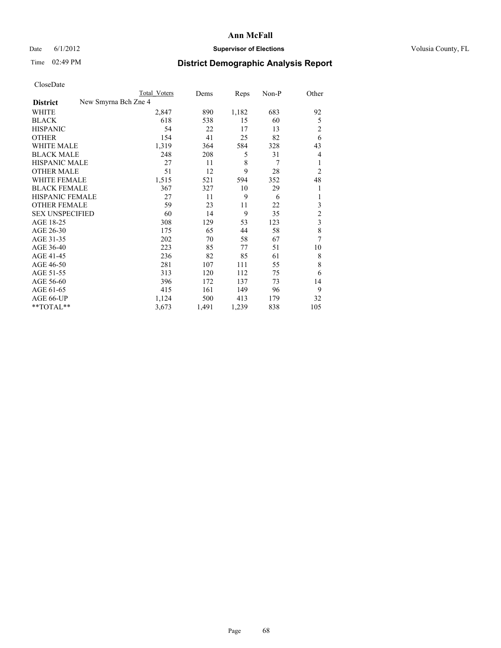### Date 6/1/2012 **Supervisor of Elections Supervisor of Elections** Volusia County, FL

## Time 02:49 PM **District Demographic Analysis Report**

| Cioscivate             |                      |                     |       |       |       |                |
|------------------------|----------------------|---------------------|-------|-------|-------|----------------|
|                        |                      | <b>Total Voters</b> | Dems  | Reps  | Non-P | Other          |
| <b>District</b>        | New Smyrna Bch Zne 4 |                     |       |       |       |                |
| <b>WHITE</b>           |                      | 2,847               | 890   | 1,182 | 683   | 92             |
| <b>BLACK</b>           |                      | 618                 | 538   | 15    | 60    | 5              |
| <b>HISPANIC</b>        |                      | 54                  | 22    | 17    | 13    | $\overline{c}$ |
| <b>OTHER</b>           |                      | 154                 | 41    | 25    | 82    | 6              |
| WHITE MALE             |                      | 1,319               | 364   | 584   | 328   | 43             |
| <b>BLACK MALE</b>      |                      | 248                 | 208   | 5     | 31    | $\overline{4}$ |
| <b>HISPANIC MALE</b>   |                      | 27                  | 11    | 8     | 7     | 1              |
| <b>OTHER MALE</b>      |                      | 51                  | 12    | 9     | 28    | $\overline{2}$ |
| WHITE FEMALE           |                      | 1,515               | 521   | 594   | 352   | 48             |
| <b>BLACK FEMALE</b>    |                      | 367                 | 327   | 10    | 29    | 1              |
| <b>HISPANIC FEMALE</b> |                      | 27                  | 11    | 9     | 6     |                |
| <b>OTHER FEMALE</b>    |                      | 59                  | 23    | 11    | 22    | 3              |
| <b>SEX UNSPECIFIED</b> |                      | 60                  | 14    | 9     | 35    | $\overline{c}$ |
| AGE 18-25              |                      | 308                 | 129   | 53    | 123   | 3              |
| AGE 26-30              |                      | 175                 | 65    | 44    | 58    | 8              |
| AGE 31-35              |                      | 202                 | 70    | 58    | 67    | 7              |
| AGE 36-40              |                      | 223                 | 85    | 77    | 51    | 10             |
| AGE 41-45              |                      | 236                 | 82    | 85    | 61    | 8              |
| AGE 46-50              |                      | 281                 | 107   | 111   | 55    | 8              |
| AGE 51-55              |                      | 313                 | 120   | 112   | 75    | 6              |
| AGE 56-60              |                      | 396                 | 172   | 137   | 73    | 14             |
| AGE 61-65              |                      | 415                 | 161   | 149   | 96    | 9              |
| AGE 66-UP              |                      | 1,124               | 500   | 413   | 179   | 32             |
| **TOTAL**              |                      | 3,673               | 1,491 | 1,239 | 838   | 105            |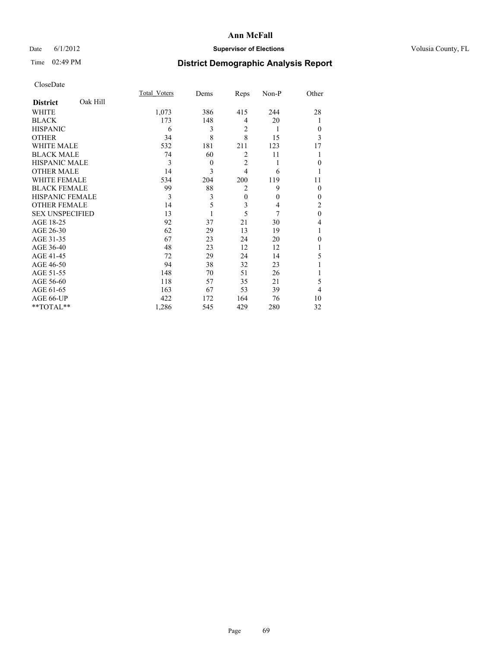## Date 6/1/2012 **Supervisor of Elections Supervisor of Elections** Volusia County, FL

# Time 02:49 PM **District Demographic Analysis Report**

|                        |          | <b>Total Voters</b> | Dems     | Reps           | Non-P    | Other        |
|------------------------|----------|---------------------|----------|----------------|----------|--------------|
| <b>District</b>        | Oak Hill |                     |          |                |          |              |
| WHITE                  |          | 1,073               | 386      | 415            | 244      | 28           |
| <b>BLACK</b>           |          | 173                 | 148      | 4              | 20       | 1            |
| <b>HISPANIC</b>        |          | 6                   | 3        | 2              | 1        | $\Omega$     |
| <b>OTHER</b>           |          | 34                  | 8        | 8              | 15       | 3            |
| WHITE MALE             |          | 532                 | 181      | 211            | 123      | 17           |
| <b>BLACK MALE</b>      |          | 74                  | 60       | $\overline{2}$ | 11       |              |
| <b>HISPANIC MALE</b>   |          | 3                   | $\theta$ | $\overline{2}$ | 1        | $\Omega$     |
| <b>OTHER MALE</b>      |          | 14                  | 3        | $\overline{4}$ | 6        |              |
| <b>WHITE FEMALE</b>    |          | 534                 | 204      | 200            | 119      | 11           |
| <b>BLACK FEMALE</b>    |          | 99                  | 88       | $\overline{2}$ | 9        | $\Omega$     |
| <b>HISPANIC FEMALE</b> |          | 3                   | 3        | $\mathbf{0}$   | $\theta$ | $\Omega$     |
| <b>OTHER FEMALE</b>    |          | 14                  | 5        | 3              | 4        | 2            |
| <b>SEX UNSPECIFIED</b> |          | 13                  |          | 5              | 7        | $\mathbf{0}$ |
| AGE 18-25              |          | 92                  | 37       | 21             | 30       | 4            |
| AGE 26-30              |          | 62                  | 29       | 13             | 19       | 1            |
| AGE 31-35              |          | 67                  | 23       | 24             | 20       | $\theta$     |
| AGE 36-40              |          | 48                  | 23       | 12             | 12       |              |
| AGE 41-45              |          | 72                  | 29       | 24             | 14       | 5            |
| AGE 46-50              |          | 94                  | 38       | 32             | 23       |              |
| AGE 51-55              |          | 148                 | 70       | 51             | 26       |              |
| AGE 56-60              |          | 118                 | 57       | 35             | 21       | 5            |
| AGE 61-65              |          | 163                 | 67       | 53             | 39       | 4            |
| AGE 66-UP              |          | 422                 | 172      | 164            | 76       | 10           |
| **TOTAL**              |          | 1,286               | 545      | 429            | 280      | 32           |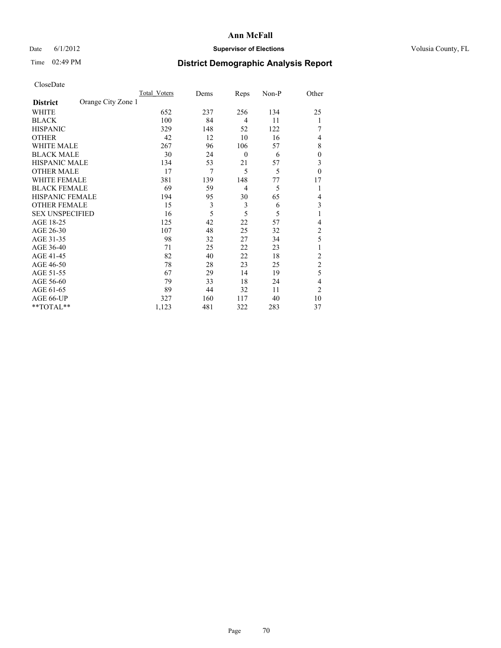## Date 6/1/2012 **Supervisor of Elections Supervisor of Elections** Volusia County, FL

# Time 02:49 PM **District Demographic Analysis Report**

|                        |                    | Total Voters | Dems | Reps             | Non-P | Other            |
|------------------------|--------------------|--------------|------|------------------|-------|------------------|
| <b>District</b>        | Orange City Zone 1 |              |      |                  |       |                  |
| WHITE                  |                    | 652          | 237  | 256              | 134   | 25               |
| <b>BLACK</b>           |                    | 100          | 84   | $\overline{4}$   | 11    | 1                |
| <b>HISPANIC</b>        |                    | 329          | 148  | 52               | 122   |                  |
| <b>OTHER</b>           |                    | 42           | 12   | 10               | 16    | 4                |
| WHITE MALE             |                    | 267          | 96   | 106              | 57    | 8                |
| <b>BLACK MALE</b>      |                    | 30           | 24   | $\boldsymbol{0}$ | 6     | $\boldsymbol{0}$ |
| <b>HISPANIC MALE</b>   |                    | 134          | 53   | 21               | 57    | 3                |
| <b>OTHER MALE</b>      |                    | 17           | 7    | 5                | 5     | $\mathbf{0}$     |
| WHITE FEMALE           |                    | 381          | 139  | 148              | 77    | 17               |
| <b>BLACK FEMALE</b>    |                    | 69           | 59   | $\overline{4}$   | 5     | 1                |
| <b>HISPANIC FEMALE</b> |                    | 194          | 95   | 30               | 65    | 4                |
| <b>OTHER FEMALE</b>    |                    | 15           | 3    | 3                | 6     | 3                |
| <b>SEX UNSPECIFIED</b> |                    | 16           | 5    | 5                | 5     | 1                |
| AGE 18-25              |                    | 125          | 42   | 22               | 57    | 4                |
| AGE 26-30              |                    | 107          | 48   | 25               | 32    | $\overline{c}$   |
| AGE 31-35              |                    | 98           | 32   | 27               | 34    | 5                |
| AGE 36-40              |                    | 71           | 25   | 22               | 23    |                  |
| AGE 41-45              |                    | 82           | 40   | 22               | 18    | 2                |
| AGE 46-50              |                    | 78           | 28   | 23               | 25    | $\overline{2}$   |
| AGE 51-55              |                    | 67           | 29   | 14               | 19    | 5                |
| AGE 56-60              |                    | 79           | 33   | 18               | 24    | 4                |
| AGE 61-65              |                    | 89           | 44   | 32               | 11    | $\overline{2}$   |
| AGE 66-UP              |                    | 327          | 160  | 117              | 40    | 10               |
| **TOTAL**              |                    | 1,123        | 481  | 322              | 283   | 37               |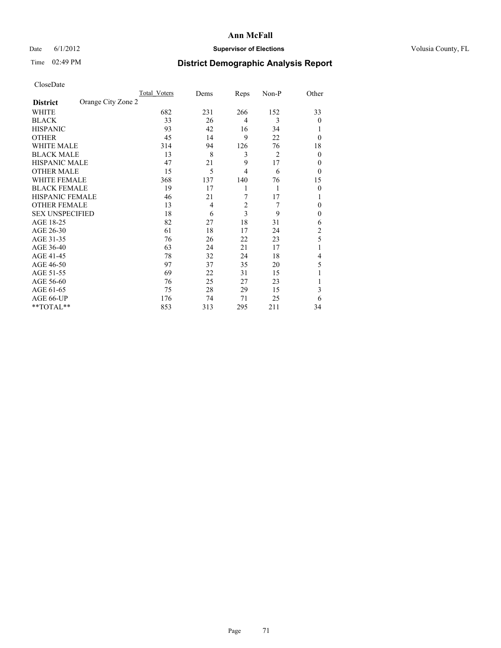## Date 6/1/2012 **Supervisor of Elections Supervisor of Elections** Volusia County, FL

## Time 02:49 PM **District Demographic Analysis Report**

|                        |                    | Total Voters | Dems | Reps                    | Non-P | Other          |
|------------------------|--------------------|--------------|------|-------------------------|-------|----------------|
| <b>District</b>        | Orange City Zone 2 |              |      |                         |       |                |
| WHITE                  |                    | 682          | 231  | 266                     | 152   | 33             |
| <b>BLACK</b>           |                    | 33           | 26   | 4                       | 3     | $\theta$       |
| <b>HISPANIC</b>        |                    | 93           | 42   | 16                      | 34    |                |
| <b>OTHER</b>           |                    | 45           | 14   | 9                       | 22    | $\theta$       |
| WHITE MALE             |                    | 314          | 94   | 126                     | 76    | 18             |
| <b>BLACK MALE</b>      |                    | 13           | 8    | 3                       | 2     | $\mathbf{0}$   |
| <b>HISPANIC MALE</b>   |                    | 47           | 21   | 9                       | 17    | 0              |
| <b>OTHER MALE</b>      |                    | 15           | 5    | 4                       | 6     | $\theta$       |
| <b>WHITE FEMALE</b>    |                    | 368          | 137  | 140                     | 76    | 15             |
| <b>BLACK FEMALE</b>    |                    | 19           | 17   | 1                       | 1     | $\theta$       |
| <b>HISPANIC FEMALE</b> |                    | 46           | 21   | 7                       | 17    |                |
| <b>OTHER FEMALE</b>    |                    | 13           | 4    | $\overline{\mathbf{c}}$ | 7     | $\Omega$       |
| <b>SEX UNSPECIFIED</b> |                    | 18           | 6    | 3                       | 9     | $\mathbf{0}$   |
| AGE 18-25              |                    | 82           | 27   | 18                      | 31    | 6              |
| AGE 26-30              |                    | 61           | 18   | 17                      | 24    | $\overline{c}$ |
| AGE 31-35              |                    | 76           | 26   | 22                      | 23    | 5              |
| AGE 36-40              |                    | 63           | 24   | 21                      | 17    |                |
| AGE 41-45              |                    | 78           | 32   | 24                      | 18    | 4              |
| AGE 46-50              |                    | 97           | 37   | 35                      | 20    | 5              |
| AGE 51-55              |                    | 69           | 22   | 31                      | 15    |                |
| AGE 56-60              |                    | 76           | 25   | 27                      | 23    |                |
| AGE 61-65              |                    | 75           | 28   | 29                      | 15    | 3              |
| AGE 66-UP              |                    | 176          | 74   | 71                      | 25    | 6              |
| **TOTAL**              |                    | 853          | 313  | 295                     | 211   | 34             |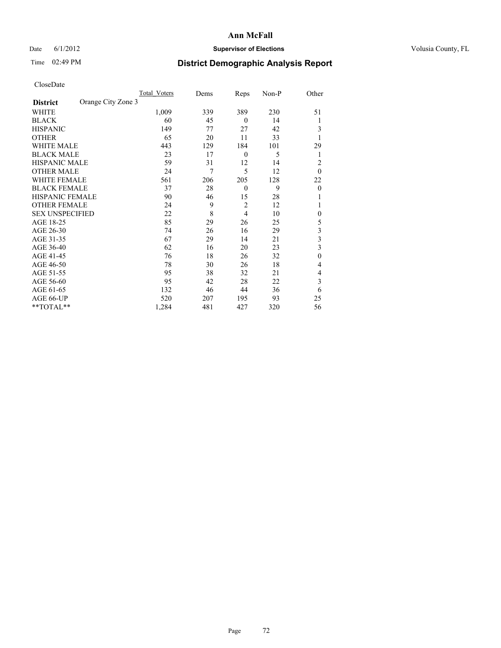## Date 6/1/2012 **Supervisor of Elections Supervisor of Elections** Volusia County, FL

## Time 02:49 PM **District Demographic Analysis Report**

|                        |                    | <b>Total Voters</b> | Dems | Reps             | Non-P | Other        |
|------------------------|--------------------|---------------------|------|------------------|-------|--------------|
| <b>District</b>        | Orange City Zone 3 |                     |      |                  |       |              |
| WHITE                  |                    | 1,009               | 339  | 389              | 230   | 51           |
| <b>BLACK</b>           |                    | 60                  | 45   | $\theta$         | 14    |              |
| <b>HISPANIC</b>        |                    | 149                 | 77   | 27               | 42    | 3            |
| <b>OTHER</b>           |                    | 65                  | 20   | 11               | 33    |              |
| WHITE MALE             |                    | 443                 | 129  | 184              | 101   | 29           |
| <b>BLACK MALE</b>      |                    | 23                  | 17   | $\boldsymbol{0}$ | 5     | 1            |
| <b>HISPANIC MALE</b>   |                    | 59                  | 31   | 12               | 14    | 2            |
| <b>OTHER MALE</b>      |                    | 24                  | 7    | 5                | 12    | $\theta$     |
| WHITE FEMALE           |                    | 561                 | 206  | 205              | 128   | 22           |
| <b>BLACK FEMALE</b>    |                    | 37                  | 28   | $\mathbf{0}$     | 9     | $\theta$     |
| <b>HISPANIC FEMALE</b> |                    | 90                  | 46   | 15               | 28    |              |
| <b>OTHER FEMALE</b>    |                    | 24                  | 9    | $\overline{c}$   | 12    |              |
| <b>SEX UNSPECIFIED</b> |                    | 22                  | 8    | 4                | 10    | $\mathbf{0}$ |
| AGE 18-25              |                    | 85                  | 29   | 26               | 25    | 5            |
| AGE 26-30              |                    | 74                  | 26   | 16               | 29    | 3            |
| AGE 31-35              |                    | 67                  | 29   | 14               | 21    | 3            |
| AGE 36-40              |                    | 62                  | 16   | 20               | 23    | 3            |
| AGE 41-45              |                    | 76                  | 18   | 26               | 32    | $\mathbf{0}$ |
| AGE 46-50              |                    | 78                  | 30   | 26               | 18    | 4            |
| AGE 51-55              |                    | 95                  | 38   | 32               | 21    | 4            |
| AGE 56-60              |                    | 95                  | 42   | 28               | 22    | 3            |
| AGE 61-65              |                    | 132                 | 46   | 44               | 36    | 6            |
| AGE 66-UP              |                    | 520                 | 207  | 195              | 93    | 25           |
| $*$ TOTAL $**$         |                    | 1,284               | 481  | 427              | 320   | 56           |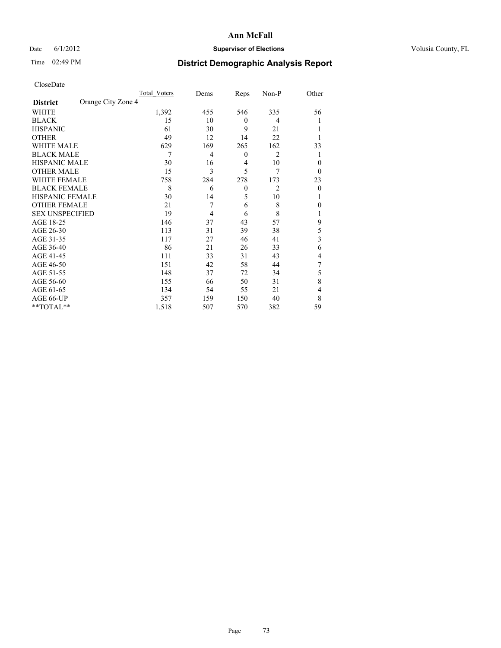### Date 6/1/2012 **Supervisor of Elections Supervisor of Elections** Volusia County, FL

# Time 02:49 PM **District Demographic Analysis Report**

|                        |                    | <b>Total Voters</b> | Dems | Reps     | Non-P          | Other                   |
|------------------------|--------------------|---------------------|------|----------|----------------|-------------------------|
| <b>District</b>        | Orange City Zone 4 |                     |      |          |                |                         |
| WHITE                  |                    | 1,392               | 455  | 546      | 335            | 56                      |
| <b>BLACK</b>           |                    | 15                  | 10   | $\theta$ | 4              | 1                       |
| <b>HISPANIC</b>        |                    | 61                  | 30   | 9        | 21             | 1                       |
| <b>OTHER</b>           |                    | 49                  | 12   | 14       | 22             |                         |
| WHITE MALE             |                    | 629                 | 169  | 265      | 162            | 33                      |
| <b>BLACK MALE</b>      |                    | 7                   | 4    | $\theta$ | 2              | 1                       |
| <b>HISPANIC MALE</b>   |                    | 30                  | 16   | 4        | 10             | $\theta$                |
| <b>OTHER MALE</b>      |                    | 15                  | 3    | 5        | 7              | $\theta$                |
| WHITE FEMALE           |                    | 758                 | 284  | 278      | 173            | 23                      |
| <b>BLACK FEMALE</b>    |                    | 8                   | 6    | $\theta$ | $\overline{2}$ | $\theta$                |
| HISPANIC FEMALE        |                    | 30                  | 14   | 5        | 10             | 1                       |
| <b>OTHER FEMALE</b>    |                    | 21                  | 7    | 6        | 8              | $\theta$                |
| <b>SEX UNSPECIFIED</b> |                    | 19                  | 4    | 6        | 8              | l                       |
| AGE 18-25              |                    | 146                 | 37   | 43       | 57             | 9                       |
| AGE 26-30              |                    | 113                 | 31   | 39       | 38             | 5                       |
| AGE 31-35              |                    | 117                 | 27   | 46       | 41             | $\overline{\mathbf{3}}$ |
| AGE 36-40              |                    | 86                  | 21   | 26       | 33             | 6                       |
| AGE 41-45              |                    | 111                 | 33   | 31       | 43             | 4                       |
| AGE 46-50              |                    | 151                 | 42   | 58       | 44             | 7                       |
| AGE 51-55              |                    | 148                 | 37   | 72       | 34             | 5                       |
| AGE 56-60              |                    | 155                 | 66   | 50       | 31             | 8                       |
| AGE 61-65              |                    | 134                 | 54   | 55       | 21             | 4                       |
| AGE 66-UP              |                    | 357                 | 159  | 150      | 40             | 8                       |
| **TOTAL**              |                    | 1,518               | 507  | 570      | 382            | 59                      |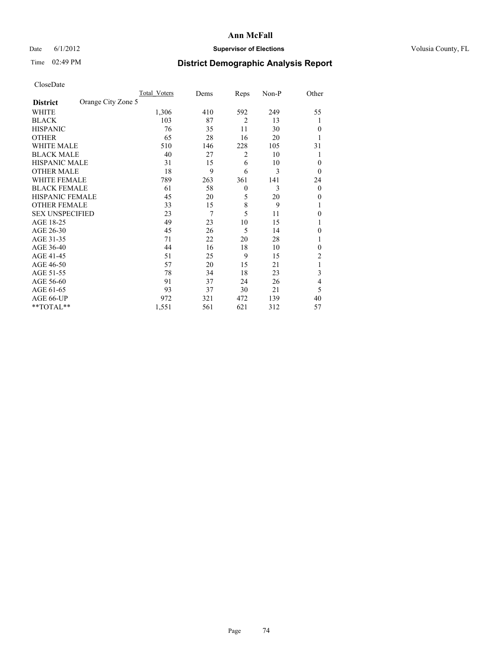### Date 6/1/2012 **Supervisor of Elections Supervisor of Elections** Volusia County, FL

# Time 02:49 PM **District Demographic Analysis Report**

|                        |                    | <b>Total Voters</b> | Dems | Reps           | Non-P | Other          |
|------------------------|--------------------|---------------------|------|----------------|-------|----------------|
| <b>District</b>        | Orange City Zone 5 |                     |      |                |       |                |
| WHITE                  |                    | 1,306               | 410  | 592            | 249   | 55             |
| <b>BLACK</b>           |                    | 103                 | 87   | $\overline{2}$ | 13    | 1              |
| <b>HISPANIC</b>        |                    | 76                  | 35   | 11             | 30    | $\Omega$       |
| <b>OTHER</b>           |                    | 65                  | 28   | 16             | 20    |                |
| WHITE MALE             |                    | 510                 | 146  | 228            | 105   | 31             |
| <b>BLACK MALE</b>      |                    | 40                  | 27   | 2              | 10    | 1              |
| <b>HISPANIC MALE</b>   |                    | 31                  | 15   | 6              | 10    | 0              |
| <b>OTHER MALE</b>      |                    | 18                  | 9    | 6              | 3     | $\Omega$       |
| WHITE FEMALE           |                    | 789                 | 263  | 361            | 141   | 24             |
| <b>BLACK FEMALE</b>    |                    | 61                  | 58   | $\mathbf{0}$   | 3     | $\overline{0}$ |
| <b>HISPANIC FEMALE</b> |                    | 45                  | 20   | 5              | 20    | $\Omega$       |
| <b>OTHER FEMALE</b>    |                    | 33                  | 15   | 8              | 9     |                |
| <b>SEX UNSPECIFIED</b> |                    | 23                  | 7    | 5              | 11    | $\theta$       |
| AGE 18-25              |                    | 49                  | 23   | 10             | 15    |                |
| AGE 26-30              |                    | 45                  | 26   | 5              | 14    | $\overline{0}$ |
| AGE 31-35              |                    | 71                  | 22   | 20             | 28    |                |
| AGE 36-40              |                    | 44                  | 16   | 18             | 10    | $\Omega$       |
| AGE 41-45              |                    | 51                  | 25   | 9              | 15    | 2              |
| AGE 46-50              |                    | 57                  | 20   | 15             | 21    | 1              |
| AGE 51-55              |                    | 78                  | 34   | 18             | 23    | 3              |
| AGE 56-60              |                    | 91                  | 37   | 24             | 26    | 4              |
| AGE 61-65              |                    | 93                  | 37   | 30             | 21    | 5              |
| AGE 66-UP              |                    | 972                 | 321  | 472            | 139   | 40             |
| **TOTAL**              |                    | 1,551               | 561  | 621            | 312   | 57             |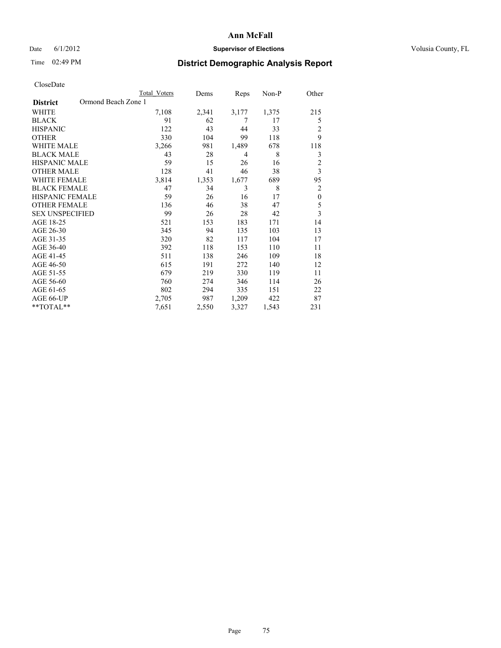### Date 6/1/2012 **Supervisor of Elections Supervisor of Elections** Volusia County, FL

# Time 02:49 PM **District Demographic Analysis Report**

|                        | <b>Total Voters</b> | Dems  | Reps           | Non-P | Other                   |
|------------------------|---------------------|-------|----------------|-------|-------------------------|
| <b>District</b>        | Ormond Beach Zone 1 |       |                |       |                         |
| WHITE                  | 7,108               | 2,341 | 3,177          | 1,375 | 215                     |
| <b>BLACK</b>           | 91                  | 62    | 7              | 17    | 5                       |
| <b>HISPANIC</b>        | 122                 | 43    | 44             | 33    | 2                       |
| <b>OTHER</b>           | 330                 | 104   | 99             | 118   | 9                       |
| WHITE MALE             | 3,266               | 981   | 1,489          | 678   | 118                     |
| <b>BLACK MALE</b>      | 43                  | 28    | $\overline{4}$ | 8     | 3                       |
| <b>HISPANIC MALE</b>   | 59                  | 15    | 26             | 16    | $\overline{2}$          |
| <b>OTHER MALE</b>      | 128                 | 41    | 46             | 38    | $\overline{\mathbf{3}}$ |
| <b>WHITE FEMALE</b>    | 3,814               | 1,353 | 1,677          | 689   | 95                      |
| <b>BLACK FEMALE</b>    | 47                  | 34    | 3              | 8     | $\overline{2}$          |
| <b>HISPANIC FEMALE</b> | 59                  | 26    | 16             | 17    | $\mathbf{0}$            |
| <b>OTHER FEMALE</b>    | 136                 | 46    | 38             | 47    | 5                       |
| <b>SEX UNSPECIFIED</b> | 99                  | 26    | 28             | 42    | 3                       |
| AGE 18-25              | 521                 | 153   | 183            | 171   | 14                      |
| AGE 26-30              | 345                 | 94    | 135            | 103   | 13                      |
| AGE 31-35              | 320                 | 82    | 117            | 104   | 17                      |
| AGE 36-40              | 392                 | 118   | 153            | 110   | 11                      |
| AGE 41-45              | 511                 | 138   | 246            | 109   | 18                      |
| AGE 46-50              | 615                 | 191   | 272            | 140   | 12                      |
| AGE 51-55              | 679                 | 219   | 330            | 119   | 11                      |
| AGE 56-60              | 760                 | 274   | 346            | 114   | 26                      |
| AGE 61-65              | 802                 | 294   | 335            | 151   | 22                      |
| AGE 66-UP              | 2,705               | 987   | 1,209          | 422   | 87                      |
| **TOTAL**              | 7,651               | 2,550 | 3,327          | 1,543 | 231                     |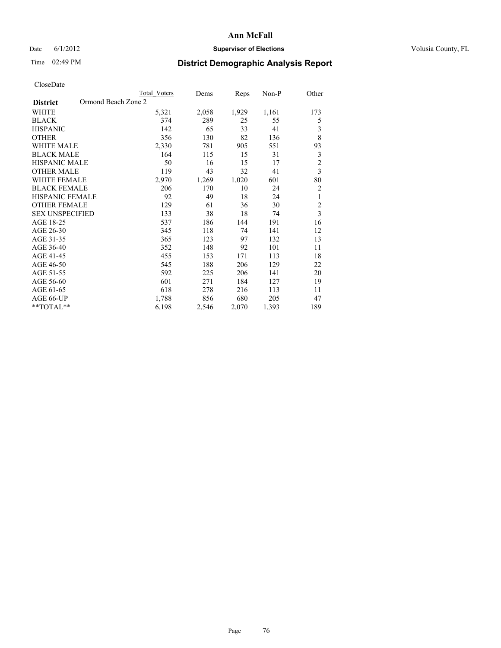### Date 6/1/2012 **Supervisor of Elections Supervisor of Elections** Volusia County, FL

# Time 02:49 PM **District Demographic Analysis Report**

|                                        | <b>Total Voters</b> | Dems  | Reps  | $Non-P$ | Other                   |
|----------------------------------------|---------------------|-------|-------|---------|-------------------------|
| Ormond Beach Zone 2<br><b>District</b> |                     |       |       |         |                         |
| WHITE                                  | 5,321               | 2,058 | 1,929 | 1,161   | 173                     |
| <b>BLACK</b>                           | 374                 | 289   | 25    | 55      | 5                       |
| <b>HISPANIC</b>                        | 142                 | 65    | 33    | 41      | 3                       |
| <b>OTHER</b>                           | 356                 | 130   | 82    | 136     | 8                       |
| <b>WHITE MALE</b>                      | 2,330               | 781   | 905   | 551     | 93                      |
| <b>BLACK MALE</b>                      | 164                 | 115   | 15    | 31      | 3                       |
| <b>HISPANIC MALE</b>                   | 50                  | 16    | 15    | 17      | $\overline{c}$          |
| <b>OTHER MALE</b>                      | 119                 | 43    | 32    | 41      | $\overline{\mathbf{3}}$ |
| <b>WHITE FEMALE</b>                    | 2,970               | 1,269 | 1,020 | 601     | 80                      |
| <b>BLACK FEMALE</b>                    | 206                 | 170   | 10    | 24      | $\overline{2}$          |
| <b>HISPANIC FEMALE</b>                 | 92                  | 49    | 18    | 24      | 1                       |
| <b>OTHER FEMALE</b>                    | 129                 | 61    | 36    | 30      | $\overline{c}$          |
| <b>SEX UNSPECIFIED</b>                 | 133                 | 38    | 18    | 74      | $\overline{\mathbf{3}}$ |
| AGE 18-25                              | 537                 | 186   | 144   | 191     | 16                      |
| AGE 26-30                              | 345                 | 118   | 74    | 141     | 12                      |
| AGE 31-35                              | 365                 | 123   | 97    | 132     | 13                      |
| AGE 36-40                              | 352                 | 148   | 92    | 101     | 11                      |
| AGE 41-45                              | 455                 | 153   | 171   | 113     | 18                      |
| AGE 46-50                              | 545                 | 188   | 206   | 129     | 22                      |
| AGE 51-55                              | 592                 | 225   | 206   | 141     | 20                      |
| AGE 56-60                              | 601                 | 271   | 184   | 127     | 19                      |
| AGE 61-65                              | 618                 | 278   | 216   | 113     | 11                      |
| AGE 66-UP                              | 1,788               | 856   | 680   | 205     | 47                      |
| **TOTAL**                              | 6,198               | 2,546 | 2,070 | 1,393   | 189                     |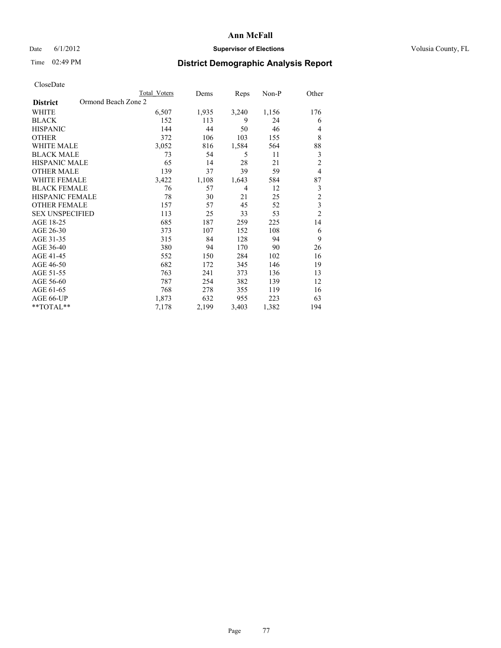### Date 6/1/2012 **Supervisor of Elections Supervisor of Elections** Volusia County, FL

## Time 02:49 PM **District Demographic Analysis Report**

|                        |                     | <b>Total Voters</b> | Dems  | Reps  | Non-P | Other          |
|------------------------|---------------------|---------------------|-------|-------|-------|----------------|
| <b>District</b>        | Ormond Beach Zone 2 |                     |       |       |       |                |
| WHITE                  |                     | 6,507               | 1,935 | 3,240 | 1,156 | 176            |
| <b>BLACK</b>           |                     | 152                 | 113   | 9     | 24    | 6              |
| <b>HISPANIC</b>        |                     | 144                 | 44    | 50    | 46    | 4              |
| <b>OTHER</b>           |                     | 372                 | 106   | 103   | 155   | 8              |
| <b>WHITE MALE</b>      |                     | 3,052               | 816   | 1,584 | 564   | 88             |
| <b>BLACK MALE</b>      |                     | 73                  | 54    | 5     | 11    | 3              |
| <b>HISPANIC MALE</b>   |                     | 65                  | 14    | 28    | 21    | $\overline{2}$ |
| <b>OTHER MALE</b>      |                     | 139                 | 37    | 39    | 59    | $\overline{4}$ |
| <b>WHITE FEMALE</b>    |                     | 3,422               | 1,108 | 1,643 | 584   | 87             |
| <b>BLACK FEMALE</b>    |                     | 76                  | 57    | 4     | 12    | 3              |
| <b>HISPANIC FEMALE</b> |                     | 78                  | 30    | 21    | 25    | $\overline{c}$ |
| <b>OTHER FEMALE</b>    |                     | 157                 | 57    | 45    | 52    | 3              |
| <b>SEX UNSPECIFIED</b> |                     | 113                 | 25    | 33    | 53    | $\overline{c}$ |
| AGE 18-25              |                     | 685                 | 187   | 259   | 225   | 14             |
| AGE 26-30              |                     | 373                 | 107   | 152   | 108   | 6              |
| AGE 31-35              |                     | 315                 | 84    | 128   | 94    | 9              |
| AGE 36-40              |                     | 380                 | 94    | 170   | 90    | 26             |
| AGE 41-45              |                     | 552                 | 150   | 284   | 102   | 16             |
| AGE 46-50              |                     | 682                 | 172   | 345   | 146   | 19             |
| AGE 51-55              |                     | 763                 | 241   | 373   | 136   | 13             |
| AGE 56-60              |                     | 787                 | 254   | 382   | 139   | 12             |
| AGE 61-65              |                     | 768                 | 278   | 355   | 119   | 16             |
| AGE 66-UP              |                     | 1,873               | 632   | 955   | 223   | 63             |
| **TOTAL**              |                     | 7,178               | 2,199 | 3,403 | 1,382 | 194            |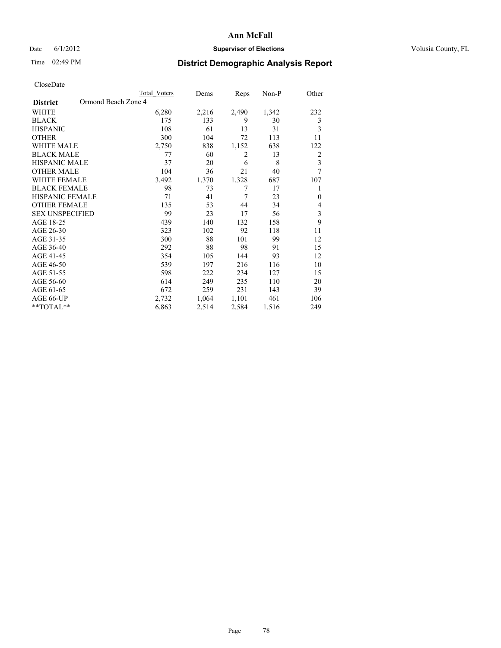### Date 6/1/2012 **Supervisor of Elections Supervisor of Elections** Volusia County, FL

### Time 02:49 PM **District Demographic Analysis Report**

|                                        | <b>Total Voters</b> | Dems  | Reps  | Non-P | Other                   |
|----------------------------------------|---------------------|-------|-------|-------|-------------------------|
| Ormond Beach Zone 4<br><b>District</b> |                     |       |       |       |                         |
| WHITE                                  | 6,280               | 2,216 | 2,490 | 1,342 | 232                     |
| <b>BLACK</b>                           | 175                 | 133   | 9     | 30    | 3                       |
| <b>HISPANIC</b>                        | 108                 | 61    | 13    | 31    | 3                       |
| <b>OTHER</b>                           | 300                 | 104   | 72    | 113   | 11                      |
| <b>WHITE MALE</b>                      | 2,750               | 838   | 1,152 | 638   | 122                     |
| <b>BLACK MALE</b>                      | 77                  | 60    | 2     | 13    | $\overline{2}$          |
| HISPANIC MALE                          | 37                  | 20    | 6     | 8     | $\overline{\mathbf{3}}$ |
| <b>OTHER MALE</b>                      | 104                 | 36    | 21    | 40    | 7                       |
| <b>WHITE FEMALE</b>                    | 3,492               | 1,370 | 1,328 | 687   | 107                     |
| <b>BLACK FEMALE</b>                    | 98                  | 73    | 7     | 17    | 1                       |
| <b>HISPANIC FEMALE</b>                 | 71                  | 41    | 7     | 23    | $\mathbf{0}$            |
| <b>OTHER FEMALE</b>                    | 135                 | 53    | 44    | 34    | 4                       |
| <b>SEX UNSPECIFIED</b>                 | 99                  | 23    | 17    | 56    | $\mathfrak{Z}$          |
| AGE 18-25                              | 439                 | 140   | 132   | 158   | 9                       |
| AGE 26-30                              | 323                 | 102   | 92    | 118   | 11                      |
| AGE 31-35                              | 300                 | 88    | 101   | 99    | 12                      |
| AGE 36-40                              | 292                 | 88    | 98    | 91    | 15                      |
| AGE 41-45                              | 354                 | 105   | 144   | 93    | 12                      |
| AGE 46-50                              | 539                 | 197   | 216   | 116   | 10                      |
| AGE 51-55                              | 598                 | 222   | 234   | 127   | 15                      |
| AGE 56-60                              | 614                 | 249   | 235   | 110   | 20                      |
| AGE 61-65                              | 672                 | 259   | 231   | 143   | 39                      |
| AGE 66-UP                              | 2,732               | 1,064 | 1,101 | 461   | 106                     |
| **TOTAL**                              | 6,863               | 2,514 | 2,584 | 1,516 | 249                     |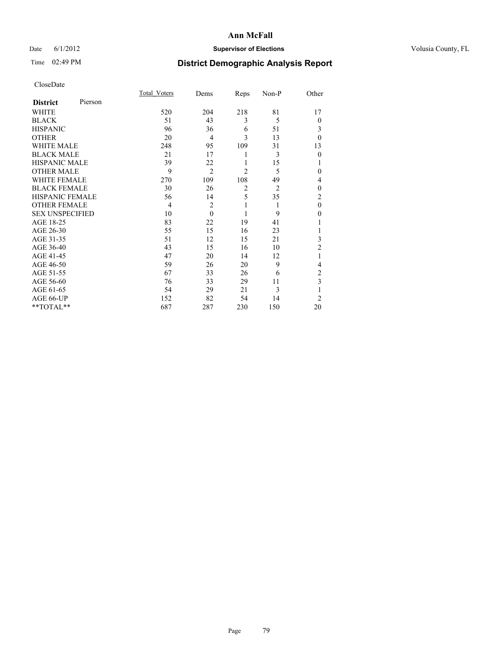### Date 6/1/2012 **Supervisor of Elections Supervisor of Elections** Volusia County, FL

# Time 02:49 PM **District Demographic Analysis Report**

|                        |         | <b>Total Voters</b> | Dems           | Reps           | Non-P          | Other          |
|------------------------|---------|---------------------|----------------|----------------|----------------|----------------|
| <b>District</b>        | Pierson |                     |                |                |                |                |
| WHITE                  |         | 520                 | 204            | 218            | 81             | 17             |
| <b>BLACK</b>           |         | 51                  | 43             | 3              | 5              | $\theta$       |
| <b>HISPANIC</b>        |         | 96                  | 36             | 6              | 51             | 3              |
| <b>OTHER</b>           |         | 20                  | $\overline{4}$ | 3              | 13             | $\theta$       |
| WHITE MALE             |         | 248                 | 95             | 109            | 31             | 13             |
| <b>BLACK MALE</b>      |         | 21                  | 17             | 1              | 3              | $\mathbf{0}$   |
| <b>HISPANIC MALE</b>   |         | 39                  | 22             | 1              | 15             |                |
| <b>OTHER MALE</b>      |         | 9                   | $\overline{2}$ | $\overline{2}$ | 5              | 0              |
| WHITE FEMALE           |         | 270                 | 109            | 108            | 49             | 4              |
| <b>BLACK FEMALE</b>    |         | 30                  | 26             | $\overline{2}$ | $\overline{2}$ | $\theta$       |
| <b>HISPANIC FEMALE</b> |         | 56                  | 14             | 5              | 35             | $\overline{c}$ |
| <b>OTHER FEMALE</b>    |         | $\overline{4}$      | $\overline{c}$ | 1              | 1              | $\theta$       |
| <b>SEX UNSPECIFIED</b> |         | 10                  | $\theta$       | 1              | 9              | $\theta$       |
| AGE 18-25              |         | 83                  | 22             | 19             | 41             |                |
| AGE 26-30              |         | 55                  | 15             | 16             | 23             | 1              |
| AGE 31-35              |         | 51                  | 12             | 15             | 21             | 3              |
| AGE 36-40              |         | 43                  | 15             | 16             | 10             | $\overline{2}$ |
| AGE 41-45              |         | 47                  | 20             | 14             | 12             |                |
| AGE 46-50              |         | 59                  | 26             | 20             | 9              | 4              |
| AGE 51-55              |         | 67                  | 33             | 26             | 6              | 2              |
| AGE 56-60              |         | 76                  | 33             | 29             | 11             | 3              |
| AGE 61-65              |         | 54                  | 29             | 21             | 3              | 1              |
| AGE 66-UP              |         | 152                 | 82             | 54             | 14             | $\overline{2}$ |
| **TOTAL**              |         | 687                 | 287            | 230            | 150            | 20             |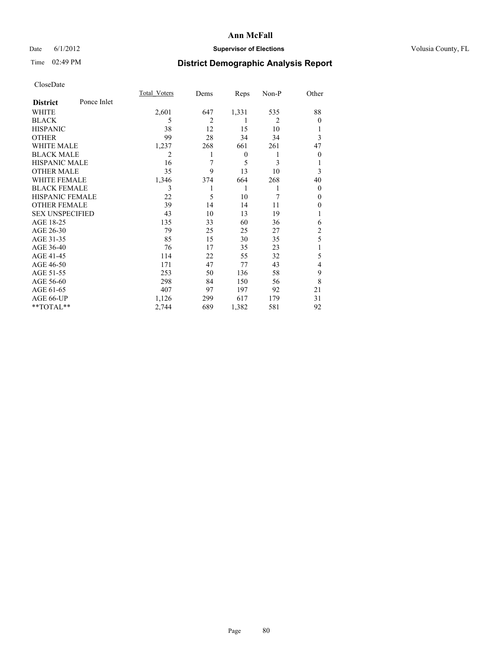### Date 6/1/2012 **Supervisor of Elections Supervisor of Elections** Volusia County, FL

# Time 02:49 PM **District Demographic Analysis Report**

|                        |             | <b>Total Voters</b> | Dems           | Reps             | Non-P          | Other          |
|------------------------|-------------|---------------------|----------------|------------------|----------------|----------------|
| <b>District</b>        | Ponce Inlet |                     |                |                  |                |                |
| WHITE                  |             | 2,601               | 647            | 1,331            | 535            | 88             |
| <b>BLACK</b>           |             | 5                   | $\overline{c}$ | 1                | $\overline{2}$ | $\Omega$       |
| <b>HISPANIC</b>        |             | 38                  | 12             | 15               | 10             |                |
| <b>OTHER</b>           |             | 99                  | 28             | 34               | 34             | 3              |
| WHITE MALE             |             | 1,237               | 268            | 661              | 261            | 47             |
| <b>BLACK MALE</b>      |             | 2                   |                | $\boldsymbol{0}$ | 1              | $\overline{0}$ |
| <b>HISPANIC MALE</b>   |             | 16                  | 7              | 5                | 3              |                |
| <b>OTHER MALE</b>      |             | 35                  | 9              | 13               | 10             | 3              |
| WHITE FEMALE           |             | 1,346               | 374            | 664              | 268            | 40             |
| <b>BLACK FEMALE</b>    |             | 3                   |                | 1                | 1              | $\overline{0}$ |
| <b>HISPANIC FEMALE</b> |             | 22                  | 5              | 10               | 7              | $\Omega$       |
| <b>OTHER FEMALE</b>    |             | 39                  | 14             | 14               | 11             | $\Omega$       |
| <b>SEX UNSPECIFIED</b> |             | 43                  | 10             | 13               | 19             |                |
| AGE 18-25              |             | 135                 | 33             | 60               | 36             | 6              |
| AGE 26-30              |             | 79                  | 25             | 25               | 27             | $\overline{2}$ |
| AGE 31-35              |             | 85                  | 15             | 30               | 35             | 5              |
| AGE 36-40              |             | 76                  | 17             | 35               | 23             |                |
| AGE 41-45              |             | 114                 | 22             | 55               | 32             | 5              |
| AGE 46-50              |             | 171                 | 47             | 77               | 43             | $\overline{4}$ |
| AGE 51-55              |             | 253                 | 50             | 136              | 58             | 9              |
| AGE 56-60              |             | 298                 | 84             | 150              | 56             | 8              |
| AGE 61-65              |             | 407                 | 97             | 197              | 92             | 21             |
| AGE 66-UP              |             | 1,126               | 299            | 617              | 179            | 31             |
| **TOTAL**              |             | 2,744               | 689            | 1,382            | 581            | 92             |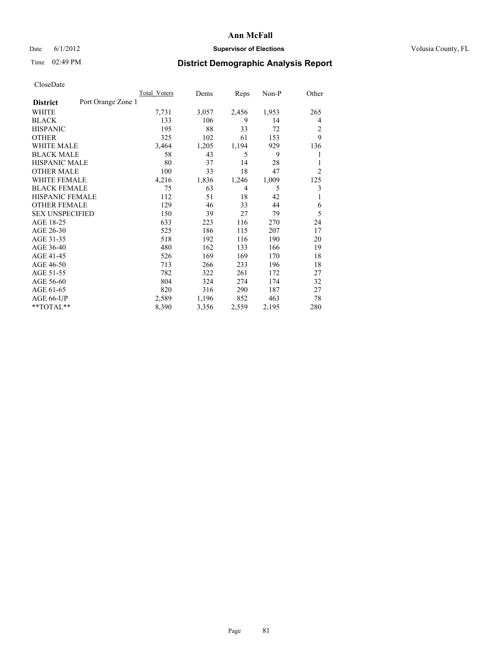### Date 6/1/2012 **Supervisor of Elections Supervisor of Elections** Volusia County, FL

### Time 02:49 PM **District Demographic Analysis Report**

|                                       | <b>Total Voters</b> | Dems  | Reps           | Non-P | Other          |
|---------------------------------------|---------------------|-------|----------------|-------|----------------|
| Port Orange Zone 1<br><b>District</b> |                     |       |                |       |                |
| WHITE                                 | 7,731               | 3,057 | 2,456          | 1,953 | 265            |
| <b>BLACK</b>                          | 133                 | 106   | 9              | 14    | 4              |
| <b>HISPANIC</b>                       | 195                 | 88    | 33             | 72    | $\overline{2}$ |
| <b>OTHER</b>                          | 325                 | 102   | 61             | 153   | 9              |
| <b>WHITE MALE</b>                     | 3,464               | 1,205 | 1,194          | 929   | 136            |
| <b>BLACK MALE</b>                     | 58                  | 43    | 5              | 9     | 1              |
| HISPANIC MALE                         | 80                  | 37    | 14             | 28    | 1              |
| <b>OTHER MALE</b>                     | 100                 | 33    | 18             | 47    | $\overline{2}$ |
| <b>WHITE FEMALE</b>                   | 4,216               | 1,836 | 1,246          | 1,009 | 125            |
| <b>BLACK FEMALE</b>                   | 75                  | 63    | $\overline{4}$ | 5     | 3              |
| <b>HISPANIC FEMALE</b>                | 112                 | 51    | 18             | 42    | 1              |
| <b>OTHER FEMALE</b>                   | 129                 | 46    | 33             | 44    | 6              |
| <b>SEX UNSPECIFIED</b>                | 150                 | 39    | 27             | 79    | 5              |
| AGE 18-25                             | 633                 | 223   | 116            | 270   | 24             |
| AGE 26-30                             | 525                 | 186   | 115            | 207   | 17             |
| AGE 31-35                             | 518                 | 192   | 116            | 190   | 20             |
| AGE 36-40                             | 480                 | 162   | 133            | 166   | 19             |
| AGE 41-45                             | 526                 | 169   | 169            | 170   | 18             |
| AGE 46-50                             | 713                 | 266   | 233            | 196   | 18             |
| AGE 51-55                             | 782                 | 322   | 261            | 172   | 27             |
| AGE 56-60                             | 804                 | 324   | 274            | 174   | 32             |
| AGE 61-65                             | 820                 | 316   | 290            | 187   | 27             |
| AGE 66-UP                             | 2,589               | 1,196 | 852            | 463   | 78             |
| **TOTAL**                             | 8,390               | 3,356 | 2,559          | 2,195 | 280            |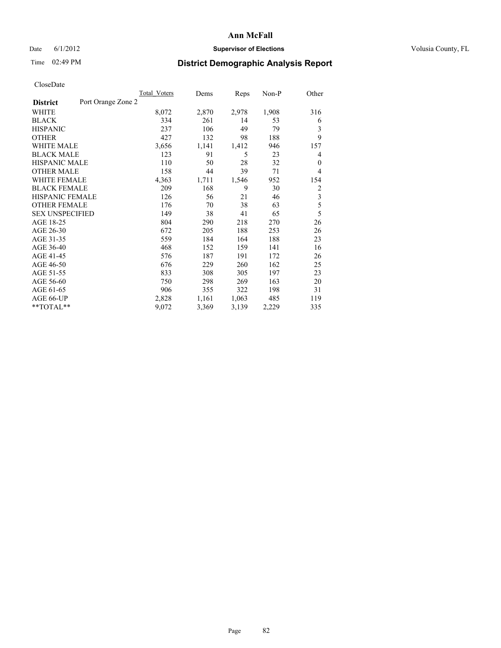### Date 6/1/2012 **Supervisor of Elections Supervisor of Elections** Volusia County, FL

## Time 02:49 PM **District Demographic Analysis Report**

| Total Voters | Dems               | Reps  | $Non-P$ | Other          |
|--------------|--------------------|-------|---------|----------------|
|              |                    |       |         |                |
| 8,072        | 2,870              | 2,978 | 1,908   | 316            |
| 334          | 261                | 14    | 53      | 6              |
| 237          | 106                | 49    | 79      | 3              |
| 427          | 132                | 98    | 188     | 9              |
| 3,656        | 1,141              | 1,412 | 946     | 157            |
| 123          | 91                 | 5     | 23      | 4              |
| 110          | 50                 | 28    | 32      | $\overline{0}$ |
| 158          | 44                 | 39    | 71      | 4              |
| 4,363        | 1,711              | 1,546 | 952     | 154            |
| 209          | 168                | 9     | 30      | $\overline{2}$ |
| 126          | 56                 | 21    | 46      | $\overline{3}$ |
| 176          | 70                 | 38    | 63      | 5              |
| 149          | 38                 | 41    | 65      | 5              |
| 804          | 290                | 218   | 270     | 26             |
| 672          | 205                | 188   | 253     | 26             |
| 559          | 184                | 164   | 188     | 23             |
| 468          | 152                | 159   | 141     | 16             |
| 576          | 187                | 191   | 172     | 26             |
| 676          | 229                | 260   | 162     | 25             |
| 833          | 308                | 305   | 197     | 23             |
| 750          | 298                | 269   | 163     | 20             |
| 906          | 355                | 322   | 198     | 31             |
| 2,828        | 1,161              | 1,063 | 485     | 119            |
| 9,072        | 3,369              | 3,139 | 2,229   | 335            |
|              | Port Orange Zone 2 |       |         |                |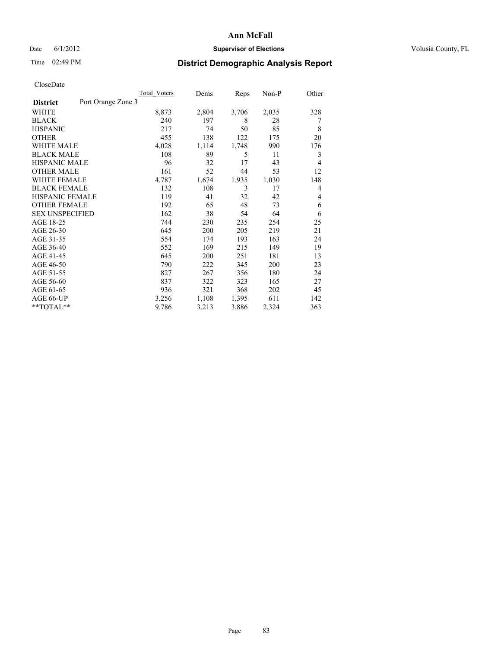### Date 6/1/2012 **Supervisor of Elections Supervisor of Elections** Volusia County, FL

# Time 02:49 PM **District Demographic Analysis Report**

|                        |                    | Total Voters | Dems  | Reps  | $Non-P$ | Other |
|------------------------|--------------------|--------------|-------|-------|---------|-------|
| <b>District</b>        | Port Orange Zone 3 |              |       |       |         |       |
| WHITE                  |                    | 8,873        | 2,804 | 3,706 | 2,035   | 328   |
| <b>BLACK</b>           |                    | 240          | 197   | 8     | 28      | 7     |
| <b>HISPANIC</b>        |                    | 217          | 74    | 50    | 85      | 8     |
| <b>OTHER</b>           |                    | 455          | 138   | 122   | 175     | 20    |
| WHITE MALE             |                    | 4,028        | 1,114 | 1,748 | 990     | 176   |
| <b>BLACK MALE</b>      |                    | 108          | 89    | 5     | 11      | 3     |
| <b>HISPANIC MALE</b>   |                    | 96           | 32    | 17    | 43      | 4     |
| <b>OTHER MALE</b>      |                    | 161          | 52    | 44    | 53      | 12    |
| <b>WHITE FEMALE</b>    |                    | 4,787        | 1,674 | 1,935 | 1,030   | 148   |
| <b>BLACK FEMALE</b>    |                    | 132          | 108   | 3     | 17      | 4     |
| HISPANIC FEMALE        |                    | 119          | 41    | 32    | 42      | 4     |
| <b>OTHER FEMALE</b>    |                    | 192          | 65    | 48    | 73      | 6     |
| <b>SEX UNSPECIFIED</b> |                    | 162          | 38    | 54    | 64      | 6     |
| AGE 18-25              |                    | 744          | 230   | 235   | 254     | 25    |
| AGE 26-30              |                    | 645          | 200   | 205   | 219     | 21    |
| AGE 31-35              |                    | 554          | 174   | 193   | 163     | 24    |
| AGE 36-40              |                    | 552          | 169   | 215   | 149     | 19    |
| AGE 41-45              |                    | 645          | 200   | 251   | 181     | 13    |
| AGE 46-50              |                    | 790          | 222   | 345   | 200     | 23    |
| AGE 51-55              |                    | 827          | 267   | 356   | 180     | 24    |
| AGE 56-60              |                    | 837          | 322   | 323   | 165     | 27    |
| AGE 61-65              |                    | 936          | 321   | 368   | 202     | 45    |
| AGE 66-UP              |                    | 3,256        | 1,108 | 1,395 | 611     | 142   |
| **TOTAL**              |                    | 9,786        | 3,213 | 3,886 | 2,324   | 363   |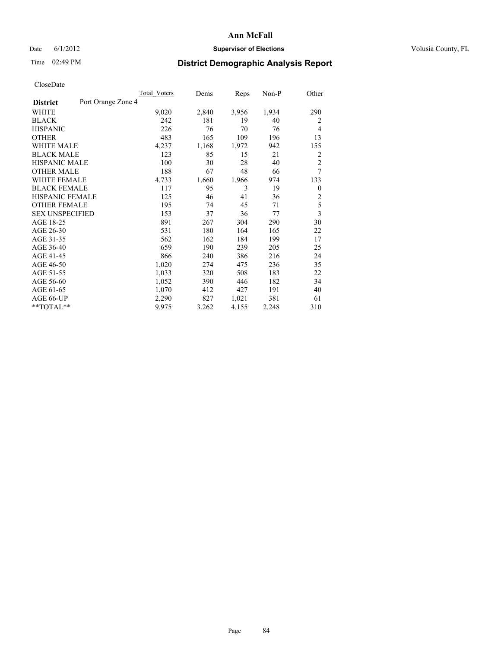### Date 6/1/2012 **Supervisor of Elections Supervisor of Elections** Volusia County, FL

## Time 02:49 PM **District Demographic Analysis Report**

|                                       | Total Voters | Dems  | Reps  | $Non-P$ | Other                   |
|---------------------------------------|--------------|-------|-------|---------|-------------------------|
| Port Orange Zone 4<br><b>District</b> |              |       |       |         |                         |
| WHITE                                 | 9,020        | 2,840 | 3,956 | 1,934   | 290                     |
| <b>BLACK</b>                          | 242          | 181   | 19    | 40      | $\overline{2}$          |
| <b>HISPANIC</b>                       | 226          | 76    | 70    | 76      | $\overline{4}$          |
| <b>OTHER</b>                          | 483          | 165   | 109   | 196     | 13                      |
| <b>WHITE MALE</b>                     | 4,237        | 1,168 | 1,972 | 942     | 155                     |
| <b>BLACK MALE</b>                     | 123          | 85    | 15    | 21      | $\overline{2}$          |
| <b>HISPANIC MALE</b>                  | 100          | 30    | 28    | 40      | $\overline{2}$          |
| <b>OTHER MALE</b>                     | 188          | 67    | 48    | 66      | $\overline{7}$          |
| <b>WHITE FEMALE</b>                   | 4,733        | 1,660 | 1,966 | 974     | 133                     |
| <b>BLACK FEMALE</b>                   | 117          | 95    | 3     | 19      | $\overline{0}$          |
| HISPANIC FEMALE                       | 125          | 46    | 41    | 36      | $\overline{2}$          |
| <b>OTHER FEMALE</b>                   | 195          | 74    | 45    | 71      | 5                       |
| <b>SEX UNSPECIFIED</b>                | 153          | 37    | 36    | 77      | $\overline{\mathbf{3}}$ |
| AGE 18-25                             | 891          | 267   | 304   | 290     | 30                      |
| AGE 26-30                             | 531          | 180   | 164   | 165     | 22                      |
| AGE 31-35                             | 562          | 162   | 184   | 199     | 17                      |
| AGE 36-40                             | 659          | 190   | 239   | 205     | 25                      |
| AGE 41-45                             | 866          | 240   | 386   | 216     | 24                      |
| AGE 46-50                             | 1,020        | 274   | 475   | 236     | 35                      |
| AGE 51-55                             | 1,033        | 320   | 508   | 183     | 22                      |
| AGE 56-60                             | 1,052        | 390   | 446   | 182     | 34                      |
| AGE 61-65                             | 1,070        | 412   | 427   | 191     | 40                      |
| AGE 66-UP                             | 2,290        | 827   | 1,021 | 381     | 61                      |
| **TOTAL**                             | 9,975        | 3,262 | 4,155 | 2,248   | 310                     |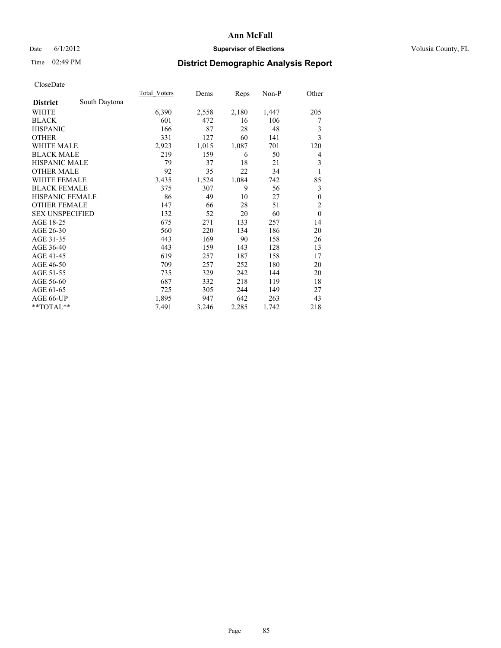### Date 6/1/2012 **Supervisor of Elections Supervisor of Elections** Volusia County, FL

## Time 02:49 PM **District Demographic Analysis Report**

|                        |               | Total Voters | Dems  | Reps  | Non-P | Other          |
|------------------------|---------------|--------------|-------|-------|-------|----------------|
| <b>District</b>        | South Daytona |              |       |       |       |                |
| WHITE                  |               | 6,390        | 2,558 | 2,180 | 1,447 | 205            |
| <b>BLACK</b>           |               | 601          | 472   | 16    | 106   | 7              |
| <b>HISPANIC</b>        |               | 166          | 87    | 28    | 48    | $\mathfrak{Z}$ |
| <b>OTHER</b>           |               | 331          | 127   | 60    | 141   | 3              |
| <b>WHITE MALE</b>      |               | 2,923        | 1,015 | 1,087 | 701   | 120            |
| <b>BLACK MALE</b>      |               | 219          | 159   | 6     | 50    | 4              |
| <b>HISPANIC MALE</b>   |               | 79           | 37    | 18    | 21    | 3              |
| <b>OTHER MALE</b>      |               | 92           | 35    | 22    | 34    | 1              |
| <b>WHITE FEMALE</b>    |               | 3,435        | 1,524 | 1,084 | 742   | 85             |
| <b>BLACK FEMALE</b>    |               | 375          | 307   | 9     | 56    | 3              |
| <b>HISPANIC FEMALE</b> |               | 86           | 49    | 10    | 27    | $\mathbf{0}$   |
| <b>OTHER FEMALE</b>    |               | 147          | 66    | 28    | 51    | $\overline{2}$ |
| <b>SEX UNSPECIFIED</b> |               | 132          | 52    | 20    | 60    | $\theta$       |
| AGE 18-25              |               | 675          | 271   | 133   | 257   | 14             |
| AGE 26-30              |               | 560          | 220   | 134   | 186   | 20             |
| AGE 31-35              |               | 443          | 169   | 90    | 158   | 26             |
| AGE 36-40              |               | 443          | 159   | 143   | 128   | 13             |
| AGE 41-45              |               | 619          | 257   | 187   | 158   | 17             |
| AGE 46-50              |               | 709          | 257   | 252   | 180   | 20             |
| AGE 51-55              |               | 735          | 329   | 242   | 144   | 20             |
| AGE 56-60              |               | 687          | 332   | 218   | 119   | 18             |
| AGE 61-65              |               | 725          | 305   | 244   | 149   | 27             |
| AGE 66-UP              |               | 1,895        | 947   | 642   | 263   | 43             |
| **TOTAL**              |               | 7,491        | 3,246 | 2,285 | 1,742 | 218            |